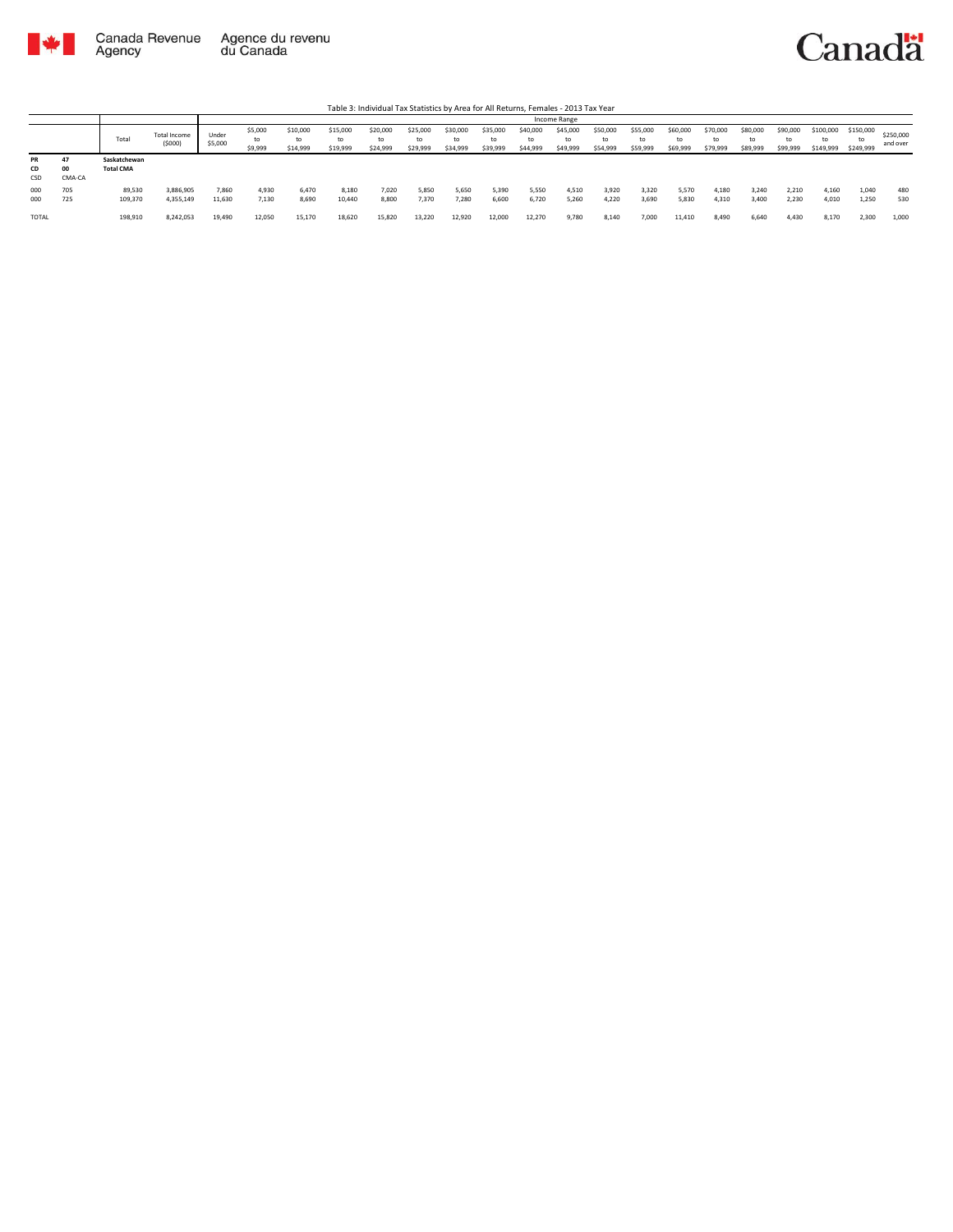

|                 |                    |                                  |                               |                  |                          |                            |                            |                            |                            |                            |                      |                            | Income Range               |                            |                            |                            |                            |                            |                            |                              |                        |                       |
|-----------------|--------------------|----------------------------------|-------------------------------|------------------|--------------------------|----------------------------|----------------------------|----------------------------|----------------------------|----------------------------|----------------------|----------------------------|----------------------------|----------------------------|----------------------------|----------------------------|----------------------------|----------------------------|----------------------------|------------------------------|------------------------|-----------------------|
|                 |                    | Total                            | <b>Total Income</b><br>(5000) | Under<br>\$5,000 | \$5,000<br>to<br>\$9,999 | \$10,000<br>to<br>\$14,999 | \$15,000<br>to<br>\$19,999 | \$20,000<br>to<br>\$24,999 | \$25,000<br>to<br>\$29,999 | \$30,000<br>to<br>\$34,999 | \$35,000<br>\$39,999 | \$40,000<br>to<br>\$44,999 | \$45,000<br>to<br>\$49,999 | \$50,000<br>to<br>\$54,999 | \$55,000<br>to<br>\$59,999 | \$60,000<br>to<br>\$69,999 | \$70,000<br>to<br>\$79,999 | \$80,000<br>to<br>\$89,999 | \$90,000<br>to<br>\$99,999 | \$100,000<br>to<br>\$149,999 | \$150,000<br>\$249,999 | \$250,000<br>and over |
| PR<br>CD<br>CSD | 47<br>00<br>CMA-CA | Saskatchewan<br><b>Total CMA</b> |                               |                  |                          |                            |                            |                            |                            |                            |                      |                            |                            |                            |                            |                            |                            |                            |                            |                              |                        |                       |
| 000<br>000      | 705<br>725         | 89,530<br>109,370                | 3,886,905<br>4,355,149        | 7,860<br>11,630  | 4,930<br>7,130           | 6.470<br>8.690             | 8,180<br>10.440            | 7,020<br>8,800             | 5,850<br>7,370             | 5,650<br>7.280             | 5,390<br>6.600       | 5,550<br>6.720             | 4,510<br>5.260             | 3,920<br>4.220             | 3,320<br>3,690             | 5,570<br>5.830             | 4,180<br>4.310             | 3,240<br>3,400             | 2,210<br>2,230             | 4,160<br>4,010               | 1,040<br>1,250         | 480<br>530            |
| <b>TOTAL</b>    |                    | 198,910                          | 8,242,053                     | 19,490           | 12.050                   | 15,170                     | 18,620                     | 15,820                     | 13,220                     | 12,920                     | 12,000               | 12,270                     | 9,780                      | 8,140                      | 7,000                      | 11,410                     | 8,490                      | 6,640                      | 4,430                      | 8,170                        | 2,300                  | 1,000                 |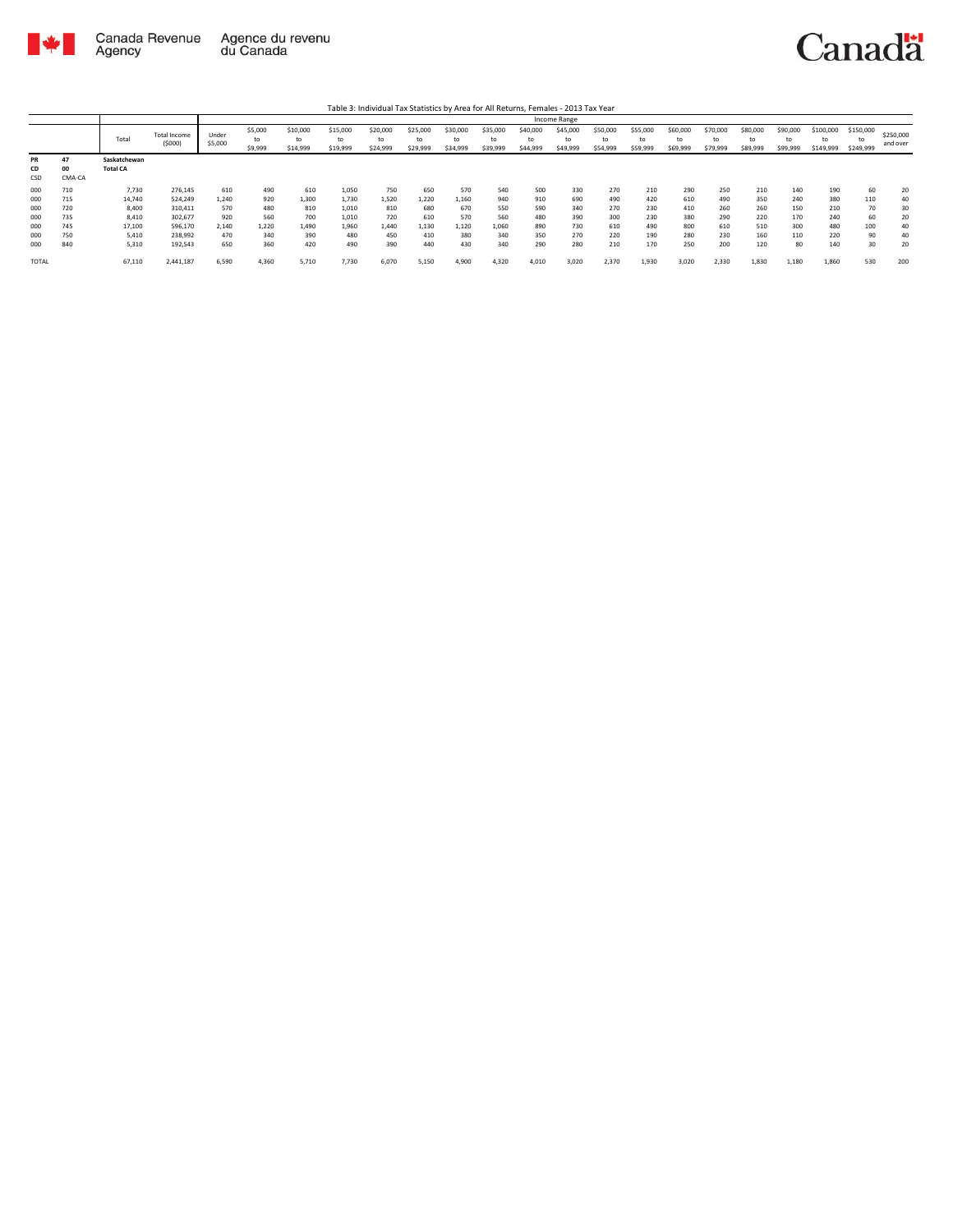

Table 3: Individual Tax Statistics by Area for All Returns, Females - 2013 Tax Year

|                        |                    |                                 |                     |         |               |                |                |                |                |                |                |                | Income Range   |                |                |                |                |                |                |           |                 |           |
|------------------------|--------------------|---------------------------------|---------------------|---------|---------------|----------------|----------------|----------------|----------------|----------------|----------------|----------------|----------------|----------------|----------------|----------------|----------------|----------------|----------------|-----------|-----------------|-----------|
|                        |                    |                                 | <b>Total Income</b> | Under   | \$5,000       | \$10,000       | \$15,000       | \$20,000       | \$25,000       | \$30,000       | \$35,000       | \$40,000       | \$45,000       | \$50,000       | \$55,000       | \$60,000       | \$70,000       | \$80,000       | \$90,000       | \$100,000 | \$150,000       | \$250,000 |
|                        |                    | Total                           | (5000)              | \$5,000 | to<br>\$9,999 | to<br>\$14,999 | to<br>\$19,999 | to<br>\$24,999 | to<br>\$29,999 | to<br>\$34,999 | to<br>\$39,999 | to<br>\$44,999 | to<br>\$49,999 | to<br>\$54,999 | to<br>\$59,999 | to<br>\$69,999 | to<br>\$79,999 | to<br>\$89,999 | to<br>\$99,999 | \$149,999 | to<br>\$249,999 | and over  |
| <b>PR</b><br>CD<br>CSD | 47<br>00<br>CMA-CA | Saskatchewan<br><b>Total CA</b> |                     |         |               |                |                |                |                |                |                |                |                |                |                |                |                |                |                |           |                 |           |
| 000                    | 710                | 7,730                           | 276,145             | 610     | 490           | 610            | 1,050          | 750            | 650            | 570            | 540            | 500            | 330            | 270            | 210            | 290            | 250            | 210            | 140            | 190       | 60              | 20        |
| 000                    | 715                | 14,740                          | 524.249             | 1.240   | 920           | 1,300          | 1.730          | 1,520          | 1,220          | 1,160          | 940            | 910            | 690            | 490            | 420            | 610            | 490            | 350            | 240            | 380       | 110             | 40        |
| 000                    | 720                | 8,400                           | 310,411             | 570     | 480           | 810            | 1.010          | 810            | 680            | 670            | 550            | 590            | 340            | 270            | 230            | 410            | 260            | 260            | 150            | 210       | 70              | 30        |
| 000                    | 735                | 8,410                           | 302,677             | 920     | 560           | 700            | 1.010          | 720            | 610            | 570            | 560            | 480            | 390            | 300            | 230            | 380            | 290            | 220            | 170            | 240       | 60              | 20        |
| 000                    | 745                | 17,100                          | 596,170             | 2.140   | 1,220         | 1.490          | 1.960          | 1,440          | 1,130          | 1,120          | 1,060          | 890            | 730            | 610            | 490            | 800            | 610            | 510            | 300            | 480       | 100             | 40        |
| 000                    | 750                | 5,410                           | 238,992             | 470     | 340           | 390            | 480            | 450            | 410            | 380            | 340            | 350            | 270            | 220            | 190            | 280            | 230            | 160            | 110            | 220       | 90              | 40        |
| 000                    | 840                | 5,310                           | 192,543             | 650     | 360           | 420            | 490            | 390            | 440            | 430            | 340            | 290            | 280            | 210            | 170            | 250            | 200            | 120            | 80             | 140       | 30              | 20        |
| <b>TOTAL</b>           |                    | 67,110                          | 2,441,187           | 6,590   | 4,360         | 5,710          | 7.730          | 6,070          | 5,150          | 4,900          | 4,320          | 4,010          | 3,020          | 2,370          | 1,930          | 3,020          | 2,330          | 1,830          | 1,180          | 1,860     | 530             | 200       |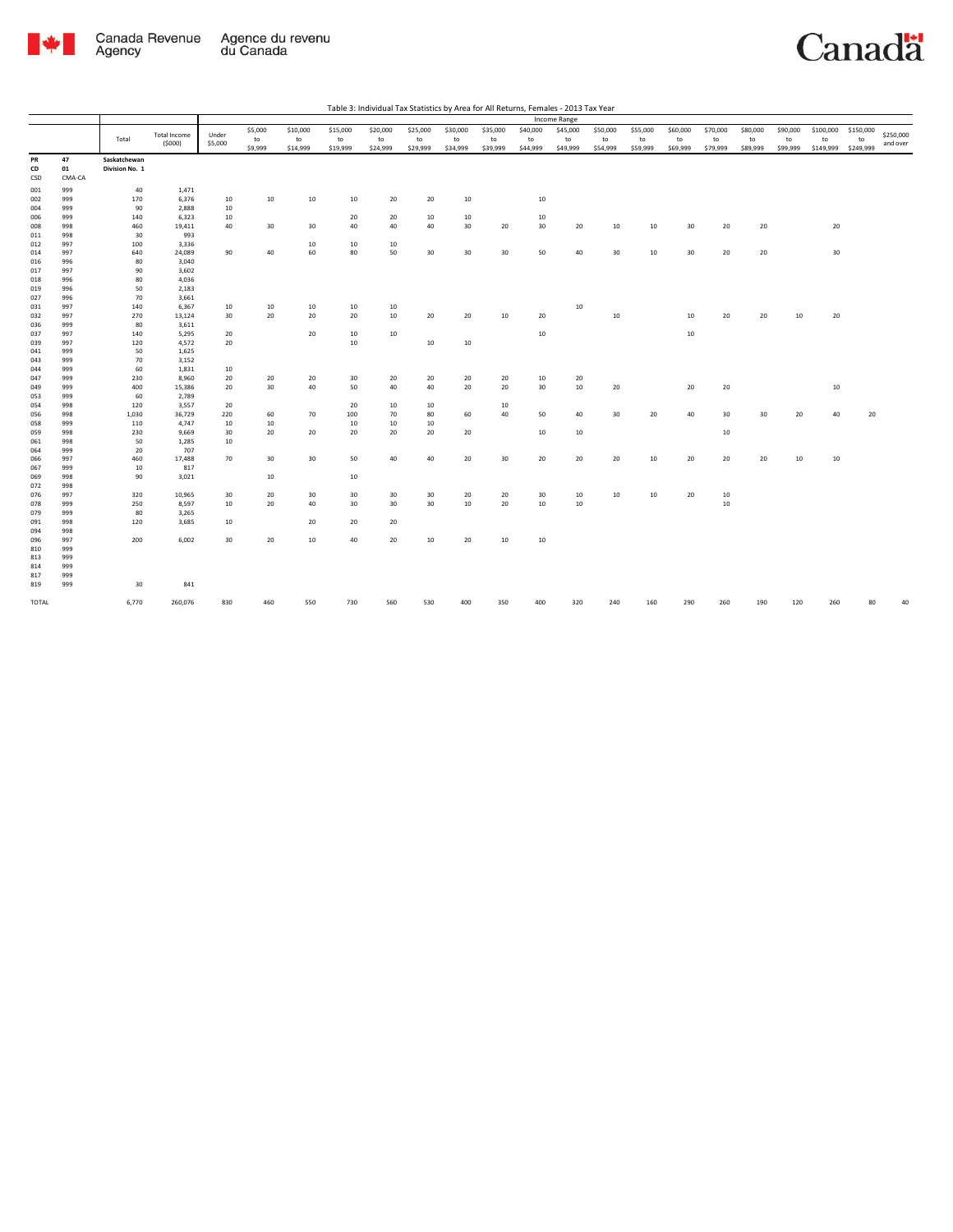

|            |            |                |                     |         |         |          |          |          |          |          |          |          | <b>Income Range</b> |          |          |          |          |          |          |           |           |           |
|------------|------------|----------------|---------------------|---------|---------|----------|----------|----------|----------|----------|----------|----------|---------------------|----------|----------|----------|----------|----------|----------|-----------|-----------|-----------|
|            |            |                | <b>Total Income</b> | Under   | \$5,000 | \$10,000 | \$15,000 | \$20,000 | \$25,000 | \$30,000 | \$35,000 | \$40,000 | \$45,000            | \$50,000 | \$55,000 | \$60,000 | \$70,000 | \$80,000 | \$90,000 | \$100,000 | \$150,000 | \$250,000 |
|            |            | Total          | (5000)              | \$5,000 | to      | to       | to       | to       | to       | to       | to       | to       | to                  | to       | to       | to       | to       | to       | to       | to        | to        | and over  |
|            |            |                |                     |         | \$9,999 | \$14,999 | \$19,999 | \$24,999 | \$29,999 | \$34,999 | \$39,999 | \$44,999 | \$49,999            | \$54,999 | \$59,999 | \$69,999 | \$79,999 | \$89,999 | \$99,999 | \$149,999 | \$249,999 |           |
| PR         | 47         | Saskatchewan   |                     |         |         |          |          |          |          |          |          |          |                     |          |          |          |          |          |          |           |           |           |
| CD         | 01         | Division No. 1 |                     |         |         |          |          |          |          |          |          |          |                     |          |          |          |          |          |          |           |           |           |
| CSD        | CMA-CA     |                |                     |         |         |          |          |          |          |          |          |          |                     |          |          |          |          |          |          |           |           |           |
| 001        | 999        | 40             | 1,471               |         |         |          |          |          |          |          |          |          |                     |          |          |          |          |          |          |           |           |           |
| 002        | 999        | 170            | 6,376               | 10      | 10      | 10       | 10       | 20       | 20       | 10       |          | $10\,$   |                     |          |          |          |          |          |          |           |           |           |
| 004        | 999        | 90             | 2,888               | 10      |         |          |          |          |          |          |          |          |                     |          |          |          |          |          |          |           |           |           |
| 006        | 999        | 140            | 6,323               | 10      |         |          | 20       | 20       | 10       | 10       |          | 10       |                     |          |          |          |          |          |          |           |           |           |
| 008        | 998        | 460            | 19,411              | 40      | 30      | 30       | 40       | 40       | 40       | 30       | 20       | 30       | 20                  | 10       | 10       | 30       | 20       | 20       |          | 20        |           |           |
| 011        | 998        | 30             | 993                 |         |         |          |          |          |          |          |          |          |                     |          |          |          |          |          |          |           |           |           |
| 012        | 997        | 100            | 3,336               |         |         | 10       | 10       | 10       |          |          |          |          |                     |          |          |          |          |          |          |           |           |           |
| 014        | 997        | 640            | 24,089              | 90      | 40      | 60       | 80       | 50       | 30       | 30       | 30       | 50       | 40                  | 30       | 10       | 30       | 20       | 20       |          | 30        |           |           |
| 016        | 996        | 80             | 3,040               |         |         |          |          |          |          |          |          |          |                     |          |          |          |          |          |          |           |           |           |
| 017        | 997        | 90             | 3,602               |         |         |          |          |          |          |          |          |          |                     |          |          |          |          |          |          |           |           |           |
| 018        | 996<br>996 | 80<br>50       | 4,036               |         |         |          |          |          |          |          |          |          |                     |          |          |          |          |          |          |           |           |           |
| 019<br>027 | 996        | 70             | 2,183<br>3,661      |         |         |          |          |          |          |          |          |          |                     |          |          |          |          |          |          |           |           |           |
| 031        | 997        | 140            | 6,367               | 10      | 10      | 10       | 10       | 10       |          |          |          |          | 10                  |          |          |          |          |          |          |           |           |           |
| 032        | 997        | 270            | 13,124              | 30      | 20      | 20       | 20       | 10       | 20       | 20       | 10       | 20       |                     | 10       |          | 10       | 20       | 20       | 10       | 20        |           |           |
| 036        | 999        | 80             | 3,611               |         |         |          |          |          |          |          |          |          |                     |          |          |          |          |          |          |           |           |           |
| 037        | 997        | 140            | 5,295               | 20      |         | 20       | 10       | 10       |          |          |          | $10\,$   |                     |          |          | 10       |          |          |          |           |           |           |
| 039        | 997        | 120            | 4,572               | 20      |         |          | 10       |          | 10       | 10       |          |          |                     |          |          |          |          |          |          |           |           |           |
| 041        | 999        | 50             | 1,625               |         |         |          |          |          |          |          |          |          |                     |          |          |          |          |          |          |           |           |           |
| 043        | 999        | 70             | 3,152               |         |         |          |          |          |          |          |          |          |                     |          |          |          |          |          |          |           |           |           |
| 044        | 999        | 60             | 1,831               | 10      |         |          |          |          |          |          |          |          |                     |          |          |          |          |          |          |           |           |           |
| 047        | 999        | 230            | 8,960               | 20      | 20      | 20       | 30       | 20       | 20       | 20       | 20       | 10       | 20                  |          |          |          |          |          |          |           |           |           |
| 049        | 999        | 400            | 15,386              | 20      | 30      | 40       | 50       | 40       | 40       | 20       | 20       | 30       | $10\,$              | 20       |          | 20       | 20       |          |          | 10        |           |           |
| 053        | 999        | 60             | 2,789               |         |         |          |          |          |          |          |          |          |                     |          |          |          |          |          |          |           |           |           |
| 054        | 998        | 120            | 3,557               | 20      |         |          | 20       | 10       | 10       |          | 10       |          |                     |          |          |          |          |          |          |           |           |           |
| 056        | 998        | 1,030          | 36,729              | 220     | 60      | 70       | 100      | 70       | 80       | 60       | 40       | 50       | 40                  | 30       | 20       | 40       | 30       | 30       | 20       | 40        | 20        |           |
| 058        | 999        | 110            | 4,747               | 10      | 10      |          | 10       | 10       | 10       |          |          |          |                     |          |          |          |          |          |          |           |           |           |
| 059        | 998        | 230            | 9,669               | 30      | 20      | 20       | 20       | 20       | 20       | 20       |          | $10\,$   | 10                  |          |          |          | $10\,$   |          |          |           |           |           |
| 061        | 998        | 50             | 1,285               | 10      |         |          |          |          |          |          |          |          |                     |          |          |          |          |          |          |           |           |           |
| 064<br>066 | 999<br>997 | 20<br>460      | 707<br>17,488       | 70      | 30      | 30       | 50       | 40       | 40       | 20       | 30       | 20       | 20                  | 20       | 10       | 20       | 20       | 20       | 10       | 10        |           |           |
| 067        | 999        | 10             | 817                 |         |         |          |          |          |          |          |          |          |                     |          |          |          |          |          |          |           |           |           |
| 069        | 998        | 90             | 3,021               |         | 10      |          | 10       |          |          |          |          |          |                     |          |          |          |          |          |          |           |           |           |
| 072        | 998        |                |                     |         |         |          |          |          |          |          |          |          |                     |          |          |          |          |          |          |           |           |           |
| 076        | 997        | 320            | 10,965              | 30      | 20      | 30       | 30       | 30       | 30       | 20       | 20       | 30       | 10                  | 10       | 10       | 20       | 10       |          |          |           |           |           |
| 078        | 999        | 250            | 8,597               | 10      | 20      | 40       | 30       | 30       | 30       | 10       | 20       | $10\,$   | 10                  |          |          |          | 10       |          |          |           |           |           |
| 079        | 999        | 80             | 3,265               |         |         |          |          |          |          |          |          |          |                     |          |          |          |          |          |          |           |           |           |
| 091        | 998        | 120            | 3,685               | 10      |         | 20       | 20       | 20       |          |          |          |          |                     |          |          |          |          |          |          |           |           |           |
| 094        | 998        |                |                     |         |         |          |          |          |          |          |          |          |                     |          |          |          |          |          |          |           |           |           |
| 096        | 997        | 200            | 6,002               | 30      | 20      | 10       | 40       | 20       | 10       | 20       | 10       | $10\,$   |                     |          |          |          |          |          |          |           |           |           |
| 810        | 999        |                |                     |         |         |          |          |          |          |          |          |          |                     |          |          |          |          |          |          |           |           |           |
| 813        | 999        |                |                     |         |         |          |          |          |          |          |          |          |                     |          |          |          |          |          |          |           |           |           |
| 814        | 999        |                |                     |         |         |          |          |          |          |          |          |          |                     |          |          |          |          |          |          |           |           |           |
| 817        | 999        |                |                     |         |         |          |          |          |          |          |          |          |                     |          |          |          |          |          |          |           |           |           |
| 819        | 999        | 30             | 841                 |         |         |          |          |          |          |          |          |          |                     |          |          |          |          |          |          |           |           |           |
| TOTAL      |            | 6,770          | 260,076             | 830     | 460     | 550      | 730      | 560      | 530      | 400      | 350      | 400      | 320                 | 240      | 160      | 290      | 260      | 190      | 120      | 260       | 80        | 40        |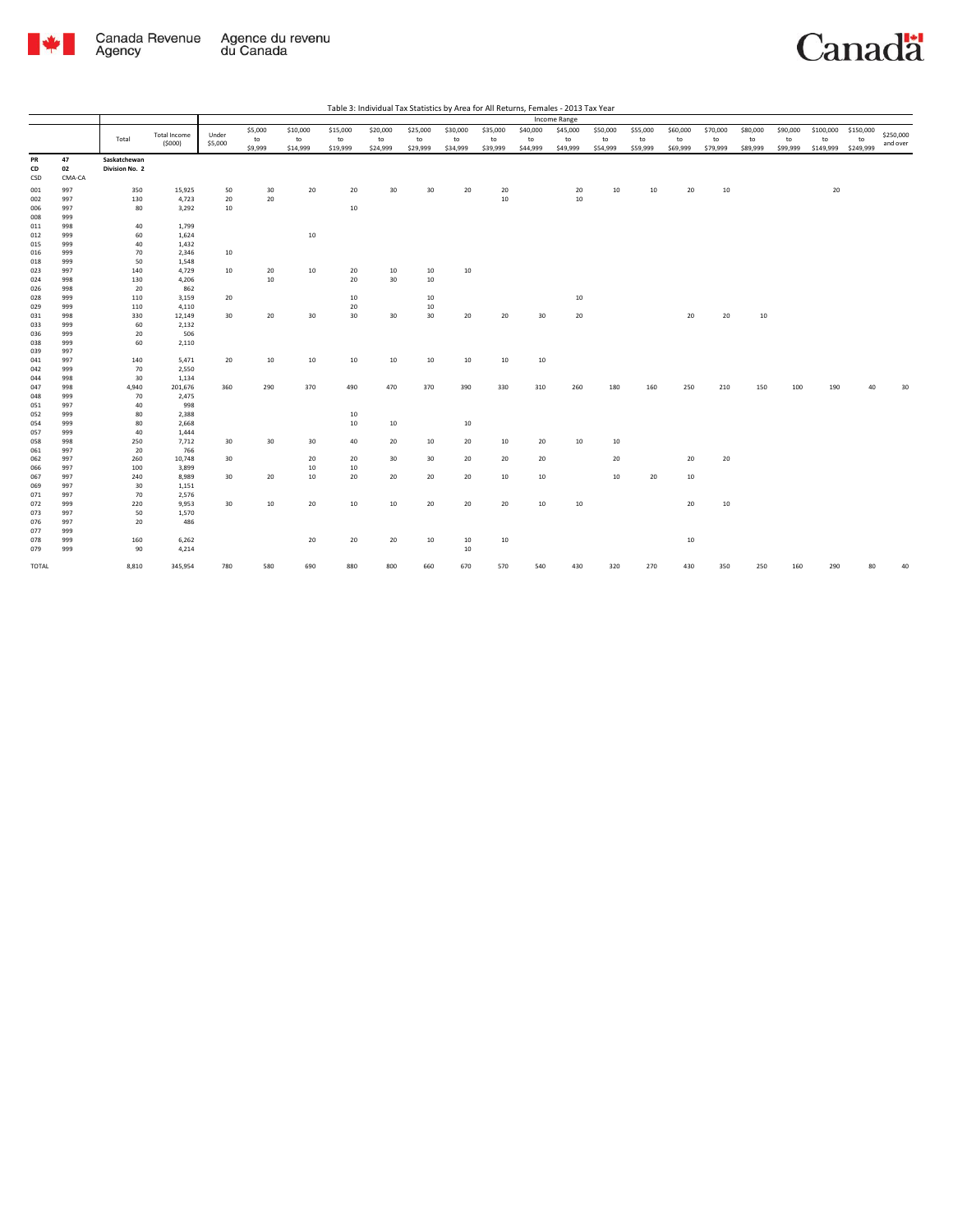

|            |            |                |                        |         |         |          |          |          |          |          |          |          | Income Range |          |          |          |          |          |          |           |           |           |
|------------|------------|----------------|------------------------|---------|---------|----------|----------|----------|----------|----------|----------|----------|--------------|----------|----------|----------|----------|----------|----------|-----------|-----------|-----------|
|            |            |                |                        |         | \$5,000 | \$10,000 | \$15,000 | \$20,000 | \$25,000 | \$30,000 | \$35,000 | \$40,000 | \$45,000     | \$50,000 | \$55,000 | \$60,000 | \$70,000 | \$80,000 | \$90,000 | \$100,000 | \$150,000 | \$250,000 |
|            |            | Total          | Total Income<br>(5000) | Under   | to      | to       | to       | to       | to       | to       | to       | to       | to           | to       | to       | to       | to       | to       | to       | to        | to        |           |
|            |            |                |                        | \$5,000 | \$9,999 | \$14,999 | \$19,999 | \$24,999 | \$29,999 | \$34,999 | \$39,999 | \$44,999 | \$49,999     | \$54,999 | \$59,999 | \$69,999 | \$79,999 | \$89,999 | \$99,999 | \$149,999 | \$249,999 | and over  |
| PR         | 47         | Saskatchewan   |                        |         |         |          |          |          |          |          |          |          |              |          |          |          |          |          |          |           |           |           |
| CD         | 02         | Division No. 2 |                        |         |         |          |          |          |          |          |          |          |              |          |          |          |          |          |          |           |           |           |
| CSD        | CMA-CA     |                |                        |         |         |          |          |          |          |          |          |          |              |          |          |          |          |          |          |           |           |           |
| 001        | 997        | 350            | 15,925                 | 50      | 30      | 20       | 20       | 30       | 30       | 20       | 20       |          | 20           | 10       | 10       | 20       | 10       |          |          | 20        |           |           |
| 002        | 997        | 130            | 4,723                  | 20      | 20      |          |          |          |          |          | 10       |          | $10\,$       |          |          |          |          |          |          |           |           |           |
| 006        | 997        | 80             | 3,292                  | 10      |         |          | 10       |          |          |          |          |          |              |          |          |          |          |          |          |           |           |           |
| 008        | 999        |                |                        |         |         |          |          |          |          |          |          |          |              |          |          |          |          |          |          |           |           |           |
| 011        | 998        | 40             | 1,799                  |         |         |          |          |          |          |          |          |          |              |          |          |          |          |          |          |           |           |           |
| 012        | 999        | 60             | 1,624                  |         |         | 10       |          |          |          |          |          |          |              |          |          |          |          |          |          |           |           |           |
| 015        | 999        | 40             | 1,432                  |         |         |          |          |          |          |          |          |          |              |          |          |          |          |          |          |           |           |           |
| 016        | 999        | 70             | 2,346                  | 10      |         |          |          |          |          |          |          |          |              |          |          |          |          |          |          |           |           |           |
| 018        | 999        | 50             | 1,548                  |         |         |          |          |          |          |          |          |          |              |          |          |          |          |          |          |           |           |           |
| 023        | 997        | 140            | 4,729                  | 10      | 20      | 10       | 20       | 10       | 10       | 10       |          |          |              |          |          |          |          |          |          |           |           |           |
| 024        | 998        | 130            | 4,206                  |         | 10      |          | 20       | 30       | $10\,$   |          |          |          |              |          |          |          |          |          |          |           |           |           |
| 026        | 998        | 20             | 862                    |         |         |          |          |          |          |          |          |          |              |          |          |          |          |          |          |           |           |           |
| 028        | 999        | 110            | 3,159                  | 20      |         |          | 10       |          | $10\,$   |          |          |          | 10           |          |          |          |          |          |          |           |           |           |
| 029        | 999        | 110            | 4,110                  |         |         |          | 20       |          | $10\,$   |          |          |          |              |          |          |          |          |          |          |           |           |           |
| 031        | 998        | 330            | 12,149                 | 30      | 20      | 30       | 30       | 30       | 30       | 20       | 20       | 30       | 20           |          |          | 20       | 20       | 10       |          |           |           |           |
| 033        | 999        | 60             | 2,132                  |         |         |          |          |          |          |          |          |          |              |          |          |          |          |          |          |           |           |           |
| 036        | 999        | 20             | 506                    |         |         |          |          |          |          |          |          |          |              |          |          |          |          |          |          |           |           |           |
| 038        | 999        | 60             | 2,110                  |         |         |          |          |          |          |          |          |          |              |          |          |          |          |          |          |           |           |           |
|            | 997        |                |                        |         |         |          |          |          |          |          |          |          |              |          |          |          |          |          |          |           |           |           |
| 039<br>041 | 997        | 140            |                        |         |         | 10       | 10       |          | 10       | 10       | 10       | 10       |              |          |          |          |          |          |          |           |           |           |
| 042        | 999        | 70             | 5,471<br>2,550         | 20      | 10      |          |          | 10       |          |          |          |          |              |          |          |          |          |          |          |           |           |           |
|            |            |                |                        |         |         |          |          |          |          |          |          |          |              |          |          |          |          |          |          |           |           |           |
| 044<br>047 | 998<br>998 | 30             | 1,134                  | 360     |         |          | 490      |          |          |          |          | 310      |              | 180      | 160      | 250      | 210      | 150      | 100      | 190       |           | 30        |
|            |            | 4,940          | 201,676                |         | 290     | 370      |          | 470      | 370      | 390      | 330      |          | 260          |          |          |          |          |          |          |           |           |           |
| 048        | 999<br>997 | 70             | 2,475<br>998           |         |         |          |          |          |          |          |          |          |              |          |          |          |          |          |          |           |           |           |
| 051        | 999        | 40<br>80       |                        |         |         |          |          |          |          |          |          |          |              |          |          |          |          |          |          |           |           |           |
| 052        |            |                | 2,388                  |         |         |          | 10<br>10 |          |          |          |          |          |              |          |          |          |          |          |          |           |           |           |
| 054        | 999        | 80             | 2,668                  |         |         |          |          | 10       |          | 10       |          |          |              |          |          |          |          |          |          |           |           |           |
| 057<br>058 | 999<br>998 | 40<br>250      | 1,444<br>7,712         | 30      | 30      | 30       | 40       | 20       | 10       | 20       | 10       | 20       | 10           | 10       |          |          |          |          |          |           |           |           |
|            |            |                |                        |         |         |          |          |          |          |          |          |          |              |          |          |          |          |          |          |           |           |           |
| 061        | 997        | 20             | 766                    |         |         |          |          |          |          |          |          |          |              | 20       |          | 20       | 20       |          |          |           |           |           |
| 062        | 997        | 260            | 10,748                 | 30      |         | 20       | 20       | 30       | 30       | 20       | 20       | 20       |              |          |          |          |          |          |          |           |           |           |
| 066        | 997        | 100            | 3,899                  |         |         | 10       | 10       |          |          |          |          |          |              | 10       | 20       |          |          |          |          |           |           |           |
| 067        | 997<br>997 | 240            | 8,989                  | 30      | 20      | 10       | 20       | 20       | 20       | 20       | 10       | 10       |              |          |          | 10       |          |          |          |           |           |           |
| 069        |            | 30             | 1,151                  |         |         |          |          |          |          |          |          |          |              |          |          |          |          |          |          |           |           |           |
| 071        | 997        | 70             | 2,576                  |         |         |          |          |          |          |          |          |          |              |          |          |          |          |          |          |           |           |           |
| 072        | 999        | 220            | 9,953                  | 30      | 10      | 20       | 10       | 10       | 20       | 20       | 20       | $10\,$   | 10           |          |          | 20       | 10       |          |          |           |           |           |
| 073        | 997        | 50             | 1,570                  |         |         |          |          |          |          |          |          |          |              |          |          |          |          |          |          |           |           |           |
| 076        | 997        | 20             | 486                    |         |         |          |          |          |          |          |          |          |              |          |          |          |          |          |          |           |           |           |
| 077        | 999        |                |                        |         |         |          |          |          |          |          |          |          |              |          |          |          |          |          |          |           |           |           |
| 078        | 999        | 160            | 6,262                  |         |         | 20       | 20       | 20       | 10       | 10       | 10       |          |              |          |          | $10\,$   |          |          |          |           |           |           |
| 079        | 999        | 90             | 4,214                  |         |         |          |          |          |          | 10       |          |          |              |          |          |          |          |          |          |           |           |           |
| TOTAL      |            | 8,810          | 345,954                | 780     | 580     | 690      | 880      | 800      | 660      | 670      | 570      | 540      | 430          | 320      | 270      | 430      | 350      | 250      | 160      | 290       | 80        | 40        |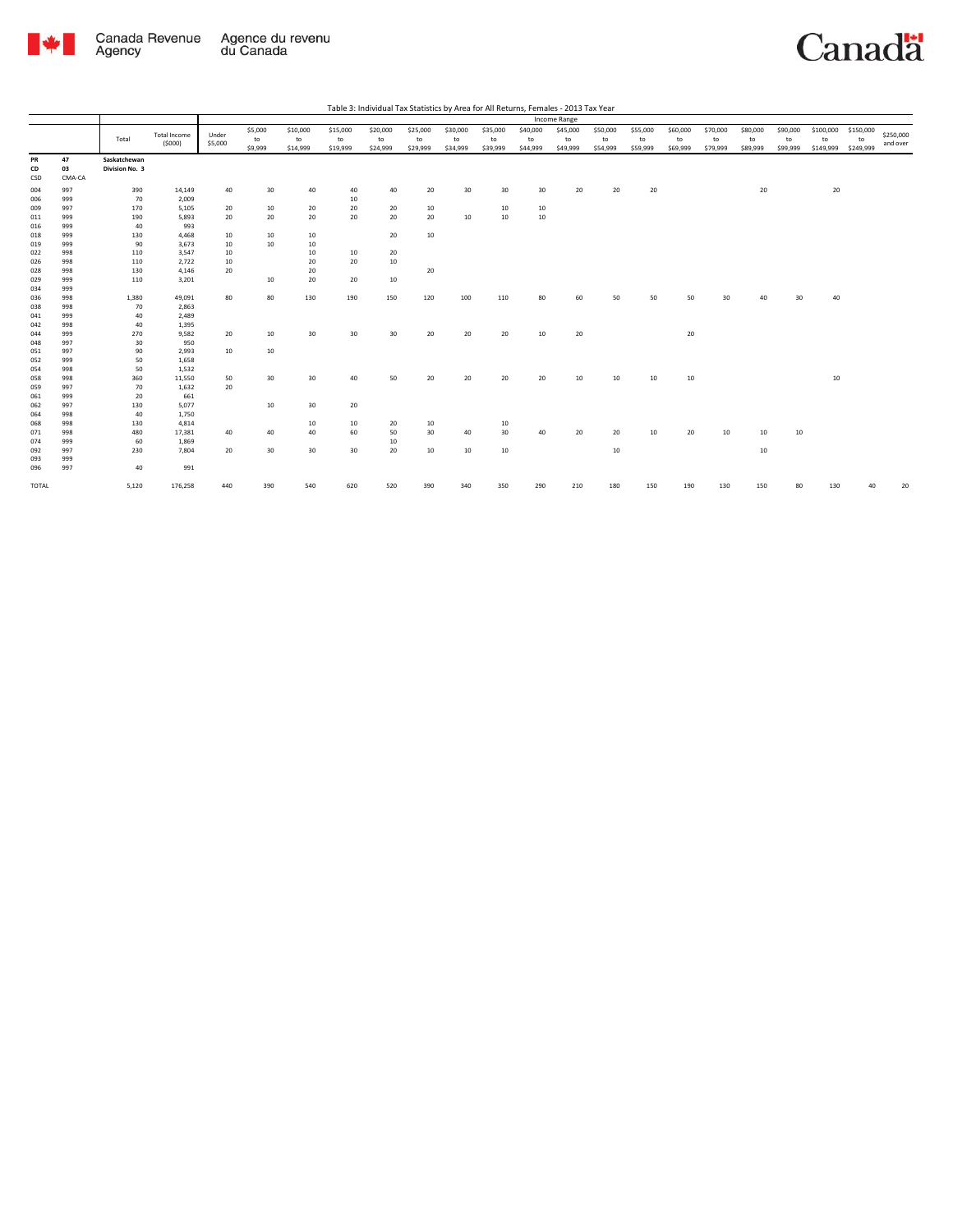

|                 |                    |                                |              |         |         |                 |          |          |          |          |          |          | Income Range |          |          |          |          |          |          |           |           |           |
|-----------------|--------------------|--------------------------------|--------------|---------|---------|-----------------|----------|----------|----------|----------|----------|----------|--------------|----------|----------|----------|----------|----------|----------|-----------|-----------|-----------|
|                 |                    |                                |              |         | \$5,000 | \$10,000        | \$15,000 | \$20,000 | \$25,000 | \$30,000 | \$35,000 | \$40,000 | \$45,000     | \$50,000 | \$55,000 | \$60,000 | \$70,000 | \$80,000 | \$90,000 | \$100,000 | \$150,000 |           |
|                 |                    | Total                          | Total Income | Under   | to      | to              | to       | to       | to       | to       | to       | to       | to           | to       | to       | to       | to       | to       | to       | to        | to        | \$250,000 |
|                 |                    |                                | (5000)       | \$5,000 | \$9,999 | \$14,999        | \$19,999 | \$24,999 | \$29,999 | \$34,999 | \$39,999 | \$44,999 | \$49,999     | \$54,999 | \$59,999 | \$69,999 | \$79,999 | \$89,999 | \$99,999 | \$149,999 | \$249,999 | and over  |
| PR<br>CD<br>CSD | 47<br>03<br>CMA-CA | Saskatchewan<br>Division No. 3 |              |         |         |                 |          |          |          |          |          |          |              |          |          |          |          |          |          |           |           |           |
| 004             | 997                | 390                            | 14,149       | 40      | 30      | 40              | 40       | 40       | 20       | 30       | 30       | 30       | 20           | 20       | 20       |          |          | 20       |          | 20        |           |           |
| 006             | 999                | 70                             | 2,009        |         |         |                 | 10       |          |          |          |          |          |              |          |          |          |          |          |          |           |           |           |
| 009             | 997                | 170                            | 5,105        | 20      | 10      | 20              | 20       | 20       | 10       |          | 10       | $10\,$   |              |          |          |          |          |          |          |           |           |           |
| 011             | 999                | 190                            | 5,893        | 20      | 20      | 20              | 20       | 20       | 20       | 10       | 10       | $10\,$   |              |          |          |          |          |          |          |           |           |           |
| 016             | 999                | 40                             | 993          |         |         |                 |          |          |          |          |          |          |              |          |          |          |          |          |          |           |           |           |
| 018             | 999                | 130                            | 4,468        | 10      | 10      | 10              |          | 20       | 10       |          |          |          |              |          |          |          |          |          |          |           |           |           |
| 019             | 999                | 90                             | 3,673        | 10      | 10      | 10              |          |          |          |          |          |          |              |          |          |          |          |          |          |           |           |           |
| 022             | 998                | 110                            | 3,547        | 10      |         | 10              | 10       | 20       |          |          |          |          |              |          |          |          |          |          |          |           |           |           |
| 026             | 998                | 110                            | 2,722        | 10      |         | 20              | 20       | 10       |          |          |          |          |              |          |          |          |          |          |          |           |           |           |
| 028             | 998                | 130                            | 4,146        | 20      |         | 20              |          |          | 20       |          |          |          |              |          |          |          |          |          |          |           |           |           |
| 029             | 999                | 110                            | 3,201        |         | 10      | 20              | 20       | 10       |          |          |          |          |              |          |          |          |          |          |          |           |           |           |
| 034             | 999                |                                |              |         |         |                 |          |          |          |          |          |          |              |          |          |          |          |          |          |           |           |           |
| 036             | 998                | 1,380                          | 49,091       | 80      | 80      | 130             | 190      | 150      | 120      | 100      | 110      | 80       | 60           | 50       | 50       | 50       | 30       | 40       | 30       | 40        |           |           |
| 038             | 998                | 70                             | 2,863        |         |         |                 |          |          |          |          |          |          |              |          |          |          |          |          |          |           |           |           |
| 041             | 999                | 40                             | 2,489        |         |         |                 |          |          |          |          |          |          |              |          |          |          |          |          |          |           |           |           |
| 042             | 998                | 40                             | 1,395        |         |         |                 |          |          |          |          |          |          |              |          |          |          |          |          |          |           |           |           |
| 044             | 999                | 270                            | 9,582        | 20      | 10      | 30              | 30       | 30       | 20       | 20       | 20       | 10       | 20           |          |          | 20       |          |          |          |           |           |           |
| 048             | 997                | 30                             | 950          |         |         |                 |          |          |          |          |          |          |              |          |          |          |          |          |          |           |           |           |
| 051             | 997                | 90                             | 2,993        | 10      | 10      |                 |          |          |          |          |          |          |              |          |          |          |          |          |          |           |           |           |
| 052             | 999                | 50                             | 1,658        |         |         |                 |          |          |          |          |          |          |              |          |          |          |          |          |          |           |           |           |
| 054             | 998                | 50                             | 1,532        |         |         |                 |          |          |          |          |          |          |              |          |          |          |          |          |          |           |           |           |
| 058             | 998                | 360                            | 11,550       | 50      | 30      | 30 <sup>2</sup> | 40       | 50       | 20       | 20       | 20       | 20       | 10           | 10       | 10       | 10       |          |          |          | 10        |           |           |
| 059             | 997                | 70                             | 1,632        | 20      |         |                 |          |          |          |          |          |          |              |          |          |          |          |          |          |           |           |           |
| 061             | 999                | 20                             | 661          |         |         |                 |          |          |          |          |          |          |              |          |          |          |          |          |          |           |           |           |
| 062             | 997                | 130                            | 5,077        |         | 10      | 30 <sup>2</sup> | 20       |          |          |          |          |          |              |          |          |          |          |          |          |           |           |           |
| 064             | 998                | 40                             | 1,750        |         |         |                 |          |          |          |          |          |          |              |          |          |          |          |          |          |           |           |           |
| 068             | 998                | 130                            | 4,814        |         |         | 10              | 10       | 20       | 10       |          | 10       |          |              |          |          |          |          |          |          |           |           |           |
| 071             | 998                | 480                            | 17,381       | 40      | 40      | 40              | 60       | 50       | 30       | 40       | 30       | 40       | 20           | 20       | 10       | 20       | 10       | 10       | 10       |           |           |           |
| 074             | 999                | 60                             | 1,869        |         |         |                 |          | 10       |          |          |          |          |              |          |          |          |          |          |          |           |           |           |
| 092             | 997                | 230                            | 7,804        | 20      | 30      | 30              | 30       | 20       | 10       | 10       | 10       |          |              | 10       |          |          |          | 10       |          |           |           |           |
| 093             | 999                |                                |              |         |         |                 |          |          |          |          |          |          |              |          |          |          |          |          |          |           |           |           |
| 096             | 997                | 40                             | 991          |         |         |                 |          |          |          |          |          |          |              |          |          |          |          |          |          |           |           |           |
| TOTAL           |                    | 5,120                          | 176,258      | 440     | 390     | 540             | 620      | 520      | 390      | 340      | 350      | 290      | 210          | 180      | 150      | 190      | 130      | 150      | 80       | 130       | 40        | 20        |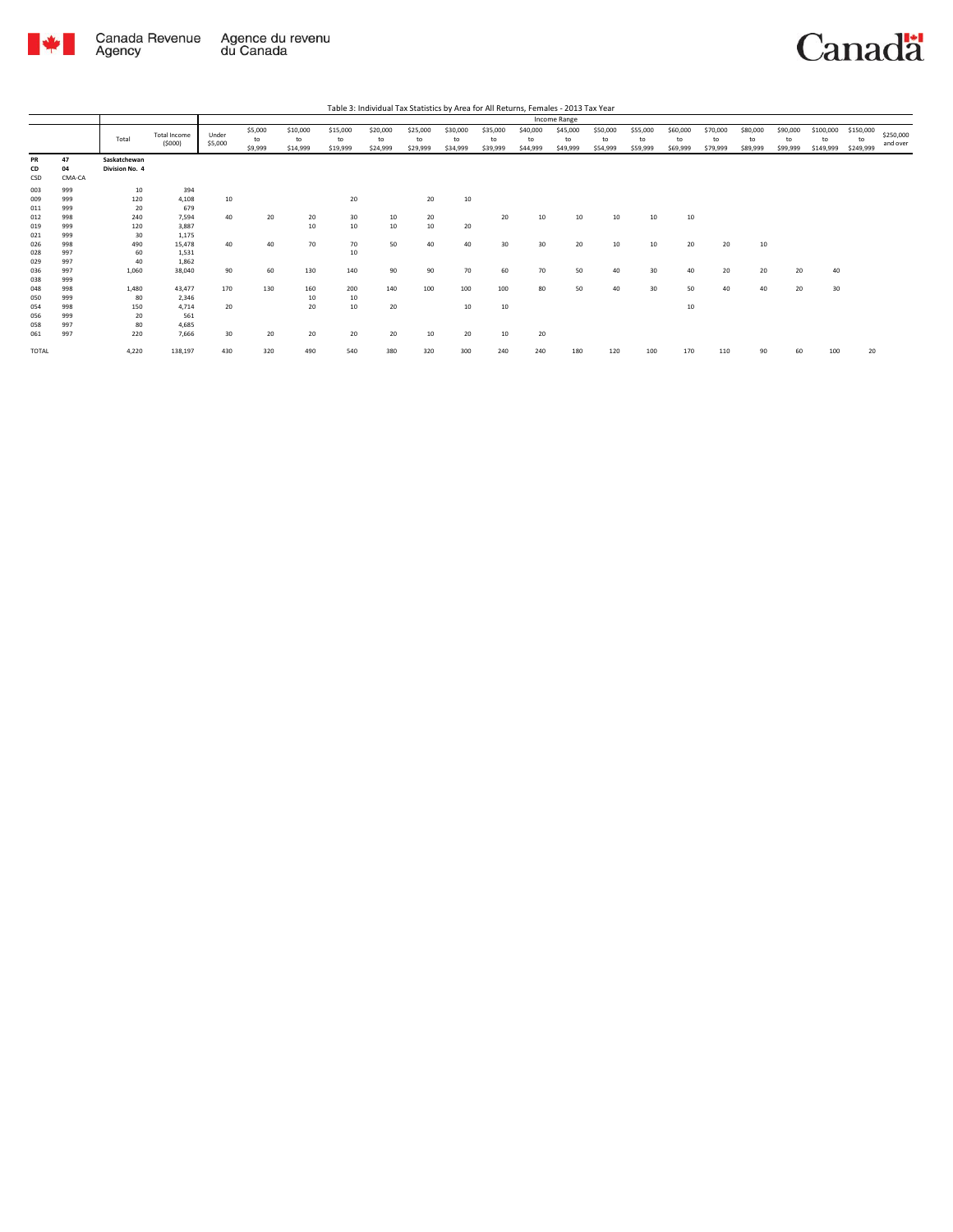

Agency

## Canadä

Total Total Income (\$000) Under \$5,000 \$5,000 to \$9,999 \$10,000 to \$14,999 \$15,000 to \$19,999 \$20,000 to \$24,999 \$25,000 to \$29,999 \$30,000 to \$34,999 \$35,000 to \$39,999 \$40,000 to \$44,999 \$45,000 to \$49,999 \$50,000 to \$54,999 \$55,000 to \$59,999 \$60,000 to \$69,999 \$70,000 to \$79,999 \$80,000 to \$89,999 \$90,000 to \$99,999 \$100,000 to \$149,999 \$150,000 to \$249,999 \$250,000 and over Table 3: Individual Tax Statistics by Area for All Returns, Females - 2013 Tax Year Income Range **PR 47 Saskatchewan CD 04 Division No. 4 PR**<br>CSD 04<br>CSD CMA-CA<br>003 999<br>011 9999<br>011 9999<br>021 9999<br>028 9997<br>028 9999<br>056 9999<br>056 9999<br>056 9998  $\begin{array}{ccc} 10 & & 394 \\ 20 & & 4,108 \\ 20 & & 679 \\ 240 & & 7,594 \\ 120 & & 3,887 \\ 30 & & 1,175 \\ 490 & & 15,478 \\ \end{array}$ 009 999 120 4,108 10 20 20 10 011 999 20 679 012 998 240 7,594 40 20 20 30 10 20 20 10 10 10 10 10 019 999 120 3,887 10 10 10 10 20 021 999 30 1,175 026 998 490 15,478 40 40 70 70 50 40 40 30 30 20 10 10 20 20 10 028 997 60 1,531 10 029 997 40 1,862 036 997 1,060 38,040 90 60 130 140 90 90 70 60 70 50 40 30 40 20 20 20 40 999998<br>999899998<br>999899998<br>99989998<br>9989998<br>9989998 048 998 1,480 43,477 170 130 160 200 140 100 100 100 80 50 40 30 50 40 40 20 30 050 999 80 2,346 10 10 054 998 150 4,714 20 20 10 20 10 10 10 056 999 20 561 058 997 80 4,685 061 997 220 7,666 30 20 20 20 20 10 20 10 20 TOTAL 4,220 138,197 430 320 490 540 380 320 300 240 240 180 120 100 170 110 90 60 100 20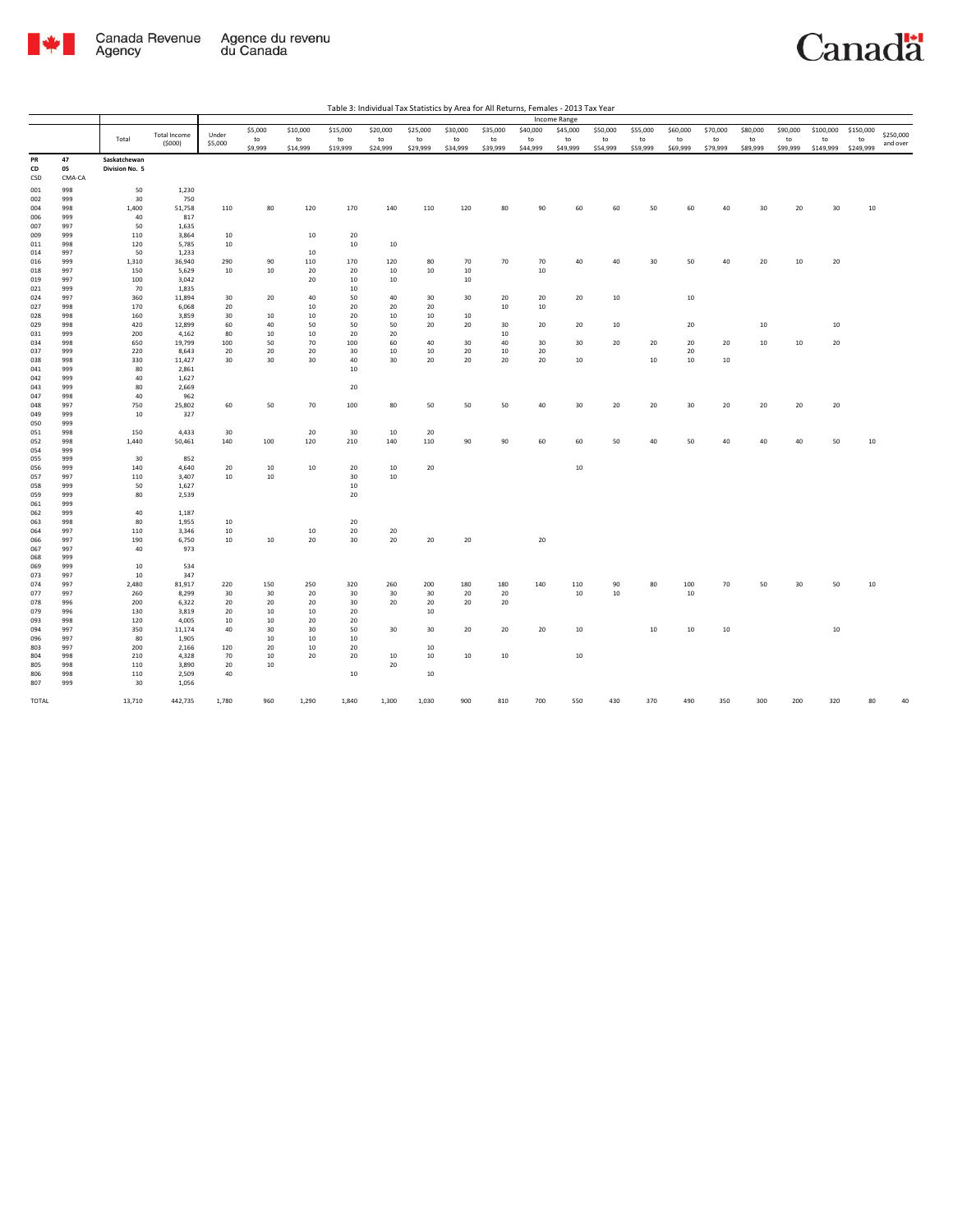

| ble 3: Individual Tax Statistics by Area for All Returns, Females - 2013 Tax Year |  |  |  |
|-----------------------------------------------------------------------------------|--|--|--|

|            |            |                |                               |                  |          |           |          | Table 3: Individual Tax Statistics by Area for All Returns, Females - 2013 Tax Year |          |          |          |          |                     |          |          |          |          |          |          |           |           |           |
|------------|------------|----------------|-------------------------------|------------------|----------|-----------|----------|-------------------------------------------------------------------------------------|----------|----------|----------|----------|---------------------|----------|----------|----------|----------|----------|----------|-----------|-----------|-----------|
|            |            |                |                               |                  |          |           |          |                                                                                     |          |          |          |          | <b>Income Range</b> |          |          |          |          |          |          |           |           |           |
|            |            |                |                               |                  | \$5,000  | \$10,000  | \$15,000 | \$20,000                                                                            | \$25,000 | \$30,000 | \$35,000 | \$40,000 | \$45,000            | \$50,000 | \$55,000 | \$60,000 | \$70,000 | \$80,000 | \$90,000 | \$100,000 | \$150,000 | \$250,000 |
|            |            | Total          | <b>Total Income</b><br>(5000) | Under<br>\$5,000 | to       | to        | to       | to                                                                                  | to       | to       | to       | to       | to                  | to       | to       | to       | to       | to       | to       | to        | to        | and over  |
|            |            |                |                               |                  | \$9,999  | \$14,999  | \$19,999 | \$24,999                                                                            | \$29,999 | \$34,999 | \$39,999 | \$44,999 | \$49,999            | \$54,999 | \$59,999 | \$69,999 | \$79,999 | \$89,999 | \$99,999 | \$149,999 | \$249,999 |           |
| PR         | 47         | Saskatchewan   |                               |                  |          |           |          |                                                                                     |          |          |          |          |                     |          |          |          |          |          |          |           |           |           |
| CD         | 05         | Division No. 5 |                               |                  |          |           |          |                                                                                     |          |          |          |          |                     |          |          |          |          |          |          |           |           |           |
| CSD        | CMA-CA     |                |                               |                  |          |           |          |                                                                                     |          |          |          |          |                     |          |          |          |          |          |          |           |           |           |
| 001        | 998        | 50             | 1,230                         |                  |          |           |          |                                                                                     |          |          |          |          |                     |          |          |          |          |          |          |           |           |           |
| 002        | 999        | 30             | 750                           |                  |          |           |          |                                                                                     |          |          |          |          |                     |          |          |          |          |          |          |           |           |           |
| 004        | 998        | 1,400          | 51,758                        | 110              | 80       | 120       | 170      | 140                                                                                 | 110      | 120      | 80       | 90       | 60                  | 60       | 50       | 60       | 40       | 30       | 20       | 30        | 10        |           |
| 006        | 999        | 40             | 817                           |                  |          |           |          |                                                                                     |          |          |          |          |                     |          |          |          |          |          |          |           |           |           |
| 007        | 997        | 50             | 1,635                         |                  |          |           |          |                                                                                     |          |          |          |          |                     |          |          |          |          |          |          |           |           |           |
| 009        | 999        | 110<br>120     | 3,864                         | 10               |          | 10        | 20<br>10 | 10                                                                                  |          |          |          |          |                     |          |          |          |          |          |          |           |           |           |
| 011        | 998        |                | 5,785                         | 10               |          |           |          |                                                                                     |          |          |          |          |                     |          |          |          |          |          |          |           |           |           |
| 014<br>016 | 997<br>999 | 50<br>1,310    | 1,233<br>36,940               | 290              | 90       | 10<br>110 | 170      | 120                                                                                 | 80       | 70       | 70       | 70       | 40                  | 40       | 30       | 50       | 40       | 20       | $10\,$   | 20        |           |           |
| 018        | 997        | 150            | 5,629                         | 10               | 10       | 20        | 20       | 10                                                                                  | 10       | $10\,$   |          | $10\,$   |                     |          |          |          |          |          |          |           |           |           |
| 019        | 997        | 100            | 3,042                         |                  |          | 20        | 10       | 10                                                                                  |          | 10       |          |          |                     |          |          |          |          |          |          |           |           |           |
| 021        | 999        | 70             | 1,835                         |                  |          |           | 10       |                                                                                     |          |          |          |          |                     |          |          |          |          |          |          |           |           |           |
| 024        | 997        | 360            | 11,894                        | 30               | 20       | 40        | 50       | 40                                                                                  | 30       | 30       | 20       | 20       | 20                  | 10       |          | 10       |          |          |          |           |           |           |
| 027        | 998        | 170            | 6,068                         | 20               |          | 10        | 20       | 20                                                                                  | 20       |          | 10       | $10\,$   |                     |          |          |          |          |          |          |           |           |           |
| 028        | 998        | 160            | 3,859                         | 30               | 10       | 10        | 20       | 10                                                                                  | 10       | 10       |          |          |                     |          |          |          |          |          |          |           |           |           |
| 029        | 998        | 420            | 12,899                        | 60               | 40       | 50        | 50       | 50                                                                                  | 20       | 20       | 30       | 20       | 20                  | 10       |          | 20       |          | 10       |          | 10        |           |           |
| 031        | 999        | 200            | 4,162                         | 80               | 10       | 10        | 20       | 20                                                                                  |          |          | 10       |          |                     |          |          |          |          |          |          |           |           |           |
| 034        | 998        | 650            | 19,799                        | 100              | 50       | 70        | 100      | 60                                                                                  | 40       | 30       | 40       | 30       | 30                  | 20       | 20       | 20       | 20       | 10       | 10       | 20        |           |           |
| 037        | 999        | 220            | 8,643                         | 20               | 20       | 20        | 30       | 10                                                                                  | 10       | 20       | 10       | 20       |                     |          |          | 20       |          |          |          |           |           |           |
| 038        | 998        | 330            | 11,427                        | 30               | 30       | 30        | 40       | 30                                                                                  | 20       | 20       | 20       | 20       | 10                  |          | $10\,$   | 10       | 10       |          |          |           |           |           |
| 041        | 999        | 80             | 2,861                         |                  |          |           | 10       |                                                                                     |          |          |          |          |                     |          |          |          |          |          |          |           |           |           |
| 042<br>043 | 999<br>999 | 40<br>80       | 1,627<br>2,669                |                  |          |           | 20       |                                                                                     |          |          |          |          |                     |          |          |          |          |          |          |           |           |           |
| 047        | 998        | 40             | 962                           |                  |          |           |          |                                                                                     |          |          |          |          |                     |          |          |          |          |          |          |           |           |           |
| 048        | 997        | 750            | 25,802                        | 60               | 50       | 70        | 100      | 80                                                                                  | 50       | 50       | 50       | 40       | 30                  | 20       | 20       | 30       | 20       | 20       | 20       | 20        |           |           |
| 049        | 999        | 10             | 327                           |                  |          |           |          |                                                                                     |          |          |          |          |                     |          |          |          |          |          |          |           |           |           |
| 050        | 999        |                |                               |                  |          |           |          |                                                                                     |          |          |          |          |                     |          |          |          |          |          |          |           |           |           |
| 051        | 998        | 150            | 4,433                         | 30               |          | 20        | 30       | 10                                                                                  | 20       |          |          |          |                     |          |          |          |          |          |          |           |           |           |
| 052        | 998        | 1,440          | 50,461                        | 140              | 100      | 120       | 210      | 140                                                                                 | 110      | 90       | 90       | 60       | 60                  | 50       | 40       | 50       | 40       | 40       | 40       | 50        | 10        |           |
| 054        | 999        |                |                               |                  |          |           |          |                                                                                     |          |          |          |          |                     |          |          |          |          |          |          |           |           |           |
| 055        | 999        | 30             | 852                           |                  |          |           |          |                                                                                     |          |          |          |          |                     |          |          |          |          |          |          |           |           |           |
| 056        | 999        | 140            | 4,640                         | 20               | 10       | 10        | 20       | 10                                                                                  | 20       |          |          |          | 10                  |          |          |          |          |          |          |           |           |           |
| 057        | 997        | 110            | 3,407                         | 10               | 10       |           | 30       | $10\,$                                                                              |          |          |          |          |                     |          |          |          |          |          |          |           |           |           |
| 058        | 999        | 50             | 1,627                         |                  |          |           | 10       |                                                                                     |          |          |          |          |                     |          |          |          |          |          |          |           |           |           |
| 059        | 999        | 80             | 2,539                         |                  |          |           | 20       |                                                                                     |          |          |          |          |                     |          |          |          |          |          |          |           |           |           |
| 061        | 999        | 40             |                               |                  |          |           |          |                                                                                     |          |          |          |          |                     |          |          |          |          |          |          |           |           |           |
| 062        | 999<br>998 | 80             | 1,187                         |                  |          |           | 20       |                                                                                     |          |          |          |          |                     |          |          |          |          |          |          |           |           |           |
| 063<br>064 | 997        | 110            | 1,955<br>3,346                | 10<br>10         |          | 10        | 20       | 20                                                                                  |          |          |          |          |                     |          |          |          |          |          |          |           |           |           |
| 066        | 997        | 190            | 6,750                         | 10               | 10       | 20        | 30       | 20                                                                                  | 20       | 20       |          | $20\,$   |                     |          |          |          |          |          |          |           |           |           |
| 067        | 997        | 40             | 973                           |                  |          |           |          |                                                                                     |          |          |          |          |                     |          |          |          |          |          |          |           |           |           |
| 068        | 999        |                |                               |                  |          |           |          |                                                                                     |          |          |          |          |                     |          |          |          |          |          |          |           |           |           |
| 069        | 999        | $10\,$         | 534                           |                  |          |           |          |                                                                                     |          |          |          |          |                     |          |          |          |          |          |          |           |           |           |
| 073        | 997        | 10             | 347                           |                  |          |           |          |                                                                                     |          |          |          |          |                     |          |          |          |          |          |          |           |           |           |
| 074        | 997        | 2,480          | 81,917                        | 220              | 150      | 250       | 320      | 260                                                                                 | 200      | 180      | 180      | 140      | 110                 | 90       | 80       | 100      | 70       | 50       | 30       | 50        | 10        |           |
| 077        | 997        | 260            | 8,299                         | 30               | 30       | 20        | 30       | 30                                                                                  | 30       | 20       | 20       |          | $10\,$              | $10\,$   |          | 10       |          |          |          |           |           |           |
| 078        | 996        | 200            | 6,322                         | 20               | 20       | 20        | 30       | 20                                                                                  | 20       | 20       | 20       |          |                     |          |          |          |          |          |          |           |           |           |
| 079        | 996        | 130            | 3,819                         | 20               | 10       | 10        | 20       |                                                                                     | 10       |          |          |          |                     |          |          |          |          |          |          |           |           |           |
| 093        | 998        | 120            | 4,005                         | 10               | 10       | 20        | 20       |                                                                                     |          |          |          |          |                     |          |          |          |          |          |          |           |           |           |
| 094        | 997        | 350            | 11,174                        | 40               | 30       | 30        | 50       | 30                                                                                  | 30       | 20       | 20       | 20       | 10                  |          | 10       | 10       | 10       |          |          | 10        |           |           |
| 096        | 997        | 80             | 1,905                         |                  | 10<br>20 | 10<br>10  | 10<br>20 |                                                                                     |          |          |          |          |                     |          |          |          |          |          |          |           |           |           |
| 803<br>804 | 997<br>998 | 200<br>210     | 2,166<br>4,328                | 120<br>70        | 10       | 20        | 20       | 10                                                                                  | 10<br>10 | $10\,$   | $10\,$   |          | 10                  |          |          |          |          |          |          |           |           |           |
| 805        | 998        | 110            | 3,890                         | 20               | 10       |           |          | 20                                                                                  |          |          |          |          |                     |          |          |          |          |          |          |           |           |           |
| 806        | 998        | 110            | 2,509                         | 40               |          |           | 10       |                                                                                     | 10       |          |          |          |                     |          |          |          |          |          |          |           |           |           |
| 807        | 999        | 30             | 1,056                         |                  |          |           |          |                                                                                     |          |          |          |          |                     |          |          |          |          |          |          |           |           |           |
|            |            |                |                               |                  |          |           |          |                                                                                     |          |          |          |          |                     |          |          |          |          |          |          |           |           |           |
| TOTAL      |            | 13,710         | 442,735                       | 1,780            | 960      | 1,290     | 1,840    | 1,300                                                                               | 1,030    | 900      | 810      | 700      | 550                 | 430      | 370      | 490      | 350      | 300      | 200      | 320       | R٥        |           |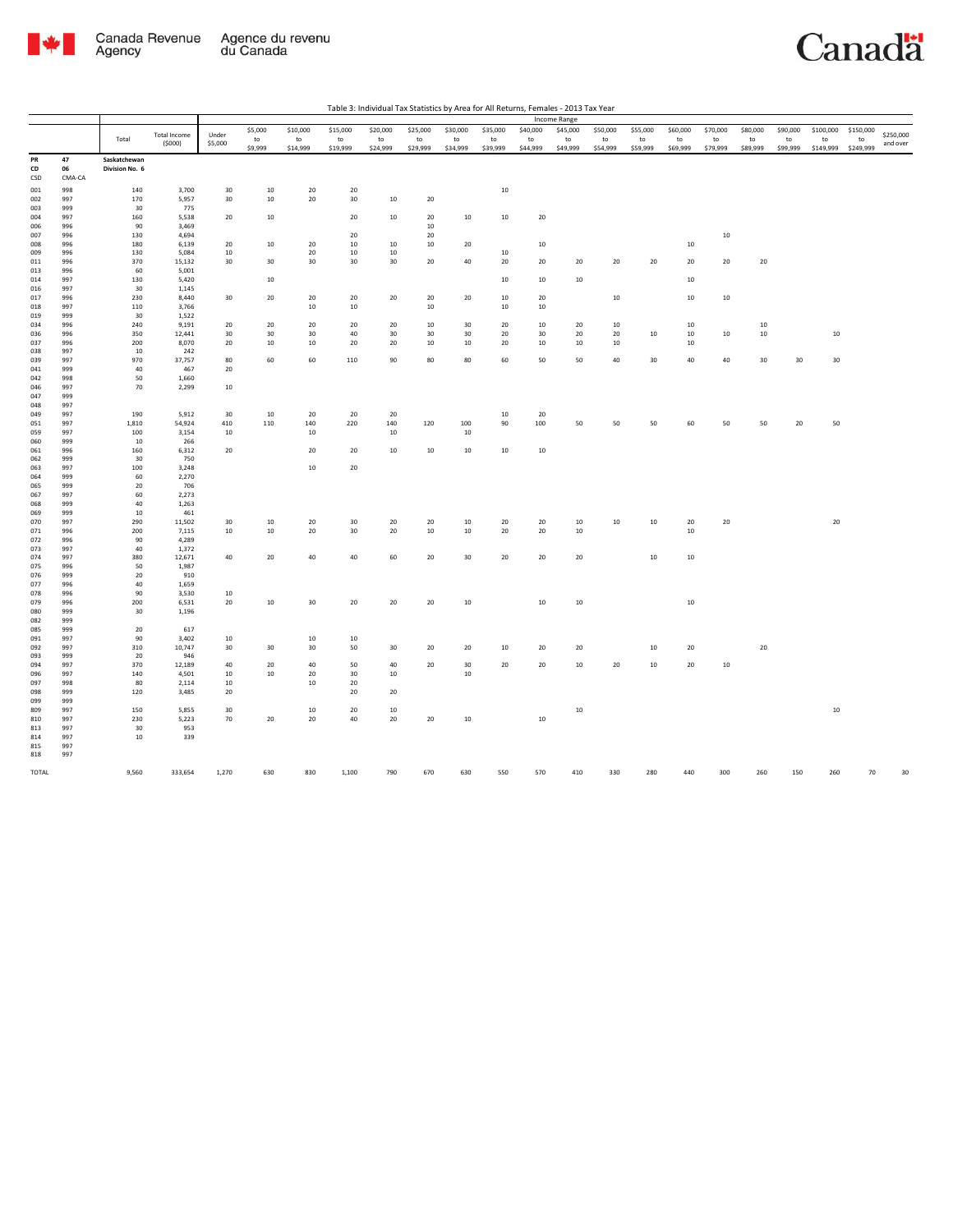

|                  |            |                                |                     |              |         |              |                  |          |          |          |          |          | Income Range |          |          |          |          |                 |          |           |           |           |
|------------------|------------|--------------------------------|---------------------|--------------|---------|--------------|------------------|----------|----------|----------|----------|----------|--------------|----------|----------|----------|----------|-----------------|----------|-----------|-----------|-----------|
|                  |            |                                | <b>Total Income</b> | Under        | \$5,000 | \$10,000     | \$15,000         | \$20,000 | \$25,000 | \$30,000 | \$35,000 | \$40,000 | \$45,000     | \$50,000 | \$55,000 | \$60,000 | \$70,000 | \$80,000        | \$90,000 | \$100,000 | \$150,000 | \$250,000 |
|                  |            | Total                          | (5000)              | \$5,000      | to      | to           | to               | to       | to       | to       | to       | to       | to           | to       | to       | to       | to       | to              | to       | to        | to        | and over  |
|                  |            |                                |                     |              | \$9,999 | \$14,999     | \$19,999         | \$24,999 | \$29,999 | \$34,999 | \$39,999 | \$44,999 | \$49,999     | \$54,999 | \$59,999 | \$69,999 | \$79,999 | \$89,999        | \$99,999 | \$149,999 | \$249,999 |           |
| PR<br>${\sf CD}$ | 47<br>06   | Saskatchewan<br>Division No. 6 |                     |              |         |              |                  |          |          |          |          |          |              |          |          |          |          |                 |          |           |           |           |
| CSD              | CMA-CA     |                                |                     |              |         |              |                  |          |          |          |          |          |              |          |          |          |          |                 |          |           |           |           |
| 001              | 998        | 140                            | 3,700               | 30           | 10      | 20           | $20\,$           |          |          |          | $10\,$   |          |              |          |          |          |          |                 |          |           |           |           |
| 002              | 997        | 170                            | 5,957               | 30           | 10      | $20\,$       | $30\,$           | 10       | 20       |          |          |          |              |          |          |          |          |                 |          |           |           |           |
| 003              | 999        | 30                             | 775                 |              |         |              |                  |          |          |          |          |          |              |          |          |          |          |                 |          |           |           |           |
| 004              | 997        | 160                            | 5,538               | 20           | 10      |              | 20               | 10       | 20       | 10       | 10       | 20       |              |          |          |          |          |                 |          |           |           |           |
| 006              | 996        | 90                             | 3,469               |              |         |              |                  |          | 10       |          |          |          |              |          |          |          |          |                 |          |           |           |           |
| 007              | 996        | 130                            | 4,694               |              |         |              | 20               |          | 20       |          |          |          |              |          |          |          | 10       |                 |          |           |           |           |
| 008<br>009       | 996<br>996 | 180<br>130                     | 6,139<br>5,084      | 20<br>10     | 10      | 20<br>20     | $10\,$<br>$10\,$ | 10<br>10 | 10       | 20       | $10\,$   | 10       |              |          |          | 10       |          |                 |          |           |           |           |
| 011              | 996        | 370                            | 15,132              | 30           | 30      | 30           | 30               | 30       | 20       | 40       | 20       | 20       | 20           | 20       | 20       | 20       | 20       | 20              |          |           |           |           |
| 013              | 996        | 60                             | 5,001               |              |         |              |                  |          |          |          |          |          |              |          |          |          |          |                 |          |           |           |           |
| 014              | 997        | 130                            | 5,420               |              | $10\,$  |              |                  |          |          |          | 10       | 10       | $10\,$       |          |          | $10\,$   |          |                 |          |           |           |           |
| 016              | 997        | 30                             | 1,145               |              |         |              |                  |          |          |          |          |          |              |          |          |          |          |                 |          |           |           |           |
| 017              | 996        | 230                            | 8,440               | 30           | 20      | 20           | 20               | 20       | 20       | 20       | 10       | 20       |              | $10\,$   |          | $10\,$   | 10       |                 |          |           |           |           |
| 018<br>019       | 997<br>999 | 110<br>30                      | 3,766<br>1,522      |              |         | $10\,$       | $10\,$           |          | $10\,$   |          | $10\,$   | $10\,$   |              |          |          |          |          |                 |          |           |           |           |
| 034              | 996        | 240                            | 9,191               | 20           | 20      | 20           | 20               | 20       | 10       | 30       | 20       | 10       | 20           | 10       |          | 10       |          | 10              |          |           |           |           |
| 036              | 996        | 350                            | 12,441              | 30           | 30      | 30           | 40               | 30       | 30       | 30       | 20       | 30       | 20           | 20       | 10       | 10       | 10       | 10              |          | 10        |           |           |
| 037              | 996        | 200                            | 8,070               | 20           | 10      | $10\,$       | 20               | 20       | $10\,$   | $10\,$   | 20       | 10       | 10           | 10       |          | 10       |          |                 |          |           |           |           |
| 038              | 997        | 10                             | 242                 |              |         |              |                  |          |          |          |          |          |              |          |          |          |          |                 |          |           |           |           |
| 039<br>041       | 997<br>999 | 970<br>40                      | 37,757<br>467       | 80<br>20     | 60      | 60           | 110              | 90       | 80       | 80       | 60       | 50       | 50           | 40       | 30       | 40       | 40       | 30 <sub>o</sub> | 30       | 30        |           |           |
| 042              | 998        | 50                             | 1,660               |              |         |              |                  |          |          |          |          |          |              |          |          |          |          |                 |          |           |           |           |
| 046              | 997        | 70                             | 2,299               | $10\,$       |         |              |                  |          |          |          |          |          |              |          |          |          |          |                 |          |           |           |           |
| 047              | 999        |                                |                     |              |         |              |                  |          |          |          |          |          |              |          |          |          |          |                 |          |           |           |           |
| 048              | 997        |                                |                     |              |         |              |                  |          |          |          |          |          |              |          |          |          |          |                 |          |           |           |           |
| 049              | 997        | 190                            | 5,912               | 30           | 10      | 20           | 20               | 20       |          |          | $10\,$   | 20       |              |          |          |          |          |                 |          |           |           |           |
| 051              | 997        | 1,810                          | 54,924              | 410          | 110     | 140          | 220              | 140      | 120      | 100      | 90       | 100      | 50           | 50       | 50       | 60       | 50       | 50              | 20       | 50        |           |           |
| 059<br>060       | 997<br>999 | 100<br>10                      | 3,154<br>266        | 10           |         | 10           |                  | 10       |          | $10\,$   |          |          |              |          |          |          |          |                 |          |           |           |           |
| 061              | 996        | 160                            | 6,312               | 20           |         | 20           | 20               | 10       | $10\,$   | $10\,$   | $10\,$   | 10       |              |          |          |          |          |                 |          |           |           |           |
| 062              | 999        | 30                             | 750                 |              |         |              |                  |          |          |          |          |          |              |          |          |          |          |                 |          |           |           |           |
| 063              | 997        | 100                            | 3,248               |              |         | $10\,$       | 20               |          |          |          |          |          |              |          |          |          |          |                 |          |           |           |           |
| 064              | 999        | 60                             | 2,270               |              |         |              |                  |          |          |          |          |          |              |          |          |          |          |                 |          |           |           |           |
| 065<br>067       | 999<br>997 | 20<br>60                       | 706<br>2,273        |              |         |              |                  |          |          |          |          |          |              |          |          |          |          |                 |          |           |           |           |
| 068              | 999        | 40                             | 1,263               |              |         |              |                  |          |          |          |          |          |              |          |          |          |          |                 |          |           |           |           |
| 069              | 999        | 10                             | 461                 |              |         |              |                  |          |          |          |          |          |              |          |          |          |          |                 |          |           |           |           |
| 070              | 997        | 290                            | 11,502              | 30           | 10      | 20           | 30               | 20       | 20       | 10       | 20       | 20       | 10           | 10       | 10       | 20       | 20       |                 |          | 20        |           |           |
| 071              | 996        | 200                            | 7,115               | 10           | $10\,$  | 20           | 30               | 20       | 10       | 10       | 20       | 20       | 10           |          |          | $10\,$   |          |                 |          |           |           |           |
| 072              | 996        | 90                             | 4,289               |              |         |              |                  |          |          |          |          |          |              |          |          |          |          |                 |          |           |           |           |
| 073<br>074       | 997<br>997 | 40<br>380                      | 1,372<br>12,671     | 40           | 20      | 40           | 40               | 60       | 20       | 30       | 20       | 20       | 20           |          | $10\,$   | $10\,$   |          |                 |          |           |           |           |
| 075              | 996        | 50                             | 1,987               |              |         |              |                  |          |          |          |          |          |              |          |          |          |          |                 |          |           |           |           |
| 076              | 999        | 20                             | 910                 |              |         |              |                  |          |          |          |          |          |              |          |          |          |          |                 |          |           |           |           |
| 077              | 996        | 40                             | 1,659               |              |         |              |                  |          |          |          |          |          |              |          |          |          |          |                 |          |           |           |           |
| 078              | 996        | 90                             | 3,530               | 10           |         |              |                  |          |          |          |          |          |              |          |          |          |          |                 |          |           |           |           |
| 079              | 996        | 200                            | 6,531               | 20           | 10      | 30           | 20               | 20       | 20       | $10\,$   |          | $10\,$   | $10\,$       |          |          | $10\,$   |          |                 |          |           |           |           |
| 080<br>082       | 999<br>999 | 30                             | 1,196               |              |         |              |                  |          |          |          |          |          |              |          |          |          |          |                 |          |           |           |           |
| 085              | 999        | 20                             | 617                 |              |         |              |                  |          |          |          |          |          |              |          |          |          |          |                 |          |           |           |           |
| 091              | 997        | 90                             | 3,402               | 10           |         | 10           | 10               |          |          |          |          |          |              |          |          |          |          |                 |          |           |           |           |
| 092              | 997        | 310                            | 10,747              | 30           | 30      | 30           | 50               | 30       | 20       | 20       | $10\,$   | 20       | 20           |          | 10       | 20       |          | 20              |          |           |           |           |
| 093              | 999        | 20                             | 946                 |              |         |              |                  |          |          |          |          |          |              |          |          |          |          |                 |          |           |           |           |
| 094              | 997        | 370                            | 12,189              | 40           | 20      | 40           | 50               | 40       | $20\,$   | 30       | 20       | 20       | 10           | 20       | 10       | 20       | $10\,$   |                 |          |           |           |           |
| 096<br>097       | 997<br>998 | 140<br>80                      | 4,501<br>2,114      | 10<br>$10\,$ | $10\,$  | 20<br>$10\,$ | 30<br>$20\,$     | $10\,$   |          | $10\,$   |          |          |              |          |          |          |          |                 |          |           |           |           |
| 098              | 999        | 120                            | 3,485               | 20           |         |              | 20               | 20       |          |          |          |          |              |          |          |          |          |                 |          |           |           |           |
| 099              | 999        |                                |                     |              |         |              |                  |          |          |          |          |          |              |          |          |          |          |                 |          |           |           |           |
| 809              | 997        | 150                            | 5,855               | 30           |         | 10           | 20               | 10       |          |          |          |          | $10\,$       |          |          |          |          |                 |          | $10\,$    |           |           |
| 810              | 997        | 230                            | 5,223               | 70           | 20      | 20           | 40               | 20       | 20       | 10       |          | $10\,$   |              |          |          |          |          |                 |          |           |           |           |
| 813<br>814       | 997<br>997 | 30<br>10                       | 953<br>339          |              |         |              |                  |          |          |          |          |          |              |          |          |          |          |                 |          |           |           |           |
| 815              | 997        |                                |                     |              |         |              |                  |          |          |          |          |          |              |          |          |          |          |                 |          |           |           |           |
| 818              | 997        |                                |                     |              |         |              |                  |          |          |          |          |          |              |          |          |          |          |                 |          |           |           |           |
|                  |            |                                |                     |              |         |              |                  |          |          |          |          |          |              |          |          |          |          |                 |          |           |           |           |
| TOTAL            |            | 9,560                          | 333,654             | 1,270        | 630     | 830          | 1,100            | 790      | 670      | 630      | 550      | 570      | 410          | 330      | 280      | 440      | 300      | 260             | 150      | 260       | 70        | 30        |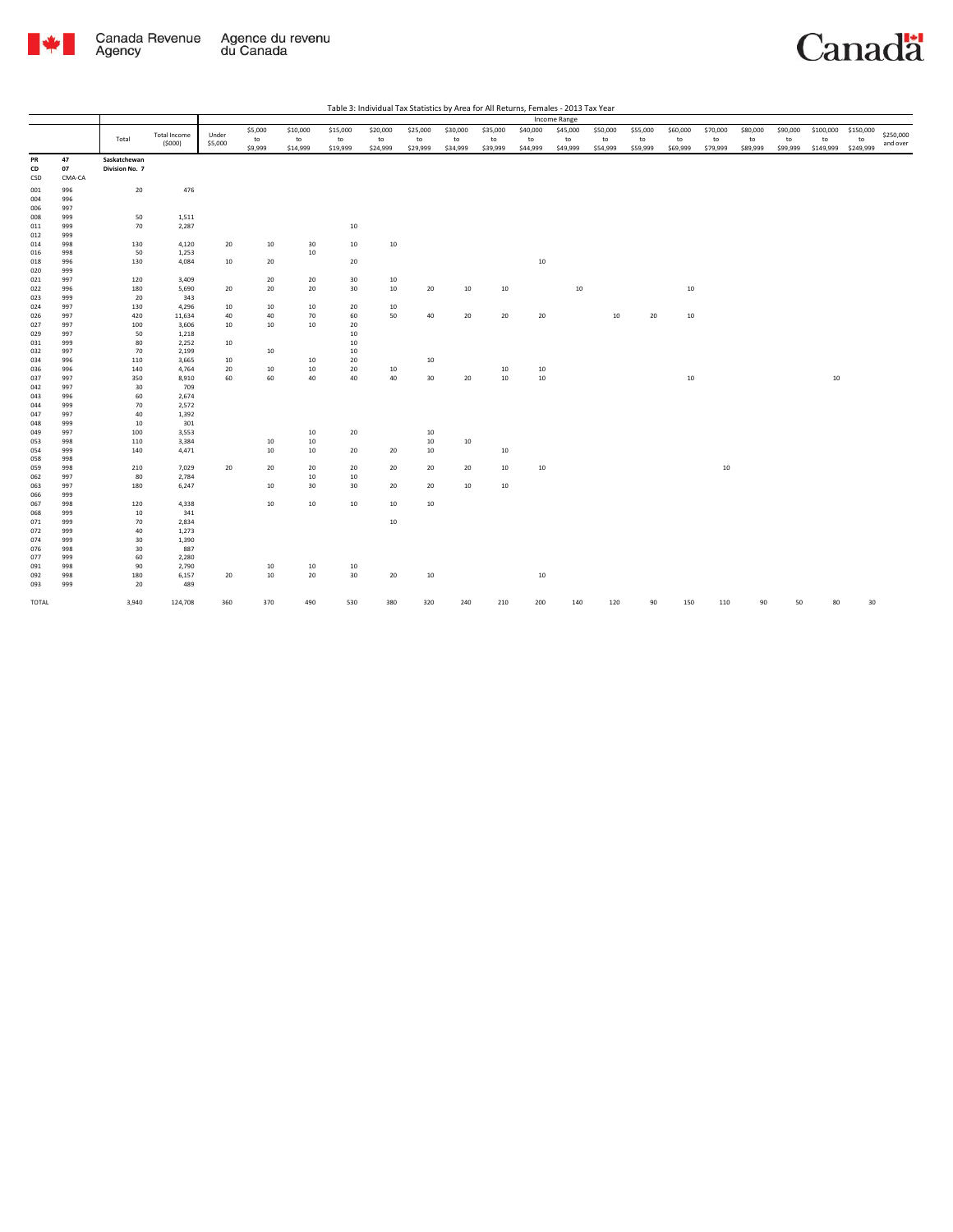

TOTAL

3,940

124,708

|            |            |                |                               |                  |                          |                            |                            |                            |                            |                            |                            |                            | Income Range               |                            |                            |                            |                            |                            |                            |                              |                              |                       |
|------------|------------|----------------|-------------------------------|------------------|--------------------------|----------------------------|----------------------------|----------------------------|----------------------------|----------------------------|----------------------------|----------------------------|----------------------------|----------------------------|----------------------------|----------------------------|----------------------------|----------------------------|----------------------------|------------------------------|------------------------------|-----------------------|
|            |            | Total          | <b>Total Income</b><br>(5000) | Under<br>\$5,000 | \$5,000<br>to<br>\$9,999 | \$10,000<br>to<br>\$14,999 | \$15,000<br>to<br>\$19,999 | \$20,000<br>to<br>\$24,999 | \$25,000<br>to<br>\$29,999 | \$30,000<br>to<br>\$34,999 | \$35,000<br>to<br>\$39,999 | \$40,000<br>to<br>\$44,999 | \$45,000<br>to<br>\$49,999 | \$50,000<br>to<br>\$54,999 | \$55,000<br>to<br>\$59,999 | \$60,000<br>to<br>\$69,999 | \$70,000<br>to<br>\$79,999 | \$80,000<br>to<br>\$89,999 | \$90,000<br>to<br>\$99,999 | \$100,000<br>to<br>\$149,999 | \$150,000<br>to<br>\$249,999 | \$250,000<br>and over |
| PR         | 47         | Saskatchewan   |                               |                  |                          |                            |                            |                            |                            |                            |                            |                            |                            |                            |                            |                            |                            |                            |                            |                              |                              |                       |
| CD         | 07         | Division No. 7 |                               |                  |                          |                            |                            |                            |                            |                            |                            |                            |                            |                            |                            |                            |                            |                            |                            |                              |                              |                       |
| CSD        | CMA-CA     |                |                               |                  |                          |                            |                            |                            |                            |                            |                            |                            |                            |                            |                            |                            |                            |                            |                            |                              |                              |                       |
| 001        | 996        | 20             | 476                           |                  |                          |                            |                            |                            |                            |                            |                            |                            |                            |                            |                            |                            |                            |                            |                            |                              |                              |                       |
| 004        | 996        |                |                               |                  |                          |                            |                            |                            |                            |                            |                            |                            |                            |                            |                            |                            |                            |                            |                            |                              |                              |                       |
| 006        | 997        |                |                               |                  |                          |                            |                            |                            |                            |                            |                            |                            |                            |                            |                            |                            |                            |                            |                            |                              |                              |                       |
| 008        | 999        | 50             | 1,511                         |                  |                          |                            |                            |                            |                            |                            |                            |                            |                            |                            |                            |                            |                            |                            |                            |                              |                              |                       |
| 011        | 999        | 70             | 2,287                         |                  |                          |                            | $10\,$                     |                            |                            |                            |                            |                            |                            |                            |                            |                            |                            |                            |                            |                              |                              |                       |
| 012        | 999<br>998 | 130            |                               |                  |                          |                            | 10                         | $10\,$                     |                            |                            |                            |                            |                            |                            |                            |                            |                            |                            |                            |                              |                              |                       |
| 014        | 998        | 50             | 4,120<br>1,253                | 20               | 10                       | 30<br>10                   |                            |                            |                            |                            |                            |                            |                            |                            |                            |                            |                            |                            |                            |                              |                              |                       |
| 016<br>018 | 996        | 130            | 4,084                         | 10               | 20                       |                            | 20                         |                            |                            |                            |                            | $10\,$                     |                            |                            |                            |                            |                            |                            |                            |                              |                              |                       |
| 020        | 999        |                |                               |                  |                          |                            |                            |                            |                            |                            |                            |                            |                            |                            |                            |                            |                            |                            |                            |                              |                              |                       |
| 021        | 997        | 120            | 3,409                         |                  | 20                       | 20                         | 30                         | 10                         |                            |                            |                            |                            |                            |                            |                            |                            |                            |                            |                            |                              |                              |                       |
| 022        | 996        | 180            | 5,690                         | 20               | 20                       | 20                         | 30                         | 10                         | 20                         | 10                         | 10                         |                            | 10                         |                            |                            | 10                         |                            |                            |                            |                              |                              |                       |
| 023        | 999        | 20             | 343                           |                  |                          |                            |                            |                            |                            |                            |                            |                            |                            |                            |                            |                            |                            |                            |                            |                              |                              |                       |
| 024        | 997        | 130            | 4,296                         | 10               | 10                       | 10                         | 20                         | 10                         |                            |                            |                            |                            |                            |                            |                            |                            |                            |                            |                            |                              |                              |                       |
| 026        | 997        | 420            | 11,634                        | 40               | 40                       | 70                         | 60                         | 50                         | 40                         | 20                         | 20                         | 20                         |                            | 10                         | 20                         | 10                         |                            |                            |                            |                              |                              |                       |
| 027        | 997        | 100            | 3,606                         | 10               | $10\,$                   | 10                         | 20                         |                            |                            |                            |                            |                            |                            |                            |                            |                            |                            |                            |                            |                              |                              |                       |
| 029        | 997        | 50             | 1,218                         |                  |                          |                            | $10\,$                     |                            |                            |                            |                            |                            |                            |                            |                            |                            |                            |                            |                            |                              |                              |                       |
| 031        | 999        | 80             | 2,252                         | 10               |                          |                            | $10\,$                     |                            |                            |                            |                            |                            |                            |                            |                            |                            |                            |                            |                            |                              |                              |                       |
| 032        | 997        | 70             | 2,199                         |                  | 10                       |                            | 10                         |                            |                            |                            |                            |                            |                            |                            |                            |                            |                            |                            |                            |                              |                              |                       |
| 034        | 996        | 110            | 3,665                         | 10               |                          | 10                         | 20                         |                            | 10                         |                            |                            |                            |                            |                            |                            |                            |                            |                            |                            |                              |                              |                       |
| 036        | 996        | 140            | 4,764                         | 20               | 10                       | $10\,$                     | 20<br>40                   | 10                         |                            |                            | 10                         | 10                         |                            |                            |                            |                            |                            |                            |                            |                              |                              |                       |
| 037<br>042 | 997<br>997 | 350<br>30      | 8,910<br>709                  | 60               | 60                       | $40\,$                     |                            | 40                         | 30                         | 20                         | $10\,$                     | $10\,$                     |                            |                            |                            | $10\,$                     |                            |                            |                            | 10                           |                              |                       |
| 043        | 996        | 60             | 2,674                         |                  |                          |                            |                            |                            |                            |                            |                            |                            |                            |                            |                            |                            |                            |                            |                            |                              |                              |                       |
| 044        | 999        | 70             | 2,572                         |                  |                          |                            |                            |                            |                            |                            |                            |                            |                            |                            |                            |                            |                            |                            |                            |                              |                              |                       |
| 047        | 997        | 40             | 1,392                         |                  |                          |                            |                            |                            |                            |                            |                            |                            |                            |                            |                            |                            |                            |                            |                            |                              |                              |                       |
| 048        | 999        | 10             | 301                           |                  |                          |                            |                            |                            |                            |                            |                            |                            |                            |                            |                            |                            |                            |                            |                            |                              |                              |                       |
| 049        | 997        | 100            | 3,553                         |                  |                          | 10                         | ${\bf 20}$                 |                            | 10                         |                            |                            |                            |                            |                            |                            |                            |                            |                            |                            |                              |                              |                       |
| 053        | 998        | 110            | 3,384                         |                  | 10                       | 10                         |                            |                            | 10                         | 10                         |                            |                            |                            |                            |                            |                            |                            |                            |                            |                              |                              |                       |
| 054        | 999        | 140            | 4,471                         |                  | $10\,$                   | 10                         | 20                         | 20                         | $10\,$                     |                            | 10                         |                            |                            |                            |                            |                            |                            |                            |                            |                              |                              |                       |
| 058        | 998        |                |                               |                  |                          |                            |                            |                            |                            |                            |                            |                            |                            |                            |                            |                            |                            |                            |                            |                              |                              |                       |
| 059        | 998        | 210            | 7,029                         | 20               | 20                       | 20                         | 20                         | 20                         | 20                         | 20                         | 10                         | 10                         |                            |                            |                            |                            | 10                         |                            |                            |                              |                              |                       |
| 062        | 997        | 80             | 2,784                         |                  |                          | 10                         | 10                         |                            |                            |                            |                            |                            |                            |                            |                            |                            |                            |                            |                            |                              |                              |                       |
| 063        | 997        | 180            | 6,247                         |                  | $10\,$                   | 30                         | 30                         | 20                         | 20                         | 10                         | 10                         |                            |                            |                            |                            |                            |                            |                            |                            |                              |                              |                       |
| 066        | 999        |                |                               |                  |                          |                            |                            |                            |                            |                            |                            |                            |                            |                            |                            |                            |                            |                            |                            |                              |                              |                       |
| 067<br>068 | 998<br>999 | 120            | 4,338<br>341                  |                  | $10\,$                   | $10\,$                     | 10                         | 10                         | 10                         |                            |                            |                            |                            |                            |                            |                            |                            |                            |                            |                              |                              |                       |
| 071        | 999        | 10<br>70       | 2,834                         |                  |                          |                            |                            | 10                         |                            |                            |                            |                            |                            |                            |                            |                            |                            |                            |                            |                              |                              |                       |
| 072        | 999        | 40             | 1,273                         |                  |                          |                            |                            |                            |                            |                            |                            |                            |                            |                            |                            |                            |                            |                            |                            |                              |                              |                       |
| 074        | 999        | 30             | 1,390                         |                  |                          |                            |                            |                            |                            |                            |                            |                            |                            |                            |                            |                            |                            |                            |                            |                              |                              |                       |
| 076        | 998        | 30             | 887                           |                  |                          |                            |                            |                            |                            |                            |                            |                            |                            |                            |                            |                            |                            |                            |                            |                              |                              |                       |
| 077        | 999        | 60             | 2,280                         |                  |                          |                            |                            |                            |                            |                            |                            |                            |                            |                            |                            |                            |                            |                            |                            |                              |                              |                       |
| 091        | 998        | 90             | 2,790                         |                  | 10                       | 10                         | 10                         |                            |                            |                            |                            |                            |                            |                            |                            |                            |                            |                            |                            |                              |                              |                       |
| 092        | 998        | 180            | 6,157                         | 20               | $10\,$                   | 20                         | 30                         | 20                         | 10                         |                            |                            | $10\,$                     |                            |                            |                            |                            |                            |                            |                            |                              |                              |                       |
| 093        | 999        | 20             | 489                           |                  |                          |                            |                            |                            |                            |                            |                            |                            |                            |                            |                            |                            |                            |                            |                            |                              |                              |                       |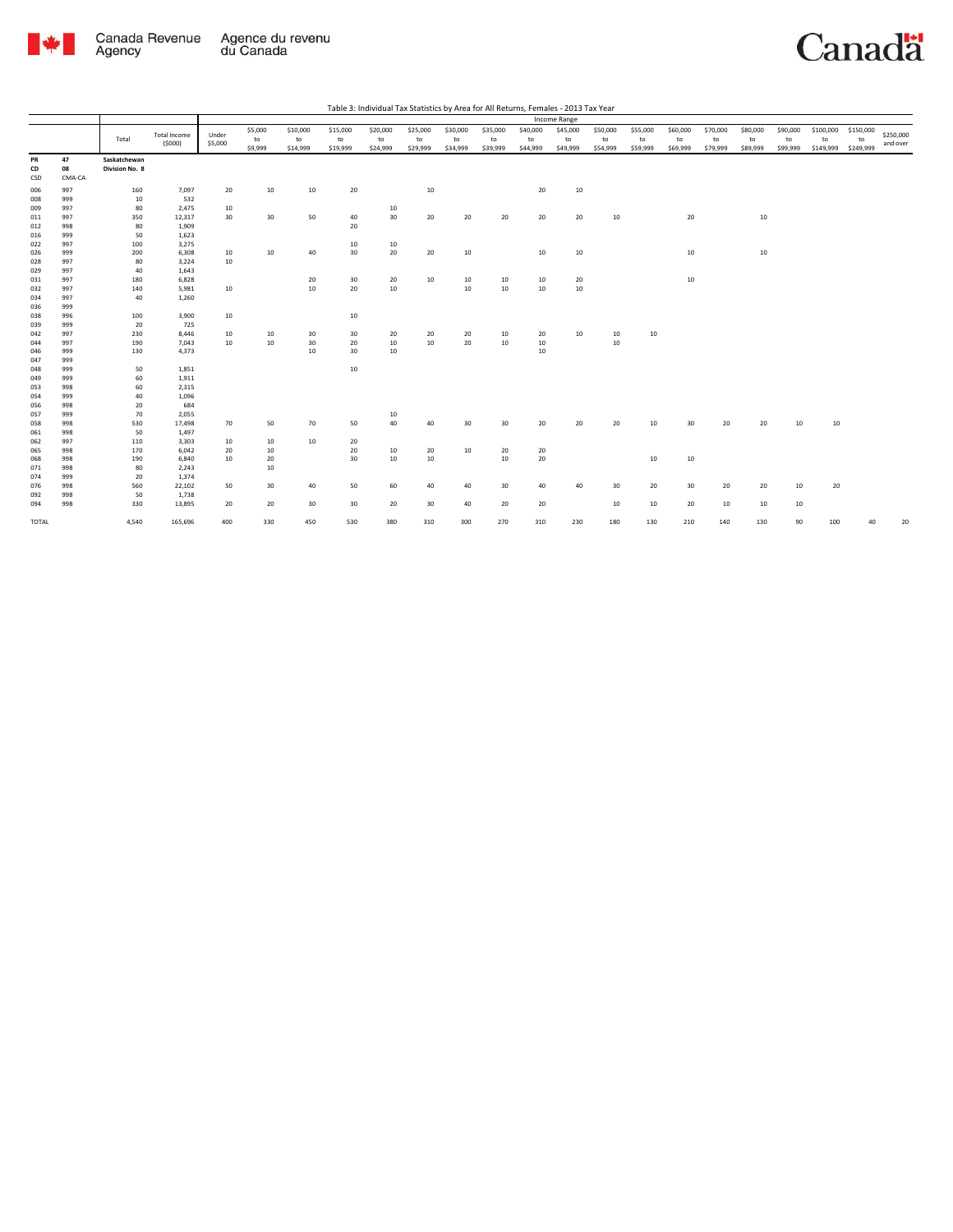

|                 |                    |                                |                     |         |         |          |          |          |            |          |          |          | Income Range |          |          |          |          |          |          |           |           |           |
|-----------------|--------------------|--------------------------------|---------------------|---------|---------|----------|----------|----------|------------|----------|----------|----------|--------------|----------|----------|----------|----------|----------|----------|-----------|-----------|-----------|
|                 |                    |                                |                     |         | \$5,000 | \$10,000 | \$15,000 | \$20,000 | \$25,000   | \$30,000 | \$35,000 | \$40,000 | \$45,000     | \$50,000 | \$55,000 | \$60,000 | \$70,000 | \$80,000 | \$90,000 | \$100,000 | \$150,000 | \$250,000 |
|                 |                    | Total                          | <b>Total Income</b> | Under   | to      | to       | to       | to       | ${\sf to}$ | to       | to       | to       | to           | to       | to       | to       | to       | to       | to       | to        | to        |           |
|                 |                    |                                | (5000)              | \$5,000 | \$9,999 | \$14,999 | \$19,999 | \$24,999 | \$29,999   | \$34,999 | \$39,999 | \$44,999 | \$49,999     | \$54,999 | \$59,999 | \$69,999 | \$79,999 | \$89,999 | \$99,999 | \$149,999 | \$249,999 | and over  |
| PR<br>CD<br>CSD | 47<br>08<br>CMA-CA | Saskatchewan<br>Division No. 8 |                     |         |         |          |          |          |            |          |          |          |              |          |          |          |          |          |          |           |           |           |
| 006             | 997                | 160                            | 7,097               | 20      | 10      | 10       | 20       |          | 10         |          |          | 20       | 10           |          |          |          |          |          |          |           |           |           |
| 008             | 999                | 10                             | 532                 |         |         |          |          |          |            |          |          |          |              |          |          |          |          |          |          |           |           |           |
| 009             | 997                | 80                             | 2,475               | 10      |         |          |          | 10       |            |          |          |          |              |          |          |          |          |          |          |           |           |           |
| 011             | 997                | 350                            | 12,317              | 30      | 30      | 50       | 40       | 30       | 20         | 20       | 20       | 20       | 20           | 10       |          | 20       |          | 10       |          |           |           |           |
| 012             | 998                | 80                             | 1,909               |         |         |          | 20       |          |            |          |          |          |              |          |          |          |          |          |          |           |           |           |
| 016             | 999                | 50                             | 1,623               |         |         |          |          |          |            |          |          |          |              |          |          |          |          |          |          |           |           |           |
| 022             | 997                | 100                            | 3,275               |         |         |          | 10       | 10       |            |          |          |          |              |          |          |          |          |          |          |           |           |           |
| 026             | 999                | 200                            | 6,308               | 10      | 10      | 40       | 30       | 20       | 20         | 10       |          | $10\,$   | 10           |          |          | 10       |          | 10       |          |           |           |           |
| 028             | 997                | 80                             | 3,224               | 10      |         |          |          |          |            |          |          |          |              |          |          |          |          |          |          |           |           |           |
| 029             | 997                | 40                             | 1,643               |         |         |          |          |          |            |          |          |          |              |          |          |          |          |          |          |           |           |           |
| 031             | 997                | 180                            | 6,828               |         |         | 20       | 30       | 20       | 10         | 10       | 10       | 10       | 20           |          |          | 10       |          |          |          |           |           |           |
| 032             | 997                | 140                            | 5,981               | 10      |         | 10       | 20       | 10       |            | 10       | 10       | 10       | 10           |          |          |          |          |          |          |           |           |           |
| 034             | 997                | 40                             | 1,260               |         |         |          |          |          |            |          |          |          |              |          |          |          |          |          |          |           |           |           |
| 036             | 999                |                                |                     |         |         |          |          |          |            |          |          |          |              |          |          |          |          |          |          |           |           |           |
| 038             | 996                | 100                            | 3,900               | 10      |         |          | $10\,$   |          |            |          |          |          |              |          |          |          |          |          |          |           |           |           |
| 039             | 999                | 20                             | 725                 |         |         |          |          |          |            |          |          |          |              |          |          |          |          |          |          |           |           |           |
| 042             | 997                | 230                            | 8,446               | 10      | 10      | 30       | 30       | 20       | 20         | 20       | 10       | 20       | 10           | 10       | 10       |          |          |          |          |           |           |           |
| 044             | 997                | 190                            | 7,043               | 10      | 10      | 30       | 20       | 10       | 10         | 20       | 10       | 10       |              | 10       |          |          |          |          |          |           |           |           |
| 046             | 999                | 130                            | 4,373               |         |         | 10       | 30       | 10       |            |          |          | 10       |              |          |          |          |          |          |          |           |           |           |
| 047             | 999                |                                |                     |         |         |          |          |          |            |          |          |          |              |          |          |          |          |          |          |           |           |           |
| 048             | 999                | 50                             | 1,851               |         |         |          | 10       |          |            |          |          |          |              |          |          |          |          |          |          |           |           |           |
| 049             | 999                | 60                             | 1,911               |         |         |          |          |          |            |          |          |          |              |          |          |          |          |          |          |           |           |           |
| 053             | 998                | 60                             | 2,315               |         |         |          |          |          |            |          |          |          |              |          |          |          |          |          |          |           |           |           |
| 054             | 999                | 40                             | 1,096               |         |         |          |          |          |            |          |          |          |              |          |          |          |          |          |          |           |           |           |
| 056             | 998                | 20                             | 684                 |         |         |          |          |          |            |          |          |          |              |          |          |          |          |          |          |           |           |           |
| 057             | 999                | 70                             | 2,055               |         |         |          |          | 10       |            |          |          |          |              |          |          |          |          |          |          |           |           |           |
| 058             | 998                | 530                            | 17,498              | 70      | 50      | 70       | 50       | 40       | 40         | 30       | 30       | 20       | 20           | 20       | 10       | 30       | 20       | 20       | 10       | 10        |           |           |
| 061             | 998                | 50                             | 1,497               |         |         |          |          |          |            |          |          |          |              |          |          |          |          |          |          |           |           |           |
| 062             | 997                | 110                            | 3,303               | 10      | 10      | 10       | 20       |          |            |          |          |          |              |          |          |          |          |          |          |           |           |           |
| 065             | 998                | 170                            | 6,042               | 20      | 10      |          | 20       | 10       | 20         | 10       | 20       | 20       |              |          |          |          |          |          |          |           |           |           |
| 068             | 998                | 190                            | 6,840               | 10      | 20      |          | 30       | 10       | $10\,$     |          | 10       | 20       |              |          | 10       | 10       |          |          |          |           |           |           |
| 071             | 998                | 80                             | 2,243               |         | 10      |          |          |          |            |          |          |          |              |          |          |          |          |          |          |           |           |           |
| 074             | 999                | 20                             | 1,374               |         |         |          |          |          |            |          |          |          |              |          |          |          |          |          |          |           |           |           |
| 076             | 998                | 560                            | 22,102              | 50      | 30      | 40       | 50       | 60       | 40         | 40       | 30       | 40       | 40           | 30       | 20       | 30       | 20       | 20       | 10       | 20        |           |           |
| 092             | 998                | 50                             | 1,738               |         |         |          |          |          |            |          |          |          |              |          |          |          |          |          |          |           |           |           |
| 094             | 998                | 330                            | 13,895              | 20      | 20      | 30       | 30       | 20       | 30         | 40       | 20       | 20       |              | 10       | 10       | 20       | 10       | 10       | 10       |           |           |           |
| TOTAL           |                    | 4,540                          | 165,696             | 400     | 330     | 450      | 530      | 380      | 310        | 300      | 270      | 310      | 230          | 180      | 130      | 210      | 140      | 130      | 90       | 100       | 40        | 20        |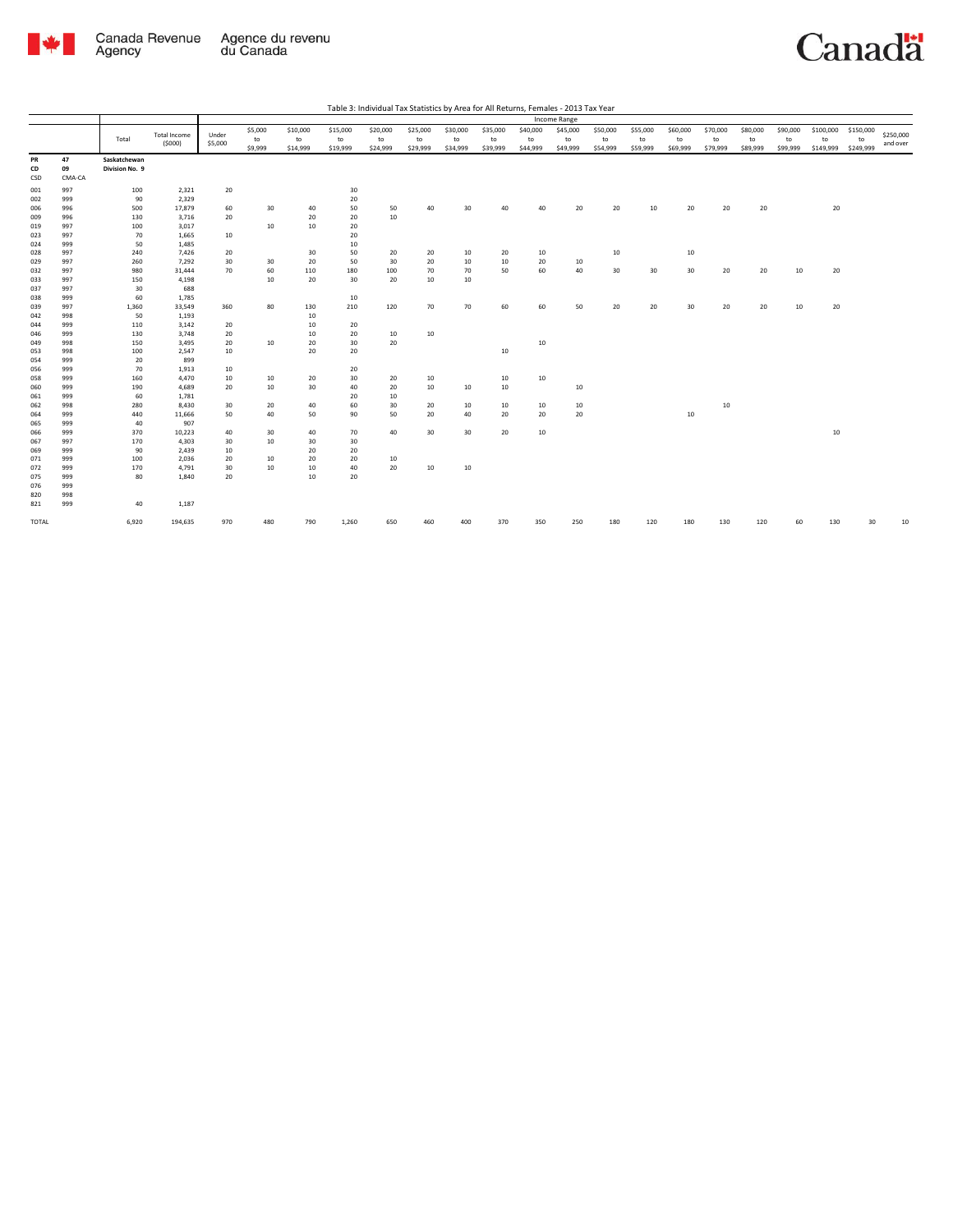

| Table 3: Individual Tax Statistics by Area for All Returns, Females - 2013 Tax Year |
|-------------------------------------------------------------------------------------|
|                                                                                     |

|                 |                    |                                |                        |                  |                          |                            |                            |                            |                            |                            |                            |                            | Income Range               |                            |                            |                            |                            |                            |                            |                              |                              |                       |
|-----------------|--------------------|--------------------------------|------------------------|------------------|--------------------------|----------------------------|----------------------------|----------------------------|----------------------------|----------------------------|----------------------------|----------------------------|----------------------------|----------------------------|----------------------------|----------------------------|----------------------------|----------------------------|----------------------------|------------------------------|------------------------------|-----------------------|
|                 |                    | Total                          | Total Income<br>(5000) | Under<br>\$5,000 | \$5,000<br>to<br>\$9,999 | \$10,000<br>to<br>\$14,999 | \$15,000<br>to<br>\$19,999 | \$20,000<br>to<br>\$24,999 | \$25,000<br>to<br>\$29,999 | \$30,000<br>to<br>\$34,999 | \$35,000<br>to<br>\$39,999 | \$40,000<br>to<br>\$44,999 | \$45,000<br>to<br>\$49,999 | \$50,000<br>to<br>\$54,999 | \$55,000<br>to<br>\$59,999 | \$60,000<br>to<br>\$69,999 | \$70,000<br>to<br>\$79,999 | \$80,000<br>to<br>\$89,999 | \$90,000<br>to<br>\$99,999 | \$100,000<br>to<br>\$149,999 | \$150,000<br>to<br>\$249,999 | \$250,000<br>and over |
| PR<br>CD<br>CSD | 47<br>09<br>CMA-CA | Saskatchewan<br>Division No. 9 |                        |                  |                          |                            |                            |                            |                            |                            |                            |                            |                            |                            |                            |                            |                            |                            |                            |                              |                              |                       |
| 001             | 997                | 100                            | 2,321                  | 20               |                          |                            | 30                         |                            |                            |                            |                            |                            |                            |                            |                            |                            |                            |                            |                            |                              |                              |                       |
| 002             | 999                | 90                             | 2,329                  |                  |                          |                            | 20                         |                            |                            |                            |                            |                            |                            |                            |                            |                            |                            |                            |                            |                              |                              |                       |
| 006             | 996                | 500                            | 17,879                 | 60               | 30                       | 40                         | 50                         | 50                         | 40                         | 30                         | 40                         | 40                         | 20                         | 20                         | 10                         | 20                         | 20                         | 20                         |                            | 20                           |                              |                       |
| 009             | 996                | 130                            | 3,716                  | 20               |                          | 20                         | 20                         | 10                         |                            |                            |                            |                            |                            |                            |                            |                            |                            |                            |                            |                              |                              |                       |
| 019             | 997                | 100                            | 3,017                  |                  | 10                       | 10                         | 20                         |                            |                            |                            |                            |                            |                            |                            |                            |                            |                            |                            |                            |                              |                              |                       |
| 023             | 997                | 70                             | 1,665                  | 10               |                          |                            | 20                         |                            |                            |                            |                            |                            |                            |                            |                            |                            |                            |                            |                            |                              |                              |                       |
| 024             | 999                | 50                             | 1,485                  |                  |                          |                            | 10                         |                            |                            |                            |                            |                            |                            |                            |                            |                            |                            |                            |                            |                              |                              |                       |
| 028             | 997                | 240                            | 7,426                  | 20               |                          | 30                         | 50                         | 20                         | 20                         | 10                         | 20                         | 10                         |                            | 10                         |                            | 10                         |                            |                            |                            |                              |                              |                       |
| 029             | 997                | 260                            | 7,292                  | 30               | 30                       | 20                         | 50                         | 30                         | 20                         | 10                         | 10                         | 20                         | 10                         |                            |                            |                            |                            |                            |                            |                              |                              |                       |
| 032             | 997                | 980                            | 31,444                 | 70               | 60                       | 110                        | 180                        | 100                        | 70                         | 70                         | 50                         | 60                         | 40                         | 30                         | 30                         | 30                         | 20                         | 20                         | 10                         | 20                           |                              |                       |
| 033             | 997                | 150                            | 4,198                  |                  | 10                       | 20                         | 30                         | 20                         | 10                         | 10                         |                            |                            |                            |                            |                            |                            |                            |                            |                            |                              |                              |                       |
| 037             | 997                | 30                             | 688                    |                  |                          |                            |                            |                            |                            |                            |                            |                            |                            |                            |                            |                            |                            |                            |                            |                              |                              |                       |
| 038             | 999                | 60                             | 1,785                  |                  |                          |                            | 10                         |                            |                            |                            |                            |                            |                            |                            |                            |                            |                            |                            |                            |                              |                              |                       |
| 039             | 997<br>998         | 1,360<br>50                    | 33,549<br>1,193        | 360              | 80                       | 130                        | 210                        | 120                        | 70                         | 70                         | 60                         | 60                         | 50                         | 20                         | 20                         | 30                         | 20                         | 20                         | 10                         | 20                           |                              |                       |
| 042             | 999                | 110                            | 3,142                  | 20               |                          | 10<br>10                   | 20                         |                            |                            |                            |                            |                            |                            |                            |                            |                            |                            |                            |                            |                              |                              |                       |
| 044<br>046      | 999                | 130                            | 3,748                  | 20               |                          | 10                         | 20                         | 10                         | 10                         |                            |                            |                            |                            |                            |                            |                            |                            |                            |                            |                              |                              |                       |
| 049             | 998                | 150                            | 3,495                  | 20               | 10                       | 20                         | 30                         | 20                         |                            |                            |                            | $10\,$                     |                            |                            |                            |                            |                            |                            |                            |                              |                              |                       |
| 053             | 998                | 100                            | 2,547                  | 10               |                          | 20                         | 20                         |                            |                            |                            | 10                         |                            |                            |                            |                            |                            |                            |                            |                            |                              |                              |                       |
| 054             | 999                | 20                             | 899                    |                  |                          |                            |                            |                            |                            |                            |                            |                            |                            |                            |                            |                            |                            |                            |                            |                              |                              |                       |
| 056             | 999                | 70                             | 1,913                  | 10               |                          |                            | 20                         |                            |                            |                            |                            |                            |                            |                            |                            |                            |                            |                            |                            |                              |                              |                       |
| 058             | 999                | 160                            | 4,470                  | 10               | 10                       | 20                         | 30                         | 20                         | 10                         |                            | 10                         | 10                         |                            |                            |                            |                            |                            |                            |                            |                              |                              |                       |
| 060             | 999                | 190                            | 4,689                  | 20               | 10                       | 30                         | 40                         | 20                         | 10                         | 10                         | 10                         |                            | 10                         |                            |                            |                            |                            |                            |                            |                              |                              |                       |
| 061             | 999                | 60                             | 1,781                  |                  |                          |                            | 20                         | 10                         |                            |                            |                            |                            |                            |                            |                            |                            |                            |                            |                            |                              |                              |                       |
| 062             | 998                | 280                            | 8,430                  | 30               | 20                       | 40                         | 60                         | 30                         | 20                         | 10                         | 10                         | 10                         | 10                         |                            |                            |                            | 10                         |                            |                            |                              |                              |                       |
| 064             | 999                | 440                            | 11,666                 | 50               | 40                       | 50                         | 90                         | 50                         | 20                         | 40                         | 20                         | 20                         | 20                         |                            |                            | 10                         |                            |                            |                            |                              |                              |                       |
| 065             | 999                | 40                             | 907                    |                  |                          |                            |                            |                            |                            |                            |                            |                            |                            |                            |                            |                            |                            |                            |                            |                              |                              |                       |
| 066             | 999                | 370                            | 10,223                 | 40               | 30                       | 40                         | 70                         | 40                         | 30                         | 30                         | 20                         | $10\,$                     |                            |                            |                            |                            |                            |                            |                            | 10                           |                              |                       |
| 067             | 997                | 170                            | 4,303                  | 30               | 10                       | 30                         | 30                         |                            |                            |                            |                            |                            |                            |                            |                            |                            |                            |                            |                            |                              |                              |                       |
| 069             | 999                | 90                             | 2,439                  | 10               |                          | 20                         | 20                         |                            |                            |                            |                            |                            |                            |                            |                            |                            |                            |                            |                            |                              |                              |                       |
| 071             | 999                | 100                            | 2,036                  | 20               | 10                       | 20                         | 20                         | 10                         |                            |                            |                            |                            |                            |                            |                            |                            |                            |                            |                            |                              |                              |                       |
| 072             | 999                | 170                            | 4,791                  | 30               | 10                       | 10                         | 40                         | 20                         | 10                         | 10                         |                            |                            |                            |                            |                            |                            |                            |                            |                            |                              |                              |                       |
| 075             | 999                | 80                             | 1.840                  | 20               |                          | 10                         | 20                         |                            |                            |                            |                            |                            |                            |                            |                            |                            |                            |                            |                            |                              |                              |                       |
| 076             | 999                |                                |                        |                  |                          |                            |                            |                            |                            |                            |                            |                            |                            |                            |                            |                            |                            |                            |                            |                              |                              |                       |
| 820             | 998                |                                |                        |                  |                          |                            |                            |                            |                            |                            |                            |                            |                            |                            |                            |                            |                            |                            |                            |                              |                              |                       |
| 821             | 999                | 40                             | 1,187                  |                  |                          |                            |                            |                            |                            |                            |                            |                            |                            |                            |                            |                            |                            |                            |                            |                              |                              |                       |
| TOTAL           |                    | 6,920                          | 194,635                | 970              | 480                      | 790                        | 1,260                      | 650                        | 460                        | 400                        | 370                        | 350                        | 250                        | 180                        | 120                        | 180                        | 130                        | 120                        | 60                         | 130                          | 30                           | 10                    |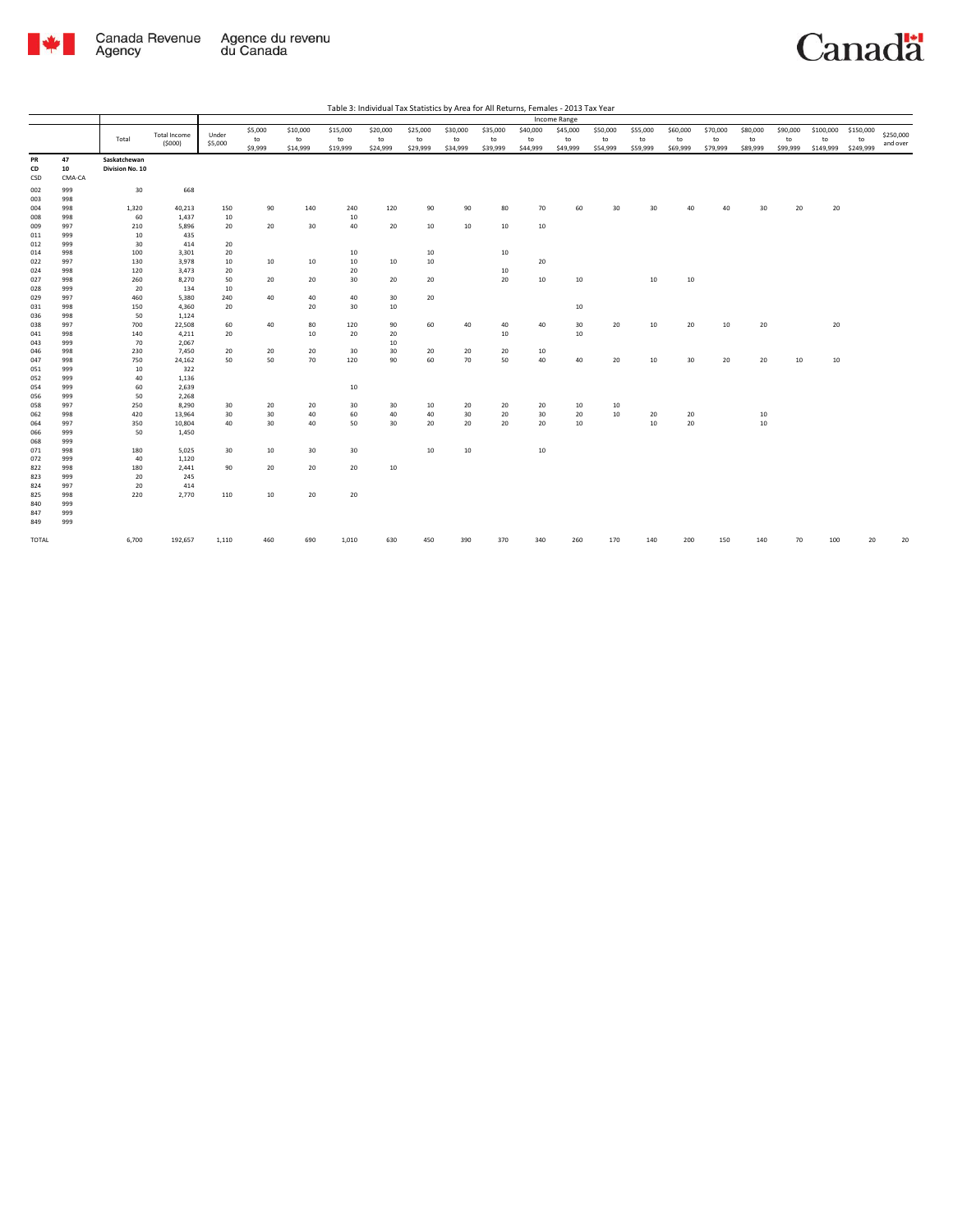

Total

Canadä

|                               |                  |                          |                            |                            | Table 3: Individual Tax Statistics by Area for All Returns, Females - 2013 Tax Year |                            |                            |                            |                            |                            |                            |                            |                            |                            |                            |                            |                              |                              |                       |
|-------------------------------|------------------|--------------------------|----------------------------|----------------------------|-------------------------------------------------------------------------------------|----------------------------|----------------------------|----------------------------|----------------------------|----------------------------|----------------------------|----------------------------|----------------------------|----------------------------|----------------------------|----------------------------|------------------------------|------------------------------|-----------------------|
|                               |                  |                          |                            |                            |                                                                                     |                            |                            |                            |                            | Income Range               |                            |                            |                            |                            |                            |                            |                              |                              |                       |
| <b>Total Income</b><br>(5000) | Under<br>\$5,000 | \$5,000<br>to<br>\$9,999 | \$10,000<br>to<br>\$14,999 | \$15,000<br>to<br>\$19,999 | \$20,000<br>to<br>\$24,999                                                          | \$25,000<br>to<br>\$29,999 | \$30,000<br>to<br>\$34,999 | \$35,000<br>to<br>\$39,999 | \$40,000<br>to<br>\$44,999 | \$45,000<br>to<br>\$49,999 | \$50,000<br>to<br>\$54,999 | \$55,000<br>to<br>\$59,999 | \$60,000<br>to<br>\$69,999 | \$70,000<br>to<br>\$79,999 | \$80,000<br>to<br>\$89,999 | \$90,000<br>to<br>\$99,999 | \$100,000<br>to<br>\$149,999 | \$150,000<br>to<br>\$249,999 | \$250,000<br>and over |
|                               |                  |                          |                            |                            |                                                                                     |                            |                            |                            |                            |                            |                            |                            |                            |                            |                            |                            |                              |                              |                       |
| 668                           |                  |                          |                            |                            |                                                                                     |                            |                            |                            |                            |                            |                            |                            |                            |                            |                            |                            |                              |                              |                       |
| 40,213<br>1,437               | 150<br>10        | 90                       | 140                        | 240<br>10                  | 120                                                                                 | 90                         | 90                         | 80                         | 70                         | 60                         | 30                         | 30                         | 40                         | 40                         | 30                         | 20                         | 20                           |                              |                       |

| PR        | 47           | Saskatchewan    |         |       |     |     |       |     |        |     |                  |     |                 |     |        |     |     |     |    |     |    |    |
|-----------|--------------|-----------------|---------|-------|-----|-----|-------|-----|--------|-----|------------------|-----|-----------------|-----|--------|-----|-----|-----|----|-----|----|----|
| CD<br>CSD | 10<br>CMA-CA | Division No. 10 |         |       |     |     |       |     |        |     |                  |     |                 |     |        |     |     |     |    |     |    |    |
| 002       | 999          | 30              | 668     |       |     |     |       |     |        |     |                  |     |                 |     |        |     |     |     |    |     |    |    |
| 003       | 998          |                 |         |       |     |     |       |     |        |     |                  |     |                 |     |        |     |     |     |    |     |    |    |
| 004       | 998          | 1,320           | 40,213  | 150   | 90  | 140 | 240   | 120 | 90     | 90  | 80               | 70  | 60              | 30  | 30     | 40  | 40  | 30  | 20 | 20  |    |    |
| 008       | 998          | 60              | 1,437   | 10    |     |     | 10    |     |        |     |                  |     |                 |     |        |     |     |     |    |     |    |    |
| 009       | 997          | 210             | 5,896   | 20    | 20  | 30  | 40    | 20  | 10     | 10  | 10               | 10  |                 |     |        |     |     |     |    |     |    |    |
| 011       | 999          | 10              | 435     |       |     |     |       |     |        |     |                  |     |                 |     |        |     |     |     |    |     |    |    |
| 012       | 999          | 30              | 414     | 20    |     |     |       |     |        |     |                  |     |                 |     |        |     |     |     |    |     |    |    |
| 014       | 998          | 100             | 3,301   | 20    |     |     | 10    |     | $10\,$ |     | $10\,$           |     |                 |     |        |     |     |     |    |     |    |    |
| 022       | 997          | 130             | 3,978   | 10    | 10  | 10  | 10    | 10  | 10     |     |                  | 20  |                 |     |        |     |     |     |    |     |    |    |
| 024       | 998          | 120             | 3,473   | 20    |     |     | 20    |     |        |     | 10               |     |                 |     |        |     |     |     |    |     |    |    |
| 027       | 998          | 260             | 8,270   | 50    | 20  | 20  | 30    | 20  | 20     |     | 20               | 10  | 10              |     | 10     | 10  |     |     |    |     |    |    |
| 028       | 999          | 20              | 134     | 10    |     |     |       |     |        |     |                  |     |                 |     |        |     |     |     |    |     |    |    |
| 029       | 997          | 460             | 5,380   | 240   | 40  | 40  | 40    | 30  | 20     |     |                  |     |                 |     |        |     |     |     |    |     |    |    |
| 031       | 998          | 150             | 4,360   | 20    |     | 20  | 30    | 10  |        |     |                  |     | $10\,$          |     |        |     |     |     |    |     |    |    |
| 036       | 998          | 50              | 1,124   |       |     |     |       |     |        |     |                  |     |                 |     |        |     |     |     |    |     |    |    |
| 038       | 997          | 700             | 22,508  | 60    | 40  | 80  | 120   | 90  | 60     | 40  | 40               | 40  | 30 <sup>°</sup> | 20  | 10     | 20  | 10  | 20  |    | 20  |    |    |
| 041       | 998          | 140             | 4,211   | 20    |     | 10  | 20    | 20  |        |     | 10 <sup>10</sup> |     | 10              |     |        |     |     |     |    |     |    |    |
| 043       | 999          | 70              | 2,067   |       |     |     |       | 10  |        |     |                  |     |                 |     |        |     |     |     |    |     |    |    |
| 046       | 998          | 230             | 7,450   | 20    | 20  | 20  | 30    | 30  | 20     | 20  | 20               | 10  |                 |     |        |     |     |     |    |     |    |    |
| 047       | 998          | 750             | 24,162  | 50    | 50  | 70  | 120   | 90  | 60     | 70  | 50               | 40  | 40              | 20  | 10     | 30  | 20  | 20  | 10 | 10  |    |    |
| 051       | 999          | 10              | 322     |       |     |     |       |     |        |     |                  |     |                 |     |        |     |     |     |    |     |    |    |
| 052       | 999          | 40              | 1,136   |       |     |     |       |     |        |     |                  |     |                 |     |        |     |     |     |    |     |    |    |
| 054       | 999          | 60              | 2,639   |       |     |     | 10    |     |        |     |                  |     |                 |     |        |     |     |     |    |     |    |    |
| 056       | 999          | 50              | 2,268   |       |     |     |       |     |        |     |                  |     |                 |     |        |     |     |     |    |     |    |    |
| 058       | 997          | 250             | 8,290   | 30    | 20  | 20  | 30    | 30  | 10     | 20  | 20               | 20  | 10              | 10  |        |     |     |     |    |     |    |    |
| 062       | 998          | 420             | 13,964  | 30    | 30  | 40  | 60    | 40  | 40     | 30  | 20               | 30  | 20              | 10  | 20     | 20  |     | 10  |    |     |    |    |
| 064       | 997          | 350             | 10,804  | 40    | 30  | 40  | 50    | 30  | 20     | 20  | 20               | 20  | 10              |     | $10\,$ | 20  |     | 10  |    |     |    |    |
| 066       | 999          | 50              | 1,450   |       |     |     |       |     |        |     |                  |     |                 |     |        |     |     |     |    |     |    |    |
| 068       | 999          |                 |         |       |     |     |       |     |        |     |                  |     |                 |     |        |     |     |     |    |     |    |    |
| 071       | 998          | 180             | 5,025   | 30    | 10  | 30  | 30    |     | $10\,$ | 10  |                  | 10  |                 |     |        |     |     |     |    |     |    |    |
| 072       | 999          | 40              | 1,120   |       |     |     |       |     |        |     |                  |     |                 |     |        |     |     |     |    |     |    |    |
| 822       | 998          | 180             | 2,441   | 90    | 20  | 20  | 20    | 10  |        |     |                  |     |                 |     |        |     |     |     |    |     |    |    |
| 823       | 999          | 20              | 245     |       |     |     |       |     |        |     |                  |     |                 |     |        |     |     |     |    |     |    |    |
| 824       | 997          | 20              | 414     |       |     |     |       |     |        |     |                  |     |                 |     |        |     |     |     |    |     |    |    |
| 825       | 998          | 220             | 2,770   | 110   | 10  | 20  | 20    |     |        |     |                  |     |                 |     |        |     |     |     |    |     |    |    |
| 840       | 999          |                 |         |       |     |     |       |     |        |     |                  |     |                 |     |        |     |     |     |    |     |    |    |
| 847       | 999          |                 |         |       |     |     |       |     |        |     |                  |     |                 |     |        |     |     |     |    |     |    |    |
| 849       | 999          |                 |         |       |     |     |       |     |        |     |                  |     |                 |     |        |     |     |     |    |     |    |    |
| TOTAL     |              | 6,700           | 192,657 | 1,110 | 460 | 690 | 1,010 | 630 | 450    | 390 | 370              | 340 | 260             | 170 | 140    | 200 | 150 | 140 | 70 | 100 | 20 | 20 |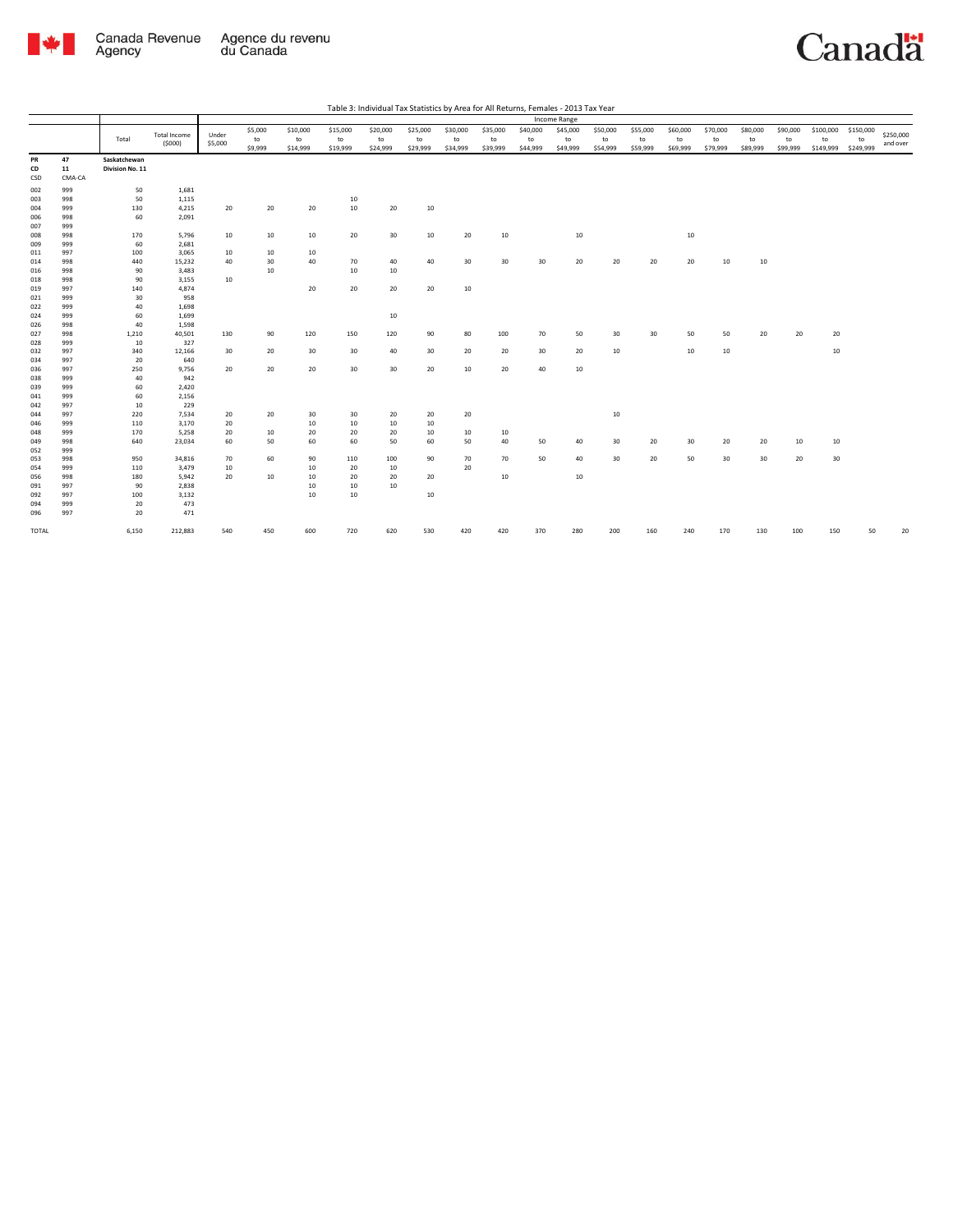

| Table 3: Individual Tax Statistics by Area for All Returns, Females - 2013 Tax Year |  |  |  |
|-------------------------------------------------------------------------------------|--|--|--|

|            |            |                 |                               |         |         |          |          |          |          |          |          |          | Income Range |          |          |          |          |          |          |           |           |           |
|------------|------------|-----------------|-------------------------------|---------|---------|----------|----------|----------|----------|----------|----------|----------|--------------|----------|----------|----------|----------|----------|----------|-----------|-----------|-----------|
|            |            |                 |                               |         | \$5,000 | \$10,000 | \$15,000 | \$20,000 | \$25,000 | \$30,000 | \$35,000 | \$40,000 | \$45,000     | \$50,000 | \$55,000 | \$60,000 | \$70,000 | \$80,000 | \$90,000 | \$100,000 | \$150,000 |           |
|            |            | Total           | <b>Total Income</b><br>(5000) | Under   | to      | to       | to       | to       | to       | to       | to       | to       | to           | to       | to       | to       | to       | to       | to       | to        | to        | \$250,000 |
|            |            |                 |                               | \$5,000 | \$9,999 | \$14,999 | \$19,999 | \$24,999 | \$29,999 | \$34,999 | \$39,999 | \$44,999 | \$49,999     | \$54,999 | \$59,999 | \$69,999 | \$79,999 | \$89,999 | \$99,999 | \$149,999 | \$249,999 | and over  |
| PR         | 47         | Saskatchewan    |                               |         |         |          |          |          |          |          |          |          |              |          |          |          |          |          |          |           |           |           |
| CD         | 11         | Division No. 11 |                               |         |         |          |          |          |          |          |          |          |              |          |          |          |          |          |          |           |           |           |
| CSD        | CMA-CA     |                 |                               |         |         |          |          |          |          |          |          |          |              |          |          |          |          |          |          |           |           |           |
| 002        | 999        | 50              | 1,681                         |         |         |          |          |          |          |          |          |          |              |          |          |          |          |          |          |           |           |           |
| 003        | 998        | 50              | 1,115                         |         |         |          | 10       |          |          |          |          |          |              |          |          |          |          |          |          |           |           |           |
| 004        | 999        | 130             | 4,215                         | 20      | 20      | 20       | 10       | 20       | 10       |          |          |          |              |          |          |          |          |          |          |           |           |           |
| 006        | 998        | 60              | 2,091                         |         |         |          |          |          |          |          |          |          |              |          |          |          |          |          |          |           |           |           |
| 007        | 999        |                 |                               |         |         |          |          |          |          |          |          |          |              |          |          |          |          |          |          |           |           |           |
| 008        | 998        | 170             | 5,796                         | 10      | 10      | 10       | 20       | 30       | 10       | 20       | 10       |          | 10           |          |          | 10       |          |          |          |           |           |           |
| 009        | 999        | 60              | 2,681                         |         |         |          |          |          |          |          |          |          |              |          |          |          |          |          |          |           |           |           |
| 011        | 997        | 100             | 3,065                         | 10      | 10      | 10       |          |          |          |          |          |          |              |          |          |          |          |          |          |           |           |           |
| 014        | 998        | 440             | 15,232                        | 40      | 30      | 40       | 70       | 40       | 40       | 30       | 30       | 30       | 20           | 20       | 20       | 20       | 10       | 10       |          |           |           |           |
| 016        | 998        | 90              | 3,483                         |         | 10      |          | 10       | 10       |          |          |          |          |              |          |          |          |          |          |          |           |           |           |
| 018        | 998        | 90              | 3,155                         | 10      |         |          |          |          |          |          |          |          |              |          |          |          |          |          |          |           |           |           |
| 019        | 997        | 140             | 4,874                         |         |         | 20       | 20       | 20       | 20       | 10       |          |          |              |          |          |          |          |          |          |           |           |           |
| 021        | 999        | 30              | 958                           |         |         |          |          |          |          |          |          |          |              |          |          |          |          |          |          |           |           |           |
| 022        | 999        | 40              | 1,698                         |         |         |          |          |          |          |          |          |          |              |          |          |          |          |          |          |           |           |           |
| 024        | 999        | 60              | 1,699                         |         |         |          |          | 10       |          |          |          |          |              |          |          |          |          |          |          |           |           |           |
| 026        | 998        | 40              | 1,598                         |         |         |          |          |          |          |          |          |          |              |          |          |          |          |          |          |           |           |           |
| 027        | 998        | 1,210           | 40,501                        | 130     | 90      | 120      | 150      | 120      | 90       | 80       | 100      | 70       | 50           | 30       | 30       | 50       | 50       | 20       | 20       | 20        |           |           |
| 028        | 999        | 10              | 327                           |         |         |          |          |          |          |          |          |          |              |          |          |          |          |          |          |           |           |           |
| 032        | 997        | 340             | 12,166                        | 30      | 20      | 30       | 30       | 40       | 30       | 20       | 20       | 30       | 20           | 10       |          | 10       | 10       |          |          | 10        |           |           |
| 034        | 997        | 20              | 640                           |         |         |          |          |          |          |          |          |          |              |          |          |          |          |          |          |           |           |           |
| 036        | 997        | 250             | 9,756                         | 20      | 20      | 20       | 30       | 30       | 20       | 10       | 20       | 40       | 10           |          |          |          |          |          |          |           |           |           |
| 038        | 999        | 40              | 942                           |         |         |          |          |          |          |          |          |          |              |          |          |          |          |          |          |           |           |           |
| 039        | 999        | 60              | 2,420                         |         |         |          |          |          |          |          |          |          |              |          |          |          |          |          |          |           |           |           |
| 041        | 999        | 60              | 2,156<br>229                  |         |         |          |          |          |          |          |          |          |              |          |          |          |          |          |          |           |           |           |
| 042<br>044 | 997<br>997 | 10<br>220       | 7,534                         | 20      | 20      | 30       | 30       | 20       | 20       | 20       |          |          |              | 10       |          |          |          |          |          |           |           |           |
| 046        | 999        | 110             | 3,170                         | 20      |         | 10       | 10       | 10       | 10       |          |          |          |              |          |          |          |          |          |          |           |           |           |
| 048        | 999        | 170             | 5,258                         | 20      | 10      | 20       | 20       | 20       | 10       | 10       | 10       |          |              |          |          |          |          |          |          |           |           |           |
| 049        | 998        | 640             | 23,034                        | 60      | 50      | 60       | 60       | 50       | 60       | 50       | 40       | 50       | 40           | 30       | 20       | 30       | 20       | 20       | 10       | 10        |           |           |
| 052        | 999        |                 |                               |         |         |          |          |          |          |          |          |          |              |          |          |          |          |          |          |           |           |           |
| 053        | 998        | 950             | 34,816                        | 70      | 60      | 90       | 110      | 100      | 90       | 70       | 70       | 50       | 40           | 30       | 20       | 50       | 30       | 30       | 20       | 30        |           |           |
| 054        | 999        | 110             | 3,479                         | 10      |         | 10       | 20       | 10       |          | 20       |          |          |              |          |          |          |          |          |          |           |           |           |
| 056        | 998        | 180             | 5,942                         | 20      | 10      | 10       | 20       | 20       | 20       |          | 10       |          | 10           |          |          |          |          |          |          |           |           |           |
| 091        | 997        | 90              | 2,838                         |         |         | 10       | 10       | 10       |          |          |          |          |              |          |          |          |          |          |          |           |           |           |
| 092        | 997        | 100             | 3,132                         |         |         | 10       | 10       |          | 10       |          |          |          |              |          |          |          |          |          |          |           |           |           |
| 094        | 999        | 20              | 473                           |         |         |          |          |          |          |          |          |          |              |          |          |          |          |          |          |           |           |           |
| 096        | 997        | 20              | 471                           |         |         |          |          |          |          |          |          |          |              |          |          |          |          |          |          |           |           |           |
|            |            |                 |                               |         |         |          |          |          |          |          |          |          |              |          |          |          |          |          |          |           |           |           |
| TOTAL      |            | 6,150           | 212,883                       | 540     | 450     | 600      | 720      | 620      | 530      | 420      | 420      | 370      | 280          | 200      | 160      | 240      | 170      | 130      | 100      | 150       | 50        | 20        |
|            |            |                 |                               |         |         |          |          |          |          |          |          |          |              |          |          |          |          |          |          |           |           |           |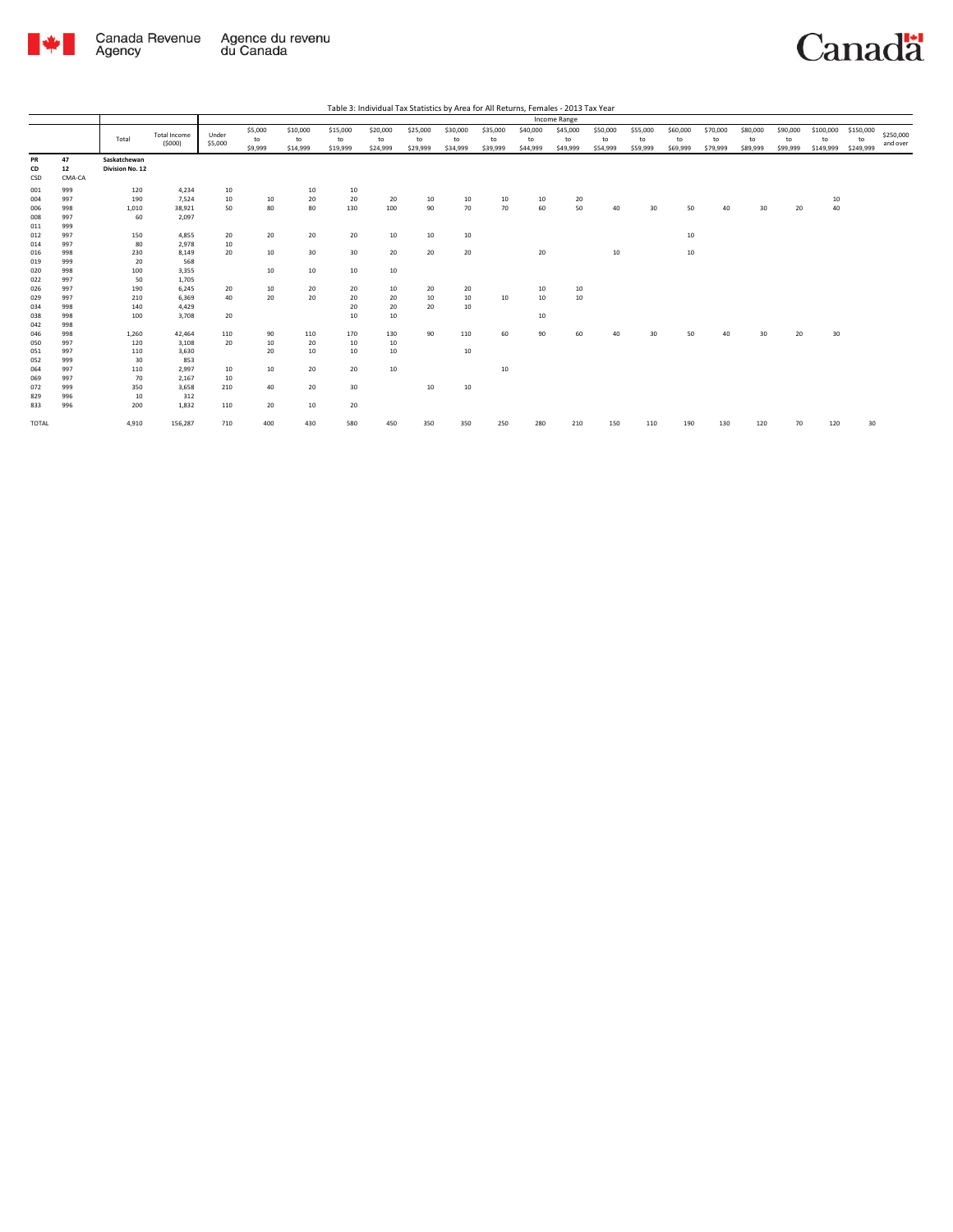

|                 |                    |                                 |                               |                  |                          |                            |                            | Table 5. Individual Tax Statistics by Alea for All Neturns, Ferriales - 2015 Tax Teal |                            |                            |                            |                            |                            |                            |                            |                            |                            |                            |                            |                              |                              |                       |
|-----------------|--------------------|---------------------------------|-------------------------------|------------------|--------------------------|----------------------------|----------------------------|---------------------------------------------------------------------------------------|----------------------------|----------------------------|----------------------------|----------------------------|----------------------------|----------------------------|----------------------------|----------------------------|----------------------------|----------------------------|----------------------------|------------------------------|------------------------------|-----------------------|
|                 |                    |                                 |                               |                  |                          |                            |                            |                                                                                       |                            |                            |                            |                            | Income Range               |                            |                            |                            |                            |                            |                            |                              |                              |                       |
|                 |                    | Total                           | <b>Total Income</b><br>(5000) | Under<br>\$5,000 | \$5,000<br>to<br>\$9,999 | \$10,000<br>to<br>\$14,999 | \$15,000<br>to<br>\$19,999 | \$20,000<br>to<br>\$24,999                                                            | \$25,000<br>to<br>\$29,999 | \$30,000<br>to<br>\$34,999 | \$35,000<br>to<br>\$39,999 | \$40,000<br>to<br>\$44,999 | \$45,000<br>to<br>\$49,999 | \$50,000<br>to<br>\$54,999 | \$55,000<br>to<br>\$59,999 | \$60,000<br>to<br>\$69,999 | \$70,000<br>to<br>\$79,999 | \$80,000<br>to<br>\$89,999 | \$90,000<br>to<br>\$99,999 | \$100,000<br>to<br>\$149,999 | \$150,000<br>to<br>\$249,999 | \$250,000<br>and over |
| PR<br>CD<br>CSD | 47<br>12<br>CMA-CA | Saskatchewan<br>Division No. 12 |                               |                  |                          |                            |                            |                                                                                       |                            |                            |                            |                            |                            |                            |                            |                            |                            |                            |                            |                              |                              |                       |
| 001             | 999                | 120                             | 4,234                         | 10               |                          | 10                         | 10                         |                                                                                       |                            |                            |                            |                            |                            |                            |                            |                            |                            |                            |                            |                              |                              |                       |
| 004             | 997                | 190                             | 7,524                         | 10               | 10                       | 20                         | 20                         | 20                                                                                    | 10                         | 10                         | 10                         | 10                         | 20                         |                            |                            |                            |                            |                            |                            | 10                           |                              |                       |
| 006             | 998                | 1,010                           | 38,921                        | 50               | 80                       | 80                         | 130                        | 100                                                                                   | 90                         | 70                         | 70                         | 60                         | 50                         | 40                         | 30                         | 50                         | 40                         | 30                         | 20                         | 40                           |                              |                       |
| 008             | 997                | 60                              | 2,097                         |                  |                          |                            |                            |                                                                                       |                            |                            |                            |                            |                            |                            |                            |                            |                            |                            |                            |                              |                              |                       |
| 011             | 999                |                                 |                               |                  |                          |                            |                            |                                                                                       |                            |                            |                            |                            |                            |                            |                            |                            |                            |                            |                            |                              |                              |                       |
| 012             | 997                | 150                             | 4.855                         | 20               | 20                       | 20                         | 20                         | 10                                                                                    | 10                         | 10                         |                            |                            |                            |                            |                            | 10                         |                            |                            |                            |                              |                              |                       |
| 014             | 997                | 80                              | 2.978                         | 10               |                          |                            |                            |                                                                                       |                            |                            |                            |                            |                            |                            |                            |                            |                            |                            |                            |                              |                              |                       |
| 016             | 998                | 230                             | 8,149                         | 20               | 10                       | 30                         | 30                         | 20                                                                                    | 20                         | 20                         |                            | 20                         |                            | 10                         |                            | 10                         |                            |                            |                            |                              |                              |                       |
| 019             | 999                | 20                              | 568                           |                  |                          |                            |                            |                                                                                       |                            |                            |                            |                            |                            |                            |                            |                            |                            |                            |                            |                              |                              |                       |
| 020             | 998                | 100                             | 3,355                         |                  | 10                       | 10                         | 10                         | 10                                                                                    |                            |                            |                            |                            |                            |                            |                            |                            |                            |                            |                            |                              |                              |                       |
| 022             | 997                | 50                              | 1,705                         |                  |                          |                            |                            |                                                                                       |                            |                            |                            |                            |                            |                            |                            |                            |                            |                            |                            |                              |                              |                       |
| 026             | 997                | 190                             | 6,245                         | 20               | 10                       | 20                         | 20                         | 10                                                                                    | 20                         | 20                         |                            | 10                         | 10                         |                            |                            |                            |                            |                            |                            |                              |                              |                       |
| 029             | 997                | 210                             | 6,369                         | 40               | 20                       | 20                         | 20                         | 20                                                                                    | $10\,$                     | $10\,$                     | 10                         | 10 <sup>10</sup>           | 10                         |                            |                            |                            |                            |                            |                            |                              |                              |                       |
| 034             | 998                | 140                             | 4,429                         |                  |                          |                            | 20                         | 20                                                                                    | 20                         | 10                         |                            |                            |                            |                            |                            |                            |                            |                            |                            |                              |                              |                       |
| 038             | 998                | 100                             | 3,708                         | 20               |                          |                            | 10                         | 10                                                                                    |                            |                            |                            | 10 <sup>10</sup>           |                            |                            |                            |                            |                            |                            |                            |                              |                              |                       |
| 042             | 998                |                                 |                               |                  |                          |                            |                            |                                                                                       |                            |                            |                            |                            |                            |                            |                            |                            |                            |                            |                            |                              |                              |                       |
| 046             | 998                | 1,260                           | 42,464                        | 110              | 90                       | 110                        | 170                        | 130                                                                                   | 90                         | 110                        | 60                         | 90                         | 60                         | 40                         | 30                         | 50                         | 40                         | 30                         | 20                         | 30                           |                              |                       |
| 050             | 997                | 120                             | 3,108                         | 20               | 10                       | 20                         | 10                         | 10                                                                                    |                            |                            |                            |                            |                            |                            |                            |                            |                            |                            |                            |                              |                              |                       |
| 051             | 997                | 110                             | 3,630                         |                  | 20                       | 10                         | 10                         | 10                                                                                    |                            | 10                         |                            |                            |                            |                            |                            |                            |                            |                            |                            |                              |                              |                       |
| 052             | 999                | 30                              | 853                           |                  |                          |                            |                            |                                                                                       |                            |                            |                            |                            |                            |                            |                            |                            |                            |                            |                            |                              |                              |                       |
| 064             | 997                | 110                             | 2,997                         | 10               | 10                       | 20                         | 20                         | 10                                                                                    |                            |                            | 10                         |                            |                            |                            |                            |                            |                            |                            |                            |                              |                              |                       |
| 069             | 997                | 70                              | 2,167                         | 10               |                          |                            |                            |                                                                                       |                            |                            |                            |                            |                            |                            |                            |                            |                            |                            |                            |                              |                              |                       |
| 072             | 999                | 350                             | 3.658                         | 210              | 40                       | 20                         | 30                         |                                                                                       | 10                         | 10                         |                            |                            |                            |                            |                            |                            |                            |                            |                            |                              |                              |                       |
| 829             | 996                | 10                              | 312                           |                  |                          |                            |                            |                                                                                       |                            |                            |                            |                            |                            |                            |                            |                            |                            |                            |                            |                              |                              |                       |
| 833             | 996                | 200                             | 1,832                         | 110              | 20                       | 10                         | 20                         |                                                                                       |                            |                            |                            |                            |                            |                            |                            |                            |                            |                            |                            |                              |                              |                       |
| TOTAL           |                    | 4,910                           | 156,287                       | 710              | 400                      | 430                        | 580                        | 450                                                                                   | 350                        | 350                        | 250                        | 280                        | 210                        | 150                        | 110                        | 190                        | 130                        | 120                        | 70                         | 120                          | 30                           |                       |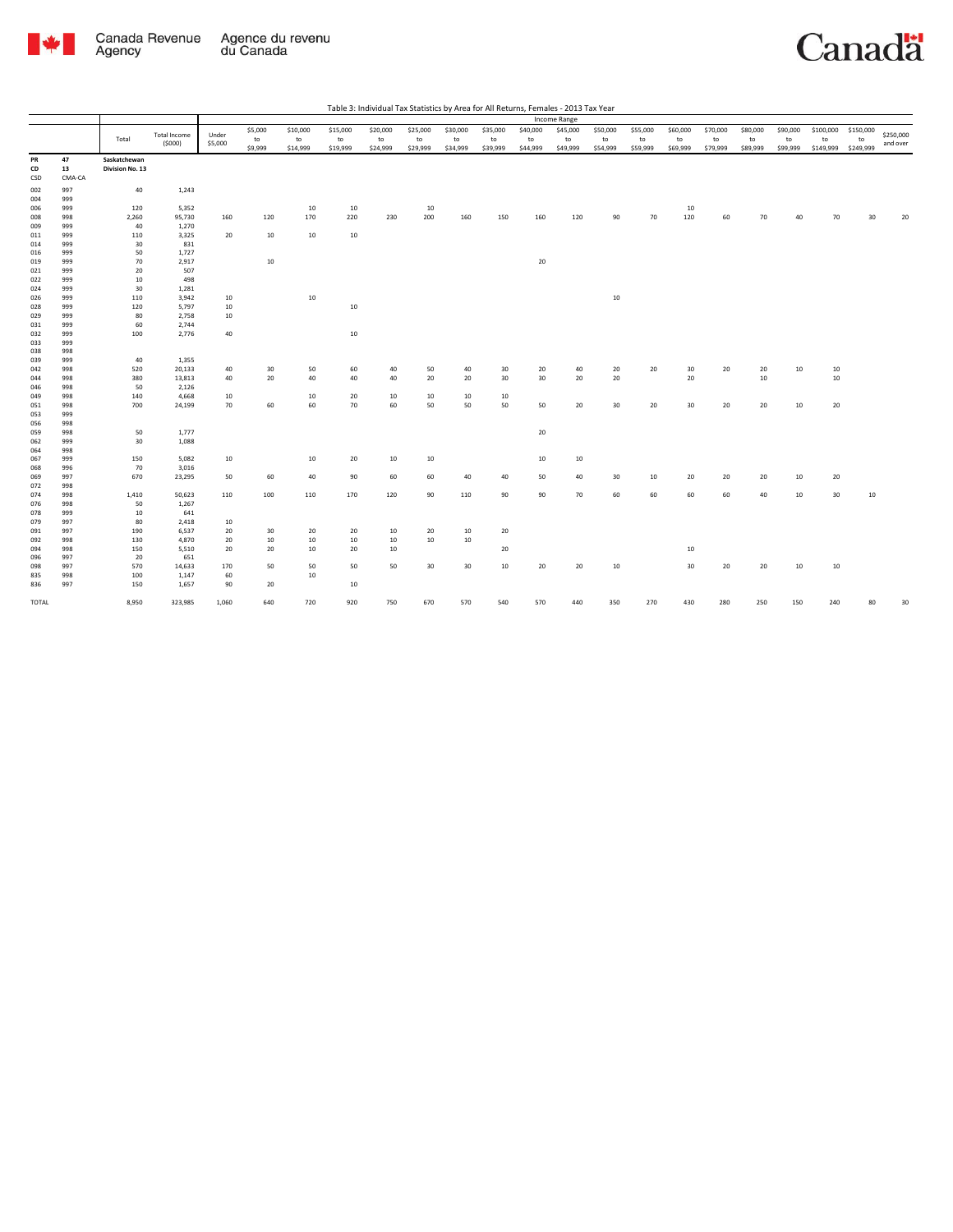

|            |            |                 |                |          |         |          |          | Table 3: Individual Tax Statistics by Area for All Returns, Females - 2013 Tax Year |          |          |          |          |              |                 |          |          |          |          |          |           |           |           |
|------------|------------|-----------------|----------------|----------|---------|----------|----------|-------------------------------------------------------------------------------------|----------|----------|----------|----------|--------------|-----------------|----------|----------|----------|----------|----------|-----------|-----------|-----------|
|            |            |                 |                |          |         |          |          |                                                                                     |          |          |          |          | Income Range |                 |          |          |          |          |          |           |           |           |
|            |            |                 | Total Income   | Under    | \$5,000 | \$10,000 | \$15,000 | \$20,000                                                                            | \$25,000 | \$30,000 | \$35,000 | \$40,000 | \$45,000     | \$50,000        | \$55,000 | \$60,000 | \$70,000 | \$80,000 | \$90,000 | \$100,000 | \$150,000 | \$250,000 |
|            |            | Total           | (5000)         | \$5,000  | to      | to       | to       | to                                                                                  | to       | to       | to       | to       | to           | to              | to       | to       | to       | to       | to       | to        | to        | and over  |
|            |            |                 |                |          | \$9,999 | \$14,999 | \$19,999 | \$24,999                                                                            | \$29,999 | \$34,999 | \$39,999 | \$44,999 | \$49,999     | \$54,999        | \$59,999 | \$69,999 | \$79,999 | \$89,999 | \$99,999 | \$149,999 | \$249,999 |           |
| PR         | 47         | Saskatchewan    |                |          |         |          |          |                                                                                     |          |          |          |          |              |                 |          |          |          |          |          |           |           |           |
| CD         | 13         | Division No. 13 |                |          |         |          |          |                                                                                     |          |          |          |          |              |                 |          |          |          |          |          |           |           |           |
| CSD        | CMA-CA     |                 |                |          |         |          |          |                                                                                     |          |          |          |          |              |                 |          |          |          |          |          |           |           |           |
| 002        | 997        | 40              | 1,243          |          |         |          |          |                                                                                     |          |          |          |          |              |                 |          |          |          |          |          |           |           |           |
| 004        | 999        |                 |                |          |         |          |          |                                                                                     |          |          |          |          |              |                 |          |          |          |          |          |           |           |           |
| 006        | 999        | 120             | 5,352          |          |         | 10       | 10       |                                                                                     | 10       |          |          |          |              |                 |          | 10       |          |          |          |           |           |           |
| 008        | 998        | 2,260           | 95,730         | 160      | 120     | 170      | 220      | 230                                                                                 | 200      | 160      | 150      | 160      | 120          | 90              | 70       | 120      | 60       | 70       | 40       | 70        | 30        | 20        |
| 009        | 999        | 40              | 1,270          |          |         |          |          |                                                                                     |          |          |          |          |              |                 |          |          |          |          |          |           |           |           |
| 011        | 999        | 110             | 3,325          | 20       | 10      | 10       | 10       |                                                                                     |          |          |          |          |              |                 |          |          |          |          |          |           |           |           |
| 014        | 999        | 30              | 831            |          |         |          |          |                                                                                     |          |          |          |          |              |                 |          |          |          |          |          |           |           |           |
| 016        | 999        | 50              | 1,727          |          |         |          |          |                                                                                     |          |          |          |          |              |                 |          |          |          |          |          |           |           |           |
| 019        | 999        | 70              | 2,917          |          | 10      |          |          |                                                                                     |          |          |          | 20       |              |                 |          |          |          |          |          |           |           |           |
| 021        | 999        | 20              | 507            |          |         |          |          |                                                                                     |          |          |          |          |              |                 |          |          |          |          |          |           |           |           |
| 022        | 999        | 10<br>30        | 498            |          |         |          |          |                                                                                     |          |          |          |          |              |                 |          |          |          |          |          |           |           |           |
| 024        | 999        |                 | 1,281          |          |         | 10       |          |                                                                                     |          |          |          |          |              |                 |          |          |          |          |          |           |           |           |
| 026        | 999<br>999 | 110<br>120      | 3,942          | 10<br>10 |         |          | 10       |                                                                                     |          |          |          |          |              | $10\,$          |          |          |          |          |          |           |           |           |
| 028<br>029 | 999        | 80              | 5,797<br>2,758 | 10       |         |          |          |                                                                                     |          |          |          |          |              |                 |          |          |          |          |          |           |           |           |
| 031        | 999        | 60              | 2,744          |          |         |          |          |                                                                                     |          |          |          |          |              |                 |          |          |          |          |          |           |           |           |
| 032        | 999        | 100             | 2,776          | 40       |         |          | 10       |                                                                                     |          |          |          |          |              |                 |          |          |          |          |          |           |           |           |
| 033        | 999        |                 |                |          |         |          |          |                                                                                     |          |          |          |          |              |                 |          |          |          |          |          |           |           |           |
| 038        | 998        |                 |                |          |         |          |          |                                                                                     |          |          |          |          |              |                 |          |          |          |          |          |           |           |           |
| 039        | 999        | 40              | 1,355          |          |         |          |          |                                                                                     |          |          |          |          |              |                 |          |          |          |          |          |           |           |           |
| 042        | 998        | 520             | 20,133         | 40       | 30      | 50       | 60       | 40                                                                                  | 50       | 40       | 30       | 20       | 40           | 20              | 20       | 30       | 20       | 20       | 10       | 10        |           |           |
| 044        | 998        | 380             | 13,813         | 40       | 20      | 40       | 40       | 40                                                                                  | 20       | 20       | 30       | 30       | $20\,$       | 20              |          | $20\,$   |          | 10       |          | 10        |           |           |
| 046        | 998        | 50              | 2,126          |          |         |          |          |                                                                                     |          |          |          |          |              |                 |          |          |          |          |          |           |           |           |
| 049        | 998        | 140             | 4,668          | 10       |         | 10       | 20       | 10                                                                                  | 10       | 10       | 10       |          |              |                 |          |          |          |          |          |           |           |           |
| 051        | 998        | 700             | 24,199         | 70       | 60      | 60       | 70       | 60                                                                                  | 50       | 50       | 50       | 50       | 20           | 30 <sup>°</sup> | 20       | 30       | 20       | 20       | 10       | 20        |           |           |
| 053        | 999        |                 |                |          |         |          |          |                                                                                     |          |          |          |          |              |                 |          |          |          |          |          |           |           |           |
| 056        | 998        |                 |                |          |         |          |          |                                                                                     |          |          |          |          |              |                 |          |          |          |          |          |           |           |           |
| 059        | 998        | 50              | 1,777          |          |         |          |          |                                                                                     |          |          |          | 20       |              |                 |          |          |          |          |          |           |           |           |
| 062        | 999        | 30              | 1,088          |          |         |          |          |                                                                                     |          |          |          |          |              |                 |          |          |          |          |          |           |           |           |
| 064        | 998        |                 |                |          |         |          |          |                                                                                     |          |          |          |          |              |                 |          |          |          |          |          |           |           |           |
| 067        | 999        | 150             | 5,082          | 10       |         | 10       | 20       | 10                                                                                  | 10       |          |          | 10       | 10           |                 |          |          |          |          |          |           |           |           |
| 068        | 996        | 70              | 3,016          |          |         |          |          |                                                                                     |          |          |          |          |              |                 |          |          |          |          |          |           |           |           |
| 069        | 997        | 670             | 23,295         | 50       | 60      | 40       | 90       | 60                                                                                  | 60       | 40       | 40       | 50       | 40           | 30              | 10       | 20       | 20       | 20       | 10       | 20        |           |           |
| 072        | 998        |                 |                |          |         |          |          |                                                                                     |          |          |          |          |              |                 |          |          |          |          |          |           |           |           |
| 074        | 998        | 1,410           | 50,623         | 110      | 100     | 110      | 170      | 120                                                                                 | 90       | 110      | 90       | 90       | 70           | 60              | 60       | 60       | 60       | 40       | 10       | 30        | 10        |           |
| 076        | 998        | 50              | 1,267          |          |         |          |          |                                                                                     |          |          |          |          |              |                 |          |          |          |          |          |           |           |           |
| 078        | 999        | 10              | 641            |          |         |          |          |                                                                                     |          |          |          |          |              |                 |          |          |          |          |          |           |           |           |
| 079        | 997        | 80              | 2,418          | 10       |         |          |          |                                                                                     |          |          |          |          |              |                 |          |          |          |          |          |           |           |           |
| 091        | 997        | 190             | 6,537          | 20       | 30      | 20       | 20       | 10                                                                                  | 20       | 10       | 20       |          |              |                 |          |          |          |          |          |           |           |           |
| 092        | 998        | 130             | 4,870          | 20       | $10\,$  | 10       | 10       | 10                                                                                  | 10       | $10\,$   |          |          |              |                 |          |          |          |          |          |           |           |           |
| 094        | 998        | 150             | 5,510          | 20       | 20      | 10       | 20       | 10                                                                                  |          |          | 20       |          |              |                 |          | 10       |          |          |          |           |           |           |
| 096        | 997        | 20              | 651            |          |         |          |          |                                                                                     |          |          |          |          |              |                 |          |          |          |          |          |           |           |           |
| 098        | 997        | 570             | 14,633         | 170      | 50      | 50       | 50       | 50                                                                                  | 30       | 30       | 10       | 20       | 20           | 10              |          | 30       | 20       | 20       | 10       | 10        |           |           |
| 835        | 998        | 100             | 1,147          | 60       |         | 10       |          |                                                                                     |          |          |          |          |              |                 |          |          |          |          |          |           |           |           |
| 836        | 997        | 150             | 1,657          | 90       | 20      |          | 10       |                                                                                     |          |          |          |          |              |                 |          |          |          |          |          |           |           |           |
|            |            |                 |                |          |         |          |          |                                                                                     |          |          |          |          |              |                 |          |          |          |          |          |           |           |           |
| TOTAL      |            | 8,950           | 323,985        | 1,060    | 640     | 720      | 920      | 750                                                                                 | 670      | 570      | 540      | 570      | AA           | 350             | 270      | 430      | 280      | 250      | 150      | 240       |           | 31        |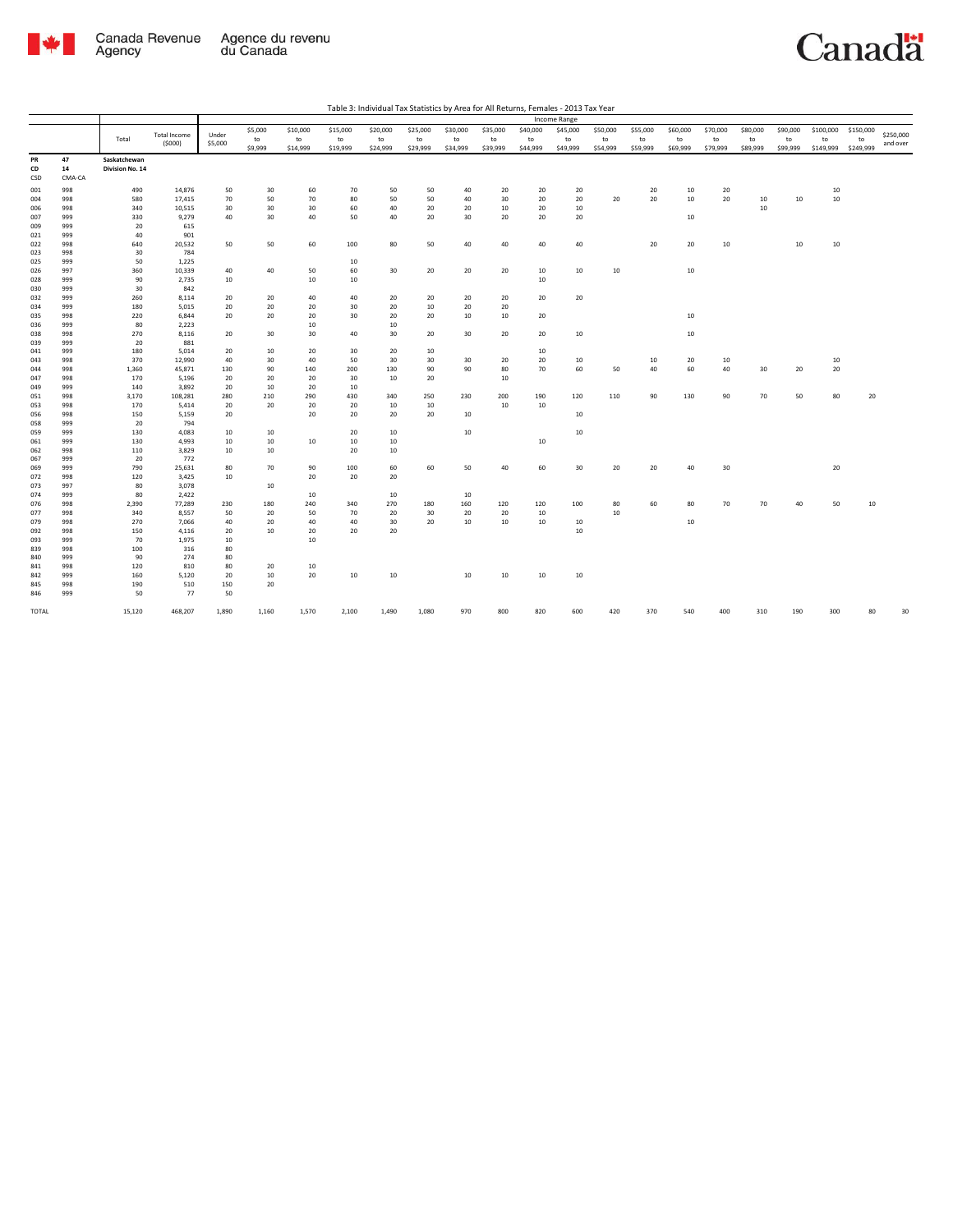

|  | Table 3: Individual Tax Statistics by Area for All Returns, Females - 2013 Tax Year |  |
|--|-------------------------------------------------------------------------------------|--|
|--|-------------------------------------------------------------------------------------|--|

|            |            |                 |                     |          |          |          |          |          |          |          |          |          | Income Range |                  |          |          |          |          |          |           |           |           |
|------------|------------|-----------------|---------------------|----------|----------|----------|----------|----------|----------|----------|----------|----------|--------------|------------------|----------|----------|----------|----------|----------|-----------|-----------|-----------|
|            |            |                 | <b>Total Income</b> | Under    | \$5,000  | \$10,000 | \$15,000 | \$20,000 | \$25,000 | \$30,000 | \$35,000 | \$40,000 | \$45,000     | \$50,000         | \$55,000 | \$60,000 | \$70,000 | \$80,000 | \$90,000 | \$100,000 | \$150,000 | \$250,000 |
|            |            | Total           | (5000)              | \$5,000  | to       | to       | to       | to       | to       | to       | to       | to       | to           | to               | to       | to       | to       | to       | to       | to        | to        | and over  |
|            |            |                 |                     |          | \$9,999  | \$14,999 | \$19,999 | \$24,999 | \$29,999 | \$34,999 | \$39,999 | \$44,999 | \$49,999     | \$54,999         | \$59,999 | \$69,999 | \$79,999 | \$89,999 | \$99,999 | \$149,999 | \$249,999 |           |
| PR         | 47         | Saskatchewan    |                     |          |          |          |          |          |          |          |          |          |              |                  |          |          |          |          |          |           |           |           |
| CD         | 14         | Division No. 14 |                     |          |          |          |          |          |          |          |          |          |              |                  |          |          |          |          |          |           |           |           |
| CSD        | CMA-CA     |                 |                     |          |          |          |          |          |          |          |          |          |              |                  |          |          |          |          |          |           |           |           |
| 001        | 998        | 490             | 14,876              | 50       | 30       | 60       | 70       | 50       | 50       | 40       | 20       | 20       | 20           |                  | 20       | 10       | 20       |          |          | 10        |           |           |
| 004        | 998        | 580             | 17,415              | 70       | 50       | 70       | 80       | 50       | 50       | 40       | 30       | 20       | 20           | 20               | 20       | 10       | 20       | 10       | 10       | 10        |           |           |
| 006        | 998        | 340             | 10,515              | 30       | 30       | 30       | 60       | 40       | 20       | 20       | 10       | 20       | 10           |                  |          |          |          | 10       |          |           |           |           |
| 007        | 999        | 330             | 9,279               | 40       | 30       | 40       | 50       | 40       | 20       | 30       | 20       | 20       | 20           |                  |          | 10       |          |          |          |           |           |           |
| 009        | 999        | 20              | 615                 |          |          |          |          |          |          |          |          |          |              |                  |          |          |          |          |          |           |           |           |
| 021        | 999        | 40              | 901                 |          |          |          |          |          |          |          |          |          |              |                  |          |          |          |          |          |           |           |           |
| 022        | 998        | 640             | 20,532              | 50       | 50       | 60       | 100      | 80       | 50       | 40       | 40       | 40       | 40           |                  | 20       | 20       | 10       |          | 10       | $10\,$    |           |           |
| 023        | 998        | 30              | 784                 |          |          |          |          |          |          |          |          |          |              |                  |          |          |          |          |          |           |           |           |
| 025        | 999        | 50              | 1,225               |          |          |          | 10       |          |          |          |          |          |              |                  |          |          |          |          |          |           |           |           |
| 026<br>028 | 997<br>999 | 360<br>90       | 10,339<br>2,735     | 40<br>10 | 40       | 50<br>10 | 60<br>10 | 30       | 20       | 20       | 20       | 10<br>10 | 10           | 10 <sup>10</sup> |          | 10       |          |          |          |           |           |           |
| 030        | 999        | 30              | 842                 |          |          |          |          |          |          |          |          |          |              |                  |          |          |          |          |          |           |           |           |
| 032        | 999        | 260             | 8,114               | 20       | 20       | 40       | 40       | 20       | 20       | 20       | 20       | 20       | 20           |                  |          |          |          |          |          |           |           |           |
| 034        | 999        | 180             | 5,015               | 20       | 20       | 20       | 30       | 20       | 10       | 20       | 20       |          |              |                  |          |          |          |          |          |           |           |           |
| 035        | 998        | 220             | 6,844               | 20       | 20       | 20       | 30       | 20       | 20       | 10       | 10       | 20       |              |                  |          | 10       |          |          |          |           |           |           |
| 036        | 999        | 80              | 2,223               |          |          | 10       |          | 10       |          |          |          |          |              |                  |          |          |          |          |          |           |           |           |
| 038        | 998        | 270             | 8,116               | 20       | 30       | 30       | 40       | 30       | 20       | 30       | 20       | 20       | 10           |                  |          | 10       |          |          |          |           |           |           |
| 039        | 999        | 20              | 881                 |          |          |          |          |          |          |          |          |          |              |                  |          |          |          |          |          |           |           |           |
| 041        | 999        | 180             | 5,014               | 20       | 10       | 20       | 30       | 20       | 10       |          |          | 10       |              |                  |          |          |          |          |          |           |           |           |
| 043        | 998        | 370             | 12,990              | 40       | 30       | 40       | 50       | 30       | 30       | 30       | 20       | 20       | 10           |                  | 10       | 20       | 10       |          |          | 10        |           |           |
| 044        | 998        | 1,360           | 45,871              | 130      | 90       | 140      | 200      | 130      | 90       | 90       | 80       | 70       | 60           | 50               | 40       | 60       | 40       | 30       | 20       | $20\,$    |           |           |
| 047        | 998        | 170             | 5,196               | 20       | 20       | 20       | 30       | 10       | 20       |          | 10       |          |              |                  |          |          |          |          |          |           |           |           |
| 049        | 999        | 140             | 3,892               | 20       | 10       | 20       | 10       |          |          |          |          |          |              |                  |          |          |          |          |          |           |           |           |
| 051        | 998        | 3,170           | 108,281             | 280      | 210      | 290      | 430      | 340      | 250      | 230      | 200      | 190      | 120          | 110              | 90       | 130      | 90       | 70       | 50       | 80        | 20        |           |
| 053        | 998        | 170             | 5,414               | 20       | 20       | 20       | 20       | 10       | 10       |          | 10       | 10       |              |                  |          |          |          |          |          |           |           |           |
| 056        | 998        | 150             | 5,159               | 20       |          | 20       | 20       | 20       | 20       | 10       |          |          | 10           |                  |          |          |          |          |          |           |           |           |
| 058        | 999        | 20              | 794                 |          |          |          |          |          |          |          |          |          |              |                  |          |          |          |          |          |           |           |           |
| 059        | 999        | 130             | 4,083               | 10       | 10       |          | 20       | 10       |          | 10       |          |          | 10           |                  |          |          |          |          |          |           |           |           |
| 061        | 999        | 130             | 4,993               | 10       | 10       | 10       | 10       | 10       |          |          |          | 10       |              |                  |          |          |          |          |          |           |           |           |
| 062        | 998        | 110             | 3,829               | 10       | 10       |          | 20       | 10       |          |          |          |          |              |                  |          |          |          |          |          |           |           |           |
| 067        | 999        | 20              | 772                 |          |          |          |          |          |          |          |          |          |              |                  |          |          |          |          |          |           |           |           |
| 069        | 999        | 790             | 25,631              | 80       | 70       | 90       | 100      | 60       | 60       | 50       | 40       | 60       | 30           | 20               | 20       | 40       | 30       |          |          | 20        |           |           |
| 072        | 998        | 120             | 3,425               | 10       |          | 20       | 20       | 20       |          |          |          |          |              |                  |          |          |          |          |          |           |           |           |
| 073        | 997        | 80              | 3,078               |          | 10       |          |          |          |          |          |          |          |              |                  |          |          |          |          |          |           |           |           |
| 074        | 999        | 80              | 2,422               |          |          | 10       |          | 10       |          | 10       |          |          |              |                  |          |          |          |          |          |           |           |           |
| 076        | 998        | 2,390           | 77,289              | 230      | 180      | 240      | 340      | 270      | 180      | 160      | 120      | 120      | 100          | 80<br>10         | 60       | 80       | 70       | 70       | 40       | 50        | $10\,$    |           |
| 077        | 998        | 340             | 8,557               | 50       | 20       | 50       | 70       | 20<br>30 | 30       | 20       | 20       | 10       |              |                  |          |          |          |          |          |           |           |           |
| 079<br>092 | 998<br>998 | 270<br>150      | 7,066<br>4,116      | 40<br>20 | 20<br>10 | 40<br>20 | 40<br>20 | 20       | 20       | 10       | 10       | 10       | 10<br>10     |                  |          | 10       |          |          |          |           |           |           |
| 093        | 999        | 70              | 1,975               | 10       |          | 10       |          |          |          |          |          |          |              |                  |          |          |          |          |          |           |           |           |
| 839        | 998        | 100             | 316                 | 80       |          |          |          |          |          |          |          |          |              |                  |          |          |          |          |          |           |           |           |
| 840        | 999        | 90              | 274                 | 80       |          |          |          |          |          |          |          |          |              |                  |          |          |          |          |          |           |           |           |
| 841        | 998        | 120             | 810                 | 80       | 20       | 10       |          |          |          |          |          |          |              |                  |          |          |          |          |          |           |           |           |
| 842        | 999        | 160             | 5,120               | 20       | 10       | 20       | 10       | 10       |          | 10       | 10       | 10       | 10           |                  |          |          |          |          |          |           |           |           |
| 845        | 998        | 190             | 510                 | 150      | 20       |          |          |          |          |          |          |          |              |                  |          |          |          |          |          |           |           |           |
| 846        | 999        | 50              | 77                  | 50       |          |          |          |          |          |          |          |          |              |                  |          |          |          |          |          |           |           |           |
|            |            |                 |                     |          |          |          |          |          |          |          |          |          |              |                  |          |          |          |          |          |           |           |           |
| TOTAL      |            | 15,120          | 468,207             | 1,890    | 1,160    | 1,570    | 2,100    | 1,490    | 1,080    | 970      | 800      | 820      | 600          | 420              | 370      | 540      | 400      | 310      | 190      | 300       | 80        |           |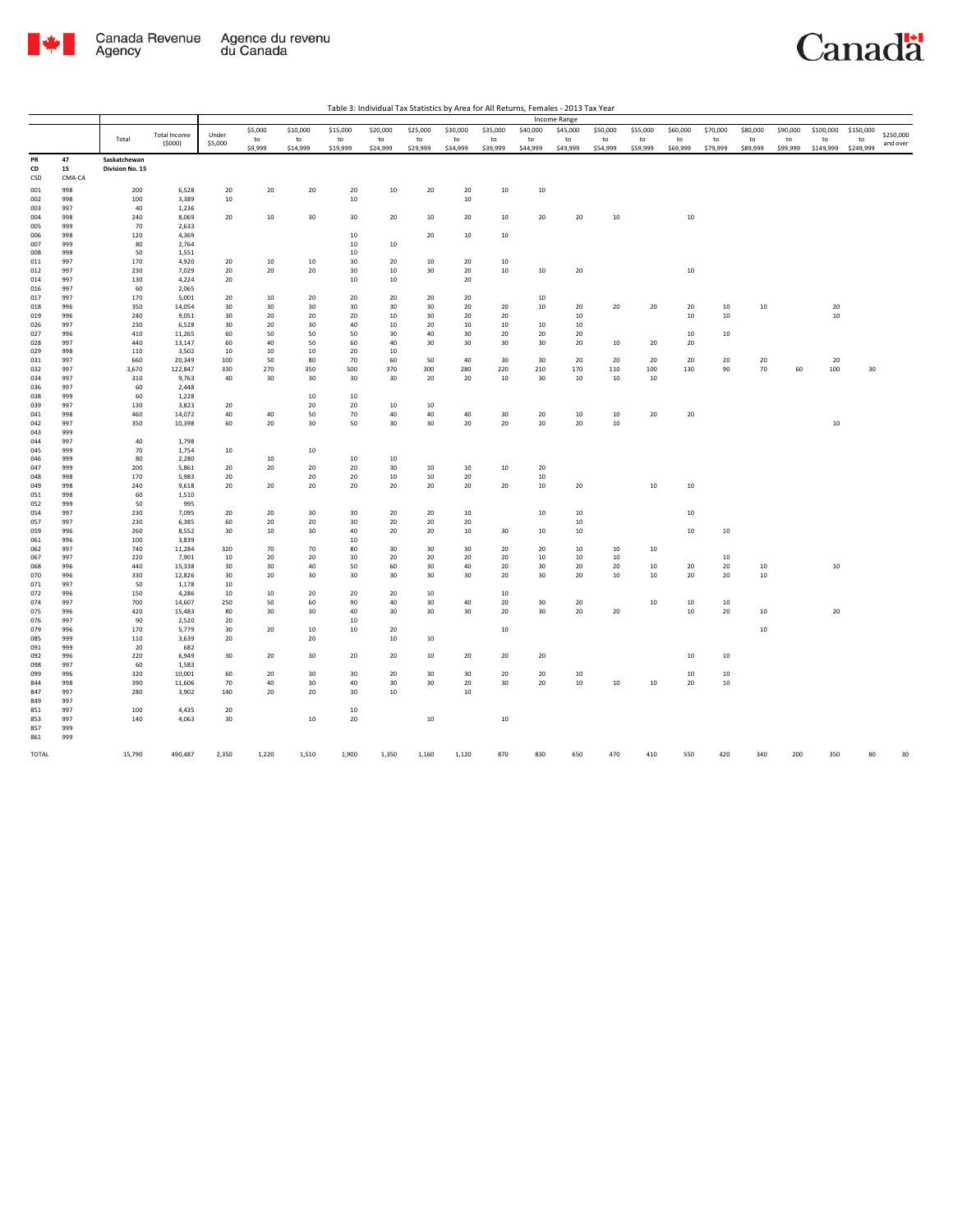

|            |            |                 |                     |           |               |                |                |                |                |                |                |                | Income Range   |                |                |                  |                  |                |                |                 |                 |           |
|------------|------------|-----------------|---------------------|-----------|---------------|----------------|----------------|----------------|----------------|----------------|----------------|----------------|----------------|----------------|----------------|------------------|------------------|----------------|----------------|-----------------|-----------------|-----------|
|            |            |                 | <b>Total Income</b> | Under     | \$5,000       | \$10,000       | \$15,000       | \$20,000       | \$25,000       | \$30,000       | \$35,000       | \$40,000       | \$45,000       | \$50,000       | \$55,000       | \$60,000         | \$70,000         | \$80,000       | \$90,000       | \$100,000       | \$150,000       | \$250,000 |
|            |            | Total           | (5000)              | \$5,000   | to<br>\$9,999 | to<br>\$14,999 | to<br>\$19,999 | to<br>\$24,999 | to<br>\$29,999 | to<br>\$34,999 | to<br>\$39,999 | to<br>\$44,999 | to<br>\$49,999 | to<br>\$54,999 | to<br>\$59,999 | to<br>\$69,999   | to<br>\$79,999   | to<br>\$89,999 | to<br>\$99,999 | to<br>\$149,999 | to<br>\$249,999 | and over  |
| PR         | 47         | Saskatchewan    |                     |           |               |                |                |                |                |                |                |                |                |                |                |                  |                  |                |                |                 |                 |           |
| CD         | 15         | Division No. 15 |                     |           |               |                |                |                |                |                |                |                |                |                |                |                  |                  |                |                |                 |                 |           |
| CSD        | CMA-CA     |                 |                     |           |               |                |                |                |                |                |                |                |                |                |                |                  |                  |                |                |                 |                 |           |
| 001        | 998        | 200             | 6,528               | 20        | 20            | 20             | 20             | 10             | 20             | 20             | 10             | 10             |                |                |                |                  |                  |                |                |                 |                 |           |
| 002        | 998        | 100             | 3,389               | 10        |               |                | 10             |                |                | 10             |                |                |                |                |                |                  |                  |                |                |                 |                 |           |
| 003<br>004 | 997<br>998 | 40<br>240       | 1,236<br>8,069      | 20        | 10            | 30             | 30             | 20             | 10             | 20             | 10             | 20             | 20             |                |                | $10\,$           |                  |                |                |                 |                 |           |
| 005        | 999        | 70              | 2,633               |           |               |                |                |                |                |                |                |                |                | $10\,$         |                |                  |                  |                |                |                 |                 |           |
| 006        | 998        | 120             | 4,369               |           |               |                | 10             |                | 20             | 10             | 10             |                |                |                |                |                  |                  |                |                |                 |                 |           |
| 007        | 999        | 80              | 2,764               |           |               |                | 10             | 10             |                |                |                |                |                |                |                |                  |                  |                |                |                 |                 |           |
| 008        | 998        | 50              | 1,551               |           |               |                | 10             |                |                |                |                |                |                |                |                |                  |                  |                |                |                 |                 |           |
| 011        | 997        | 170             | 4,920               | 20        | 10            | 10             | 30             | 20             | 10             | 20             | 10             |                |                |                |                |                  |                  |                |                |                 |                 |           |
| 012<br>014 | 997<br>997 | 230<br>130      | 7,029<br>4,224      | 20<br>20  | 20            | 20             | 30<br>10       | 10<br>10       | 30             | 20<br>20       | $10\,$         | 10             | 20             |                |                | $10\,$           |                  |                |                |                 |                 |           |
| 016        | 997        | 60              | 2,065               |           |               |                |                |                |                |                |                |                |                |                |                |                  |                  |                |                |                 |                 |           |
| 017        | 997        | 170             | 5,001               | 20        | 10            | 20             | 20             | 20             | 20             | 20             |                | 10             |                |                |                |                  |                  |                |                |                 |                 |           |
| 018        | 996        | 350             | 14,054              | 30        | 30            | 30             | 30             | 30             | 30             | 20             | 20             | 10             | 20             | 20             | 20             | 20               | 10               | 10             |                | 20              |                 |           |
| 019        | 996        | 240             | 9,051               | 30        | 20            | 20             | 20             | 10             | 30             | 20             | 20             |                | 10             |                |                | 10               | 10               |                |                | 10              |                 |           |
| 026<br>027 | 997<br>996 | 230<br>410      | 6,528<br>11,265     | 30<br>60  | 20<br>50      | 30<br>50       | 40<br>50       | 10<br>30       | 20<br>40       | 10<br>30       | 10<br>20       | 10<br>20       | 10<br>20       |                |                | 10               | 10               |                |                |                 |                 |           |
| 028        | 997        | 440             | 13,147              | 60        | 40            | 50             | 60             | 40             | 30             | 30             | 30             | 30             | 20             | $10\,$         | 20             | 20               |                  |                |                |                 |                 |           |
| 029        | 998        | 110             | 3,502               | 10        | 10            | 10             | 20             | 10             |                |                |                |                |                |                |                |                  |                  |                |                |                 |                 |           |
| 031        | 997        | 660             | 20,349              | 100       | 50            | 80             | 70             | 60             | 50             | 40             | 30             | 30             | 20             | 20             | 20             | 20               | 20               | 20             |                | 20              |                 |           |
| 032        | 997        | 3,670           | 122,847             | 330       | 270           | 350            | 500            | 370            | 300            | 280            | 220            | 210            | 170            | 110            | 100            | 130              | 90               | 70             | 60             | 100             | 30              |           |
| 034<br>036 | 997<br>997 | 310<br>60       | 9,763<br>2,448      | 40        | 30            | 30             | 30             | 30             | 20             | 20             | 10             | 30             | 10             | 10             | 10             |                  |                  |                |                |                 |                 |           |
| 038        | 999        | 60              | 1,228               |           |               | 10             | 10             |                |                |                |                |                |                |                |                |                  |                  |                |                |                 |                 |           |
| 039        | 997        | 130             | 3,823               | 20        |               | 20             | 20             | 10             | 10             |                |                |                |                |                |                |                  |                  |                |                |                 |                 |           |
| 041        | 998        | 460             | 14,072              | 40        | 40            | 50             | 70             | 40             | 40             | 40             | 30             | 20             | 10             | 10             | 20             | 20               |                  |                |                |                 |                 |           |
| 042        | 997        | 350             | 10,398              | 60        | 20            | 30             | 50             | 30             | 30             | 20             | 20             | 20             | 20             | $10\,$         |                |                  |                  |                |                | $10\,$          |                 |           |
| 043        | 999        |                 |                     |           |               |                |                |                |                |                |                |                |                |                |                |                  |                  |                |                |                 |                 |           |
| 044<br>045 | 997<br>999 | 40<br>70        | 1,798<br>1,754      | 10        |               | 10             |                |                |                |                |                |                |                |                |                |                  |                  |                |                |                 |                 |           |
| 046        | 999        | 80              | 2,280               |           | 10            |                | 10             | 10             |                |                |                |                |                |                |                |                  |                  |                |                |                 |                 |           |
| 047        | 999        | 200             | 5,861               | 20        | $20\,$        | $20\,$         | $20\,$         | $30\,$         | $10\,$         | 10             | 10             | 20             |                |                |                |                  |                  |                |                |                 |                 |           |
| 048        | 998        | 170             | 5,983               | 20        |               | 20             | $20\,$         | $10\,$         | 10             | 20             |                | 10             |                |                |                |                  |                  |                |                |                 |                 |           |
| 049        | 998        | 240             | 9,618               | 20        | 20            | 20             | 20             | 20             | 20             | 20             | 20             | 10             | 20             |                | 10             | $10\,$           |                  |                |                |                 |                 |           |
| 051<br>052 | 998<br>999 | 60<br>50        | 1,510<br>995        |           |               |                |                |                |                |                |                |                |                |                |                |                  |                  |                |                |                 |                 |           |
| 054        | 997        | 230             | 7,095               | 20        | 20            | 30             | 30             | 20             | 20             | 10             |                | 10             | 10             |                |                | 10               |                  |                |                |                 |                 |           |
| 057        | 997        | 230             | 6,385               | 60        | 20            | 20             | 30             | 20             | 20             | 20             |                |                | 10             |                |                |                  |                  |                |                |                 |                 |           |
| 059        | 996        | 260             | 8,552               | 30        | 10            | 30             | 40             | 20             | 20             | 10             | 30             | 10             | 10             |                |                | 10               | 10               |                |                |                 |                 |           |
| 061        | 996        | 100             | 3,839               |           |               |                | 10             |                |                |                |                |                |                |                |                |                  |                  |                |                |                 |                 |           |
| 062<br>067 | 997<br>997 | 740<br>220      | 11,284<br>7,901     | 320<br>10 | 70<br>20      | 70<br>20       | 80<br>30       | 30<br>20       | 30<br>20       | 30<br>20       | 20<br>20       | 20<br>10       | 10<br>10       | 10<br>10       | 10             |                  | 10               |                |                |                 |                 |           |
| 068        | 996        | 440             | 15,338              | 30        | 30            | 40             | 50             | 60             | 30             | 40             | 20             | $30\,$         | 20             | 20             | 10             | 20               | 20               | 10             |                | $10\,$          |                 |           |
| 070        | 996        | 330             | 12,826              | 30        | 20            | 30             | 30             | 30             | 30             | 30             | 20             | 30             | 20             | 10             | 10             | 20               | 20               | 10             |                |                 |                 |           |
| 071        | 997        | 50              | 1,178               | 10        |               |                |                |                |                |                |                |                |                |                |                |                  |                  |                |                |                 |                 |           |
| 072        | 996        | 150             | 4,286               | 10        | 10            | 20             | 20             | 20             | 10             |                | 10             |                |                |                |                |                  |                  |                |                |                 |                 |           |
| 074<br>075 | 997<br>996 | 700<br>420      | 14,607<br>15,483    | 250<br>80 | 50<br>30      | 60<br>30       | 90<br>40       | 40<br>30       | 30<br>30       | 40<br>30       | 20<br>20       | 30<br>30       | 20<br>20       | $20\,$         | 10             | $10\,$<br>$10\,$ | $10\,$<br>$20\,$ | $10\,$         |                | $20\,$          |                 |           |
| 076        | 997        | 90              | 2,520               | 20        |               |                | 10             |                |                |                |                |                |                |                |                |                  |                  |                |                |                 |                 |           |
| 079        | 996        | 170             | 5,779               | 30        | 20            | 10             | 10             | 20             |                |                | 10             |                |                |                |                |                  |                  | 10             |                |                 |                 |           |
| 085        | 999        | 110             | 3,639               | 20        |               | 20             |                | 10             | 10             |                |                |                |                |                |                |                  |                  |                |                |                 |                 |           |
| 091        | 999        | 20              | 682                 |           |               |                |                |                |                |                |                |                |                |                |                |                  |                  |                |                |                 |                 |           |
| 092        | 996<br>997 | 220<br>60       | 6,949               | 30        | 20            | 30             | 20             | 20             | 10             | 20             | 20             | 20             |                |                |                | 10               | 10               |                |                |                 |                 |           |
| 098<br>099 | 996        | 320             | 1,583<br>10,001     | 60        | 20            | 30             | 30             | 20             | 30             | 30             | 20             | 20             | 10             |                |                | 10               | $10\,$           |                |                |                 |                 |           |
| 844        | 998        | 390             | 11,606              | 70        | 40            | 30             | 40             | 30             | 30             | 20             | 30             | 20             | 10             | 10             | 10             | $20\,$           | $10\,$           |                |                |                 |                 |           |
| 847        | 997        | 280             | 3,902               | 140       | 20            | 20             | 30             | 10             |                | 10             |                |                |                |                |                |                  |                  |                |                |                 |                 |           |
| 849        | 997        |                 |                     |           |               |                |                |                |                |                |                |                |                |                |                |                  |                  |                |                |                 |                 |           |
| 851        | 997        | 100             | 4,435               | 20        |               |                | 10             |                |                |                |                |                |                |                |                |                  |                  |                |                |                 |                 |           |
| 853<br>857 | 997<br>999 | 140             | 4,063               | 30        |               | 10             | $20\,$         |                | 10             |                | $10\,$         |                |                |                |                |                  |                  |                |                |                 |                 |           |
| 861        | 999        |                 |                     |           |               |                |                |                |                |                |                |                |                |                |                |                  |                  |                |                |                 |                 |           |
|            |            |                 |                     |           |               |                |                |                |                |                |                |                |                |                |                |                  |                  |                |                |                 |                 |           |
| TOTAL      |            | 15,790          | 490,487             | 2,350     | 1,220         | 1,510          | 1,900          | 1,350          | 1,160          | 1,120          | 870            | 830            | 650            | 470            | 410            | 550              | 420              | 340            | 200            | 350             | 80              | 30        |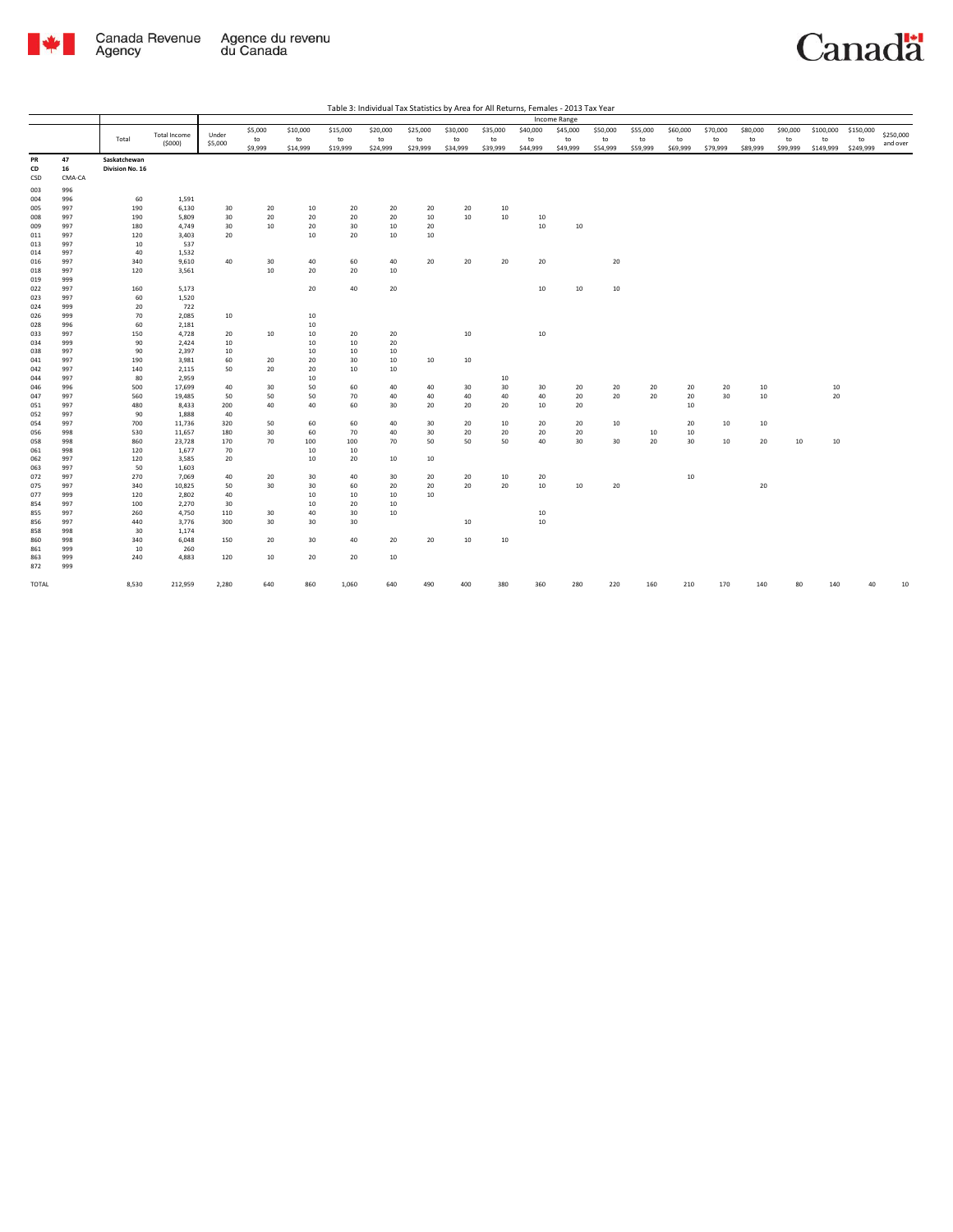

| Table 3: Individual Tax Statistics by Area for All Returns, Females - 2013 Tax Year |
|-------------------------------------------------------------------------------------|
|-------------------------------------------------------------------------------------|

|                 |                    |                                 |                               |                  |                          |                            |                            |                            |                            |                            |                            |                            | <b>Income Range</b>        |                            |                            |                            |                            |                            |                            |                              |                              |                       |
|-----------------|--------------------|---------------------------------|-------------------------------|------------------|--------------------------|----------------------------|----------------------------|----------------------------|----------------------------|----------------------------|----------------------------|----------------------------|----------------------------|----------------------------|----------------------------|----------------------------|----------------------------|----------------------------|----------------------------|------------------------------|------------------------------|-----------------------|
|                 |                    | Total                           | <b>Total Income</b><br>(5000) | Under<br>\$5,000 | \$5,000<br>to<br>\$9,999 | \$10,000<br>to<br>\$14,999 | \$15,000<br>to<br>\$19,999 | \$20,000<br>to<br>\$24,999 | \$25,000<br>to<br>\$29,999 | \$30,000<br>to<br>\$34,999 | \$35,000<br>to<br>\$39,999 | \$40,000<br>to<br>\$44,999 | \$45,000<br>to<br>\$49,999 | \$50,000<br>to<br>\$54,999 | \$55,000<br>to<br>\$59,999 | \$60,000<br>to<br>\$69,999 | \$70,000<br>to<br>\$79,999 | \$80,000<br>to<br>\$89,999 | \$90,000<br>to<br>\$99,999 | \$100,000<br>to<br>\$149,999 | \$150,000<br>to<br>\$249,999 | \$250,000<br>and over |
| PR<br>CD<br>CSD | 47<br>16<br>CMA-CA | Saskatchewan<br>Division No. 16 |                               |                  |                          |                            |                            |                            |                            |                            |                            |                            |                            |                            |                            |                            |                            |                            |                            |                              |                              |                       |
| 003             | 996                |                                 |                               |                  |                          |                            |                            |                            |                            |                            |                            |                            |                            |                            |                            |                            |                            |                            |                            |                              |                              |                       |
| 004             | 996                | 60                              | 1,591                         |                  |                          |                            |                            |                            |                            |                            |                            |                            |                            |                            |                            |                            |                            |                            |                            |                              |                              |                       |
| 005             | 997                | 190                             | 6,130                         | 30               | 20                       | 10                         | 20                         | 20                         | 20                         | 20                         | 10                         |                            |                            |                            |                            |                            |                            |                            |                            |                              |                              |                       |
| 008             | 997                | 190                             | 5,809                         | 30               | 20                       | 20                         | 20                         | 20                         | 10                         | 10                         | 10                         | 10                         |                            |                            |                            |                            |                            |                            |                            |                              |                              |                       |
| 009             | 997                | 180                             | 4,749                         | 30               | 10                       | 20                         | 30                         | 10                         | 20                         |                            |                            | $10\,$                     | 10                         |                            |                            |                            |                            |                            |                            |                              |                              |                       |
| 011             | 997                | 120                             | 3,403                         | 20               |                          | 10                         | 20                         | 10                         | 10                         |                            |                            |                            |                            |                            |                            |                            |                            |                            |                            |                              |                              |                       |
| 013             | 997                | 10                              | 537                           |                  |                          |                            |                            |                            |                            |                            |                            |                            |                            |                            |                            |                            |                            |                            |                            |                              |                              |                       |
| 014             | 997                | 40                              | 1,532                         |                  |                          |                            |                            |                            |                            |                            |                            |                            |                            |                            |                            |                            |                            |                            |                            |                              |                              |                       |
| 016             | 997                | 340                             | 9,610                         | 40               | 30                       | 40                         | 60                         | 40                         | 20                         | 20                         | 20                         | 20                         |                            | 20                         |                            |                            |                            |                            |                            |                              |                              |                       |
| 018             | 997                | 120                             | 3,561                         |                  | 10                       | 20                         | 20                         | 10                         |                            |                            |                            |                            |                            |                            |                            |                            |                            |                            |                            |                              |                              |                       |
| 019             | 999                |                                 |                               |                  |                          |                            |                            |                            |                            |                            |                            |                            |                            |                            |                            |                            |                            |                            |                            |                              |                              |                       |
| 022             | 997                | 160                             | 5,173                         |                  |                          | 20                         | 40                         | 20                         |                            |                            |                            | $10\,$                     | 10                         | 10                         |                            |                            |                            |                            |                            |                              |                              |                       |
| 023             | 997                | 60                              | 1,520                         |                  |                          |                            |                            |                            |                            |                            |                            |                            |                            |                            |                            |                            |                            |                            |                            |                              |                              |                       |
| 024             | 999                | 20                              | 722                           |                  |                          |                            |                            |                            |                            |                            |                            |                            |                            |                            |                            |                            |                            |                            |                            |                              |                              |                       |
| 026             | 999                | 70                              | 2,085                         | 10               |                          | 10                         |                            |                            |                            |                            |                            |                            |                            |                            |                            |                            |                            |                            |                            |                              |                              |                       |
| 028             | 996                | 60                              | 2,181                         |                  |                          | 10                         |                            |                            |                            |                            |                            |                            |                            |                            |                            |                            |                            |                            |                            |                              |                              |                       |
| 033             | 997                | 150                             | 4,728                         | 20               | 10                       | 10                         | 20                         | 20                         |                            | 10                         |                            | $10\,$                     |                            |                            |                            |                            |                            |                            |                            |                              |                              |                       |
| 034             | 999                | 90                              | 2,424                         | 10               |                          | 10                         | 10                         | 20                         |                            |                            |                            |                            |                            |                            |                            |                            |                            |                            |                            |                              |                              |                       |
| 038             | 997                | 90                              | 2,397                         | 10               |                          | 10                         | 10                         | 10                         |                            |                            |                            |                            |                            |                            |                            |                            |                            |                            |                            |                              |                              |                       |
| 041<br>042      | 997<br>997         | 190                             | 3,981                         | 60<br>50         | 20<br>20                 | 20<br>20                   | 30<br>10                   | 10<br>10                   | 10                         | 10                         |                            |                            |                            |                            |                            |                            |                            |                            |                            |                              |                              |                       |
|                 |                    | 140                             | 2,115                         |                  |                          |                            |                            |                            |                            |                            |                            |                            |                            |                            |                            |                            |                            |                            |                            |                              |                              |                       |
| 044<br>046      | 997<br>996         | 80<br>500                       | 2,959<br>17,699               | 40               | 30                       | 10<br>50                   | 60                         | 40                         | 40                         | 30                         | 10<br>30                   | 30                         | 20                         | 20                         | 20                         | 20                         | 20                         | 10                         |                            | 10                           |                              |                       |
| 047             | 997                | 560                             | 19,485                        | 50               | 50                       | 50                         | 70                         | 40                         | 40                         | 40                         | 40                         | 40                         | 20                         | 20                         | 20                         | 20                         | 30                         | 10                         |                            | 20                           |                              |                       |
| 051             | 997                | 480                             | 8,433                         | 200              | 40                       | 40                         | 60                         | 30                         | 20                         | 20                         | 20                         | 10                         | 20                         |                            |                            | 10                         |                            |                            |                            |                              |                              |                       |
| 052             | 997                | 90                              | 1,888                         | 40               |                          |                            |                            |                            |                            |                            |                            |                            |                            |                            |                            |                            |                            |                            |                            |                              |                              |                       |
| 054             | 997                | 700                             | 11,736                        | 320              | 50                       | 60                         | 60                         | 40                         | 30                         | 20                         | 10                         | 20                         | 20                         | 10                         |                            | 20                         | 10                         | 10                         |                            |                              |                              |                       |
| 056             | 998                | 530                             | 11,657                        | 180              | 30                       | 60                         | 70                         | 40                         | 30                         | 20                         | 20                         | 20                         | 20                         |                            | 10                         | 10                         |                            |                            |                            |                              |                              |                       |
| 058             | 998                | 860                             | 23,728                        | 170              | 70                       | 100                        | 100                        | 70                         | 50                         | 50                         | 50                         | 40                         | 30                         | 30                         | 20                         | 30                         | 10                         | 20                         | 10                         | $10\,$                       |                              |                       |
| 061             | 998                | 120                             | 1,677                         | 70               |                          | 10                         | 10                         |                            |                            |                            |                            |                            |                            |                            |                            |                            |                            |                            |                            |                              |                              |                       |
| 062             | 997                | 120                             | 3,585                         | 20               |                          | 10                         | 20                         | 10                         | 10                         |                            |                            |                            |                            |                            |                            |                            |                            |                            |                            |                              |                              |                       |
| 063             | 997                | 50                              | 1,603                         |                  |                          |                            |                            |                            |                            |                            |                            |                            |                            |                            |                            |                            |                            |                            |                            |                              |                              |                       |
| 072             | 997                | 270                             | 7,069                         | 40               | 20                       | 30                         | 40                         | 30                         | 20                         | 20                         | 10                         | 20                         |                            |                            |                            | 10                         |                            |                            |                            |                              |                              |                       |
| 075             | 997                | 340                             | 10,825                        | 50               | 30                       | 30                         | 60                         | 20                         | 20                         | 20                         | 20                         | $10\,$                     | 10                         | 20                         |                            |                            |                            | 20                         |                            |                              |                              |                       |
| 077             | 999                | 120                             | 2,802                         | 40               |                          | 10                         | 10                         | 10                         | 10                         |                            |                            |                            |                            |                            |                            |                            |                            |                            |                            |                              |                              |                       |
| 854             | 997                | 100                             | 2,270                         | 30               |                          | 10                         | 20                         | 10                         |                            |                            |                            |                            |                            |                            |                            |                            |                            |                            |                            |                              |                              |                       |
| 855             | 997                | 260                             | 4,750                         | 110              | 30                       | 40                         | 30                         | 10                         |                            |                            |                            | $10\,$                     |                            |                            |                            |                            |                            |                            |                            |                              |                              |                       |
| 856             | 997                | 440                             | 3,776                         | 300              | 30                       | 30                         | 30                         |                            |                            | 10                         |                            | $10\,$                     |                            |                            |                            |                            |                            |                            |                            |                              |                              |                       |
| 858             | 998                | 30                              | 1,174                         |                  |                          |                            |                            |                            |                            |                            |                            |                            |                            |                            |                            |                            |                            |                            |                            |                              |                              |                       |
| 860             | 998                | 340                             | 6,048                         | 150              | 20                       | 30                         | 40                         | 20                         | 20                         | 10                         | 10                         |                            |                            |                            |                            |                            |                            |                            |                            |                              |                              |                       |
| 861             | 999                | 10                              | 260                           |                  |                          |                            |                            |                            |                            |                            |                            |                            |                            |                            |                            |                            |                            |                            |                            |                              |                              |                       |
| 863             | 999                | 240                             | 4,883                         | 120              | 10                       | 20                         | 20                         | 10                         |                            |                            |                            |                            |                            |                            |                            |                            |                            |                            |                            |                              |                              |                       |
| 872             | 999                |                                 |                               |                  |                          |                            |                            |                            |                            |                            |                            |                            |                            |                            |                            |                            |                            |                            |                            |                              |                              |                       |
| TOTAL           |                    | 8,530                           | 212,959                       | 2,280            | 640                      | 860                        | 1,060                      | 640                        | 490                        | 400                        | 380                        | 360                        | 280                        | 220                        | 160                        | 210                        | 170                        | 140                        | 80                         | 140                          | 40                           | 10                    |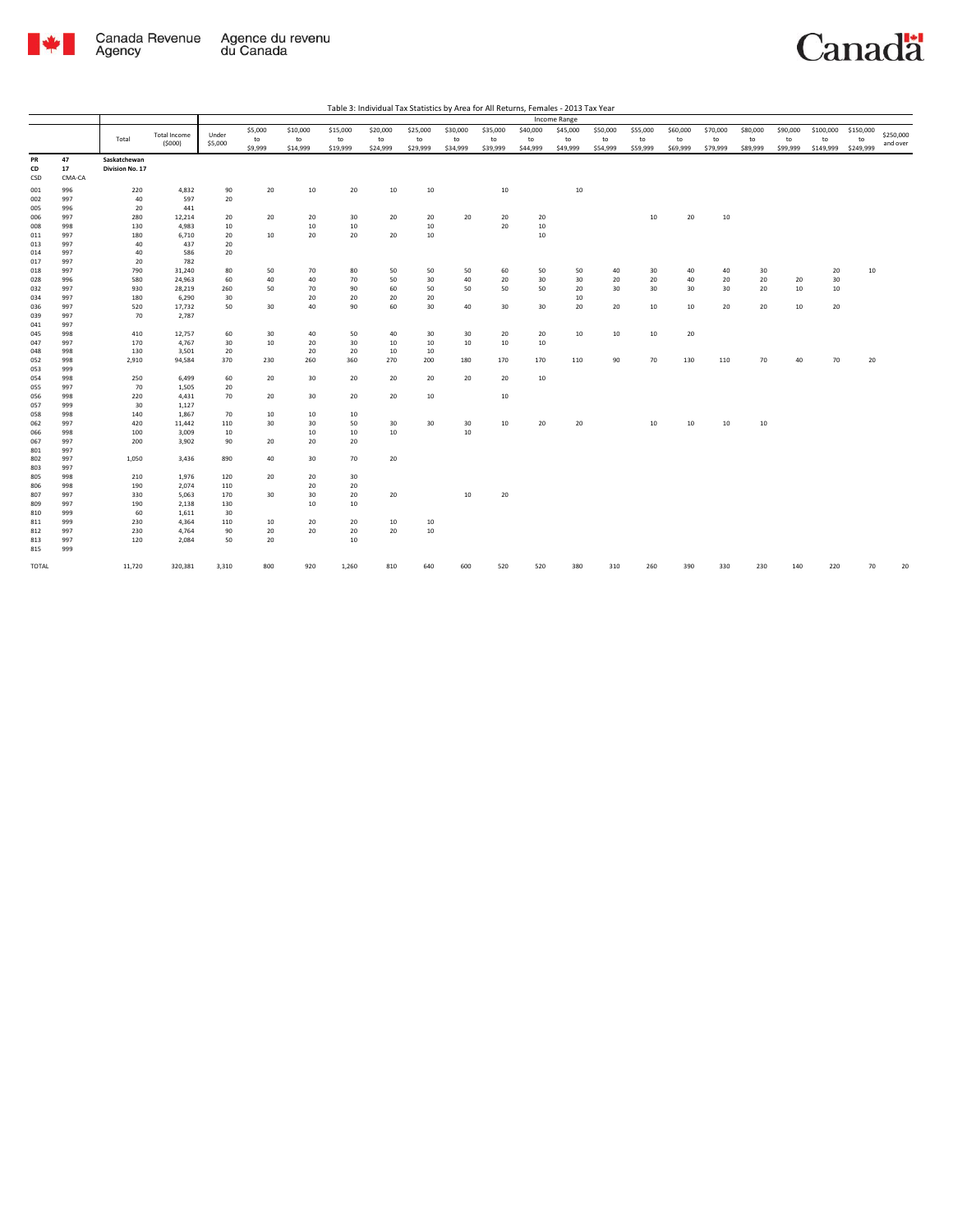

| Table 3: Individual Tax Statistics by Area for All Returns, Females - 2013 Tax Year |  |
|-------------------------------------------------------------------------------------|--|

|                        |                    |                                 |                     |           |               |                |                |                |                |                |                  |                | Income Range   |                |                |                |                |                |                |                 |                 |           |
|------------------------|--------------------|---------------------------------|---------------------|-----------|---------------|----------------|----------------|----------------|----------------|----------------|------------------|----------------|----------------|----------------|----------------|----------------|----------------|----------------|----------------|-----------------|-----------------|-----------|
|                        |                    |                                 | <b>Total Income</b> | Under     | \$5,000       | \$10,000       | \$15,000       | \$20,000       | \$25,000       | \$30,000       | \$35,000         | \$40,000       | \$45,000       | \$50,000       | \$55,000       | \$60,000       | \$70,000       | \$80,000       | \$90,000       | \$100,000       | \$150,000       | \$250,000 |
|                        |                    | Total                           | (5000)              | \$5,000   | to<br>\$9,999 | to<br>\$14,999 | to<br>\$19,999 | to<br>\$24,999 | to<br>\$29,999 | to<br>\$34,999 | to<br>\$39,999   | to<br>\$44,999 | to<br>\$49,999 | to<br>\$54,999 | to<br>\$59,999 | to<br>\$69,999 | to<br>\$79,999 | to<br>\$89,999 | to<br>\$99,999 | to<br>\$149,999 | to<br>\$249,999 | and over  |
| PR<br>CD<br><b>CSD</b> | 47<br>17<br>CMA-CA | Saskatchewan<br>Division No. 17 |                     |           |               |                |                |                |                |                |                  |                |                |                |                |                |                |                |                |                 |                 |           |
| 001                    | 996                | 220                             | 4,832               | 90        | 20            | 10             | 20             | 10             | 10             |                | 10               |                | 10             |                |                |                |                |                |                |                 |                 |           |
| 002                    | 997                | 40                              | 597                 | 20        |               |                |                |                |                |                |                  |                |                |                |                |                |                |                |                |                 |                 |           |
| 005                    | 996                | 20                              | 441                 |           |               |                |                |                |                |                |                  |                |                |                |                |                |                |                |                |                 |                 |           |
| 006                    | 997                | 280                             | 12,214              | 20        | 20            | 20             | 30             | 20             | 20             | 20             | 20               | 20             |                |                | $10\,$         | 20             | 10             |                |                |                 |                 |           |
| 008                    | 998                | 130                             | 4,983               | 10        |               | 10             | 10             |                | 10             |                | 20               | 10             |                |                |                |                |                |                |                |                 |                 |           |
| 011                    | 997<br>997         | 180<br>40                       | 6,710<br>437        | 20<br>20  | 10            | 20             | 20             | 20             | 10             |                |                  | 10             |                |                |                |                |                |                |                |                 |                 |           |
| 013<br>014             | 997                | 40                              | 586                 | 20        |               |                |                |                |                |                |                  |                |                |                |                |                |                |                |                |                 |                 |           |
| 017                    | 997                | 20                              | 782                 |           |               |                |                |                |                |                |                  |                |                |                |                |                |                |                |                |                 |                 |           |
| 018                    | 997                | 790                             | 31,240              | 80        | 50            | 70             | 80             | 50             | 50             | 50             | 60               | 50             | 50             | 40             | 30             | 40             | 40             | 30             |                | 20              | 10              |           |
| 028                    | 996                | 580                             | 24,963              | 60        | 40            | 40             | 70             | 50             | 30             | 40             | 20               | 30             | 30             | 20             | 20             | 40             | 20             | 20             | 20             | 30              |                 |           |
| 032                    | 997                | 930                             | 28,219              | 260       | 50            | 70             | 90             | 60             | 50             | 50             | 50               | 50             | 20             | 30             | 30             | 30             | 30             | 20             | 10             | 10              |                 |           |
| 034                    | 997                | 180                             | 6,290               | 30        |               | 20             | 20             | 20             | 20             |                |                  |                | 10             |                |                |                |                |                |                |                 |                 |           |
| 036                    | 997                | 520                             | 17,732              | 50        | 30            | 40             | 90             | 60             | 30             | 40             | 30               | 30             | 20             | 20             | 10             | 10             | 20             | 20             | 10             | 20              |                 |           |
| 039                    | 997                | 70                              | 2,787               |           |               |                |                |                |                |                |                  |                |                |                |                |                |                |                |                |                 |                 |           |
| 041                    | 997                |                                 |                     |           |               |                |                |                |                |                |                  |                |                |                |                |                |                |                |                |                 |                 |           |
| 045                    | 998                | 410                             | 12,757              | 60        | 30            | 40             | 50             | 40             | 30             | 30             | 20               | 20             | 10             | 10             | 10             | 20             |                |                |                |                 |                 |           |
| 047                    | 997                | 170                             | 4,767               | 30        | 10            | 20             | 30             | 10             | 10             | 10             | 10               | 10             |                |                |                |                |                |                |                |                 |                 |           |
| 048                    | 998                | 130                             | 3,501               | 20        |               | 20             | 20             | 10             | 10             |                |                  |                |                |                |                |                |                |                |                |                 |                 |           |
| 052                    | 998                | 2,910                           | 94,584              | 370       | 230           | 260            | 360            | 270            | 200            | 180            | 170              | 170            | 110            | 90             | 70             | 130            | 110            | 70             | 40             | 70              | 20              |           |
| 053                    | 999<br>998         | 250                             | 6,499               | 60        |               |                |                | 20             |                | 20             | 20               |                |                |                |                |                |                |                |                |                 |                 |           |
| 054<br>055             | 997                | 70                              | 1,505               | 20        | 20            | 30             | 20             |                | 20             |                |                  | 10             |                |                |                |                |                |                |                |                 |                 |           |
| 056                    | 998                | 220                             | 4,431               | 70        | 20            | 30             | 20             | 20             | $10\,$         |                | 10 <sup>10</sup> |                |                |                |                |                |                |                |                |                 |                 |           |
| 057                    | 999                | 30                              | 1,127               |           |               |                |                |                |                |                |                  |                |                |                |                |                |                |                |                |                 |                 |           |
| 058                    | 998                | 140                             | 1,867               | 70        | 10            | 10             | 10             |                |                |                |                  |                |                |                |                |                |                |                |                |                 |                 |           |
| 062                    | 997                | 420                             | 11,442              | 110       | 30            | 30             | 50             | 30             | 30             | 30             | 10               | 20             | 20             |                | 10             | 10             | 10             | 10             |                |                 |                 |           |
| 066                    | 998                | 100                             | 3,009               | 10        |               | 10             | 10             | 10             |                | 10             |                  |                |                |                |                |                |                |                |                |                 |                 |           |
| 067                    | 997                | 200                             | 3,902               | 90        | 20            | 20             | 20             |                |                |                |                  |                |                |                |                |                |                |                |                |                 |                 |           |
| 801                    | 997                |                                 |                     |           |               |                |                |                |                |                |                  |                |                |                |                |                |                |                |                |                 |                 |           |
| 802                    | 997                | 1,050                           | 3,436               | 890       | 40            | 30             | 70             | 20             |                |                |                  |                |                |                |                |                |                |                |                |                 |                 |           |
| 803                    | 997                |                                 |                     |           |               |                |                |                |                |                |                  |                |                |                |                |                |                |                |                |                 |                 |           |
| 805                    | 998                | 210                             | 1,976               | 120       | 20            | 20             | 30             |                |                |                |                  |                |                |                |                |                |                |                |                |                 |                 |           |
| 806                    | 998                | 190                             | 2,074               | 110       |               | 20             | 20             |                |                |                |                  |                |                |                |                |                |                |                |                |                 |                 |           |
| 807                    | 997                | 330                             | 5,063               | 170       | 30            | 30             | 20             | 20             |                | 10             | 20               |                |                |                |                |                |                |                |                |                 |                 |           |
| 809<br>810             | 997<br>999         | 190<br>60                       | 2,138<br>1,611      | 130<br>30 |               | 10             | 10             |                |                |                |                  |                |                |                |                |                |                |                |                |                 |                 |           |
| 811                    | 999                | 230                             | 4,364               | 110       | 10            | 20             | 20             | 10             | 10             |                |                  |                |                |                |                |                |                |                |                |                 |                 |           |
| 812                    | 997                | 230                             | 4,764               | 90        | 20            | 20             | 20             | 20             | $10\,$         |                |                  |                |                |                |                |                |                |                |                |                 |                 |           |
| 813                    | 997                | 120                             | 2,084               | 50        | 20            |                | 10             |                |                |                |                  |                |                |                |                |                |                |                |                |                 |                 |           |
| 815                    | 999                |                                 |                     |           |               |                |                |                |                |                |                  |                |                |                |                |                |                |                |                |                 |                 |           |
| TOTAL                  |                    | 11,720                          | 320,381             | 3,310     | 800           | 920            | 1,260          | 810            | 640            | 600            | 520              | 520            | 380            | 310            | 260            | 390            | 330            | 230            | 140            | 220             | 70              | 20        |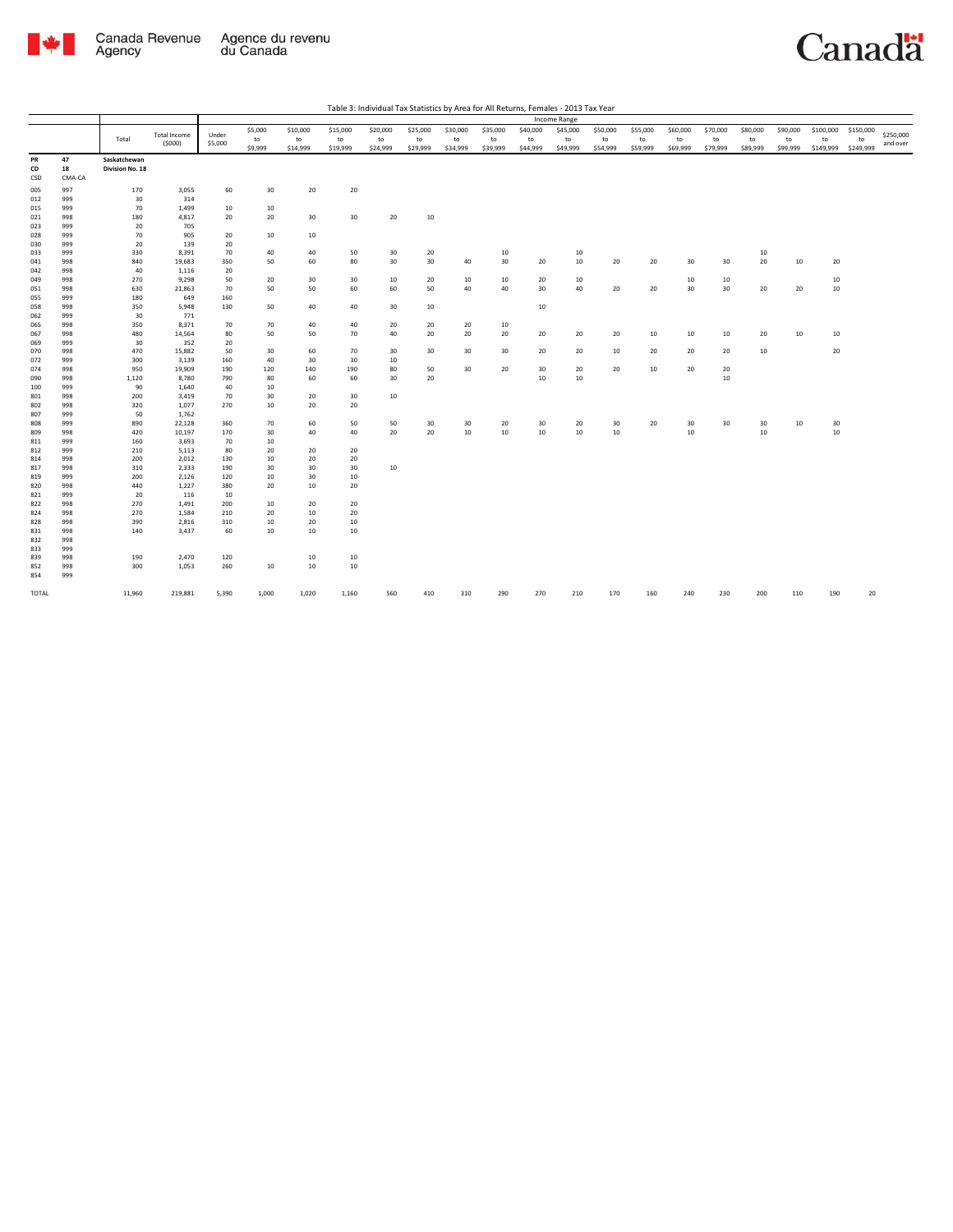

| Table 3: Individual Tax Statistics by Area for All Returns, Females - 2013 Tax Year |
|-------------------------------------------------------------------------------------|
|                                                                                     |

|            |            | Income Range    |                               |                  |           |          |          |          |          |          |          |          |          |          |          |          |          |          |          |           |           |                       |
|------------|------------|-----------------|-------------------------------|------------------|-----------|----------|----------|----------|----------|----------|----------|----------|----------|----------|----------|----------|----------|----------|----------|-----------|-----------|-----------------------|
|            |            |                 |                               |                  | \$5,000   | \$10,000 | \$15,000 | \$20,000 | \$25,000 | \$30,000 | \$35,000 | \$40,000 | \$45,000 | \$50,000 | \$55,000 | \$60,000 | \$70,000 | \$80,000 | \$90,000 | \$100,000 | \$150,000 |                       |
|            |            | Total           | <b>Total Income</b><br>(5000) | Under<br>\$5,000 | to        | to       | to       | to       | to       | to       | to       | to       | to       | to       | to       | to       | to       | to       | to       | to        | to        | \$250,000<br>and over |
|            |            |                 |                               |                  | \$9,999   | \$14,999 | \$19,999 | \$24,999 | \$29,999 | \$34,999 | \$39,999 | \$44,999 | \$49,999 | \$54,999 | \$59,999 | \$69,999 | \$79,999 | \$89,999 | \$99,999 | \$149,999 | \$249,999 |                       |
| PR         | 47         | Saskatchewan    |                               |                  |           |          |          |          |          |          |          |          |          |          |          |          |          |          |          |           |           |                       |
| CD         | 18         | Division No. 18 |                               |                  |           |          |          |          |          |          |          |          |          |          |          |          |          |          |          |           |           |                       |
| CSD        | CMA-CA     |                 |                               |                  |           |          |          |          |          |          |          |          |          |          |          |          |          |          |          |           |           |                       |
| 005        | 997        | 170             | 3,055                         | 60               | 30        | 20       | 20       |          |          |          |          |          |          |          |          |          |          |          |          |           |           |                       |
| 012        | 999        | 30              | 314                           |                  |           |          |          |          |          |          |          |          |          |          |          |          |          |          |          |           |           |                       |
| 015        | 999        | 70              | 1,499                         | 10               | 10        |          |          |          |          |          |          |          |          |          |          |          |          |          |          |           |           |                       |
| 021        | 998        | 180             | 4,817                         | 20               | 20        | 30       | 30       | 20       | 10       |          |          |          |          |          |          |          |          |          |          |           |           |                       |
| 023        | 999        | 20              | 705                           |                  |           |          |          |          |          |          |          |          |          |          |          |          |          |          |          |           |           |                       |
| 028        | 999        | 70              | 905                           | 20               | 10        | 10       |          |          |          |          |          |          |          |          |          |          |          |          |          |           |           |                       |
| 030        | 999        | 20              | 139                           | 20               |           |          |          |          |          |          |          |          |          |          |          |          |          |          |          |           |           |                       |
| 033        | 999        | 330             | 8,391                         | 70               | 40        | 40       | 50       | 30       | 20       |          | 10       |          | 10       |          |          |          |          | 10       |          |           |           |                       |
| 041        | 998        | 840             | 19,683                        | 350              | 50        | 60       | 80       | 30       | 30       | 40       | 30       | 20       | 10       | 20       | 20       | 30       | 30       | $20\,$   | 10       | 20        |           |                       |
| 042        | 998        | 40              | 1,116                         | 20               |           |          |          |          |          |          |          |          |          |          |          |          |          |          |          |           |           |                       |
| 049        | 998        | 270             | 9,298                         | 50               | 20        | 30       | 30       | 10       | 20       | 10       | 10       | 20       | 10       |          |          | 10       | 10       |          |          | 10        |           |                       |
| 051        | 998        | 630             | 21,863                        | 70               | 50        | 50       | 60       | 60       | 50       | 40       | 40       | 30       | 40       | 20       | 20       | 30       | 30       | 20       | 20       | 10        |           |                       |
| 055        | 999        | 180             | 649                           | 160              |           |          |          |          |          |          |          |          |          |          |          |          |          |          |          |           |           |                       |
| 058        | 998        | 350             | 5,948                         | 130              | 50        | 40       | 40       | 30       | 10       |          |          | 10       |          |          |          |          |          |          |          |           |           |                       |
| 062        | 999        | 30              | 771                           |                  |           |          |          |          |          |          |          |          |          |          |          |          |          |          |          |           |           |                       |
| 065        | 998        | 350             | 8,371                         | 70               | 70        | 40       | 40       | 20       | 20       | 20       | 10       |          |          |          |          |          |          |          |          |           |           |                       |
| 067        | 998        | 480             | 14,564                        | 80               | 50        | 50       | 70       | 40       | 20       | 20       | 20       | 20       | 20       | 20       | 10       | 10       | 10       | 20       | 10       | 10        |           |                       |
| 069        | 999        | 30              | 352                           | 20               |           |          |          |          |          |          |          |          |          |          |          |          |          |          |          |           |           |                       |
| 070        | 998        | 470<br>300      | 15,882                        | 50               | 30        | 60<br>30 | 70<br>30 | 30       | 30       | 30       | 30       | 20       | 20       | 10       | 20       | 20       | 20       | 10       |          | 20        |           |                       |
| 072<br>074 | 999<br>998 | 950             | 3,139<br>19,909               | 160<br>190       | 40<br>120 | 140      | 190      | 10<br>80 | 50       | 30       | 20       | 30       | 20       | 20       | 10       | 20       | 20       |          |          |           |           |                       |
| 090        | 998        | 1,120           | 8,780                         | 790              | 80        | 60       | 60       | 30       | 20       |          |          | 10       | 10       |          |          |          | $10\,$   |          |          |           |           |                       |
| 100        | 999        | 90              | 1,640                         | 40               | 10        |          |          |          |          |          |          |          |          |          |          |          |          |          |          |           |           |                       |
| 801        | 998        | 200             | 3,419                         | 70               | 30        | 20       | 30       | 10       |          |          |          |          |          |          |          |          |          |          |          |           |           |                       |
| 802        | 998        | 320             | 1,077                         | 270              | 10        | 20       | 20       |          |          |          |          |          |          |          |          |          |          |          |          |           |           |                       |
| 807        | 999        | 50              | 1,762                         |                  |           |          |          |          |          |          |          |          |          |          |          |          |          |          |          |           |           |                       |
| 808        | 999        | 890             | 22,128                        | 360              | 70        | 60       | 50       | 50       | 30       | 30       | 20       | 30       | 20       | 30       | 20       | 30       | 30       | 30       | 10       | 30        |           |                       |
| 809        | 998        | 420             | 10,197                        | 170              | 30        | 40       | 40       | 20       | 20       | 10       | 10       | 10       | 10       | 10       |          | 10       |          | 10       |          | 10        |           |                       |
| 811        | 999        | 160             | 3,693                         | 70               | 10        |          |          |          |          |          |          |          |          |          |          |          |          |          |          |           |           |                       |
| 812        | 999        | 210             | 5,113                         | 80               | 20        | 20       | 20       |          |          |          |          |          |          |          |          |          |          |          |          |           |           |                       |
| 814        | 998        | 200             | 2,012                         | 130              | 10        | 20       | 20       |          |          |          |          |          |          |          |          |          |          |          |          |           |           |                       |
| 817        | 998        | 310             | 2,333                         | 190              | 30        | 30       | 30       | $10\,$   |          |          |          |          |          |          |          |          |          |          |          |           |           |                       |
| 819        | 999        | 200             | 2,126                         | 120              | 10        | 30       | 10       |          |          |          |          |          |          |          |          |          |          |          |          |           |           |                       |
| 820        | 998        | 440             | 1,227                         | 380              | 20        | 10       | 20       |          |          |          |          |          |          |          |          |          |          |          |          |           |           |                       |
| 821        | 999        | 20              | 116                           | 10               |           |          |          |          |          |          |          |          |          |          |          |          |          |          |          |           |           |                       |
| 822        | 998        | 270             | 1,491                         | 200              | 10        | 20       | 20       |          |          |          |          |          |          |          |          |          |          |          |          |           |           |                       |
| 824        | 998        | 270             | 1,584                         | 210              | 20        | 10       | 20       |          |          |          |          |          |          |          |          |          |          |          |          |           |           |                       |
| 828        | 998        | 390             | 2,816                         | 310              | 10        | 20       | 10       |          |          |          |          |          |          |          |          |          |          |          |          |           |           |                       |
| 831        | 998        | 140             | 3,437                         | 60               | 10        | 10       | 10       |          |          |          |          |          |          |          |          |          |          |          |          |           |           |                       |
| 832        | 998        |                 |                               |                  |           |          |          |          |          |          |          |          |          |          |          |          |          |          |          |           |           |                       |
| 833        | 999        |                 |                               |                  |           |          |          |          |          |          |          |          |          |          |          |          |          |          |          |           |           |                       |
| 839<br>852 | 998<br>998 | 190<br>300      | 2,470<br>1,053                | 120<br>260       | 10        | 10<br>10 | 10<br>10 |          |          |          |          |          |          |          |          |          |          |          |          |           |           |                       |
| 854        | 999        |                 |                               |                  |           |          |          |          |          |          |          |          |          |          |          |          |          |          |          |           |           |                       |
|            |            |                 |                               |                  |           |          |          |          |          |          |          |          |          |          |          |          |          |          |          |           |           |                       |
| TOTAL      |            | 11,960          | 219,881                       | 5,390            | 1,000     | 1,020    | 1,160    | 560      | 410      | 310      | 290      | 270      | 210      | 170      | 160      | 240      | 230      | 200      | 110      | 190       | 20        |                       |